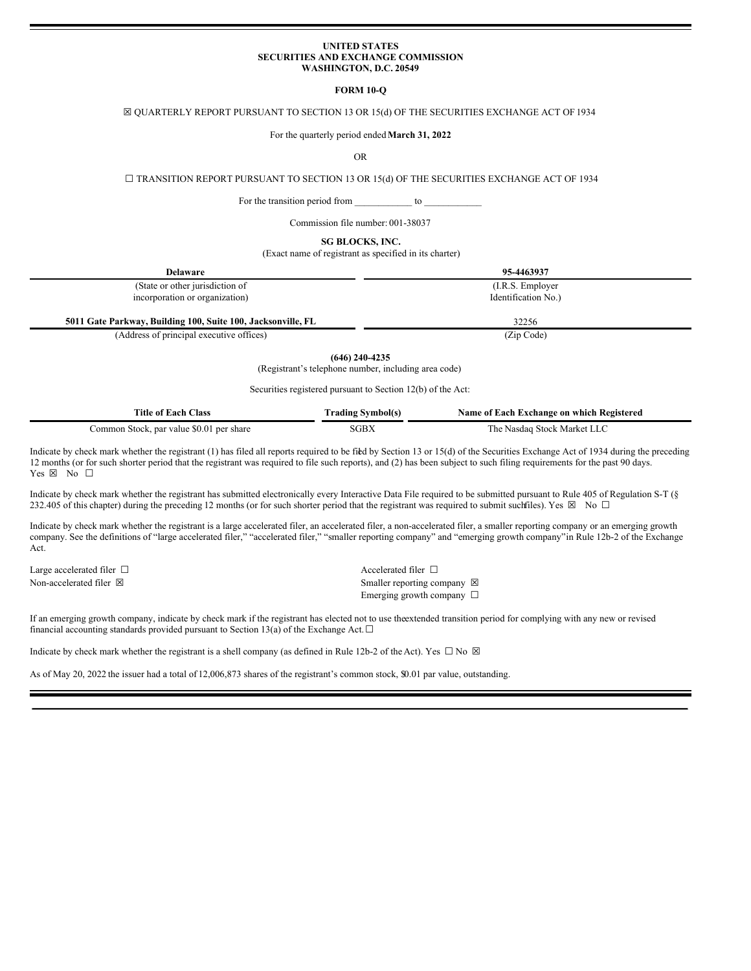#### **UNITED STATES SECURITIES AND EXCHANGE COMMISSION WASHINGTON, D.C. 20549**

#### **FORM 10-Q**

# ☒ QUARTERLY REPORT PURSUANT TO SECTION 13 OR 15(d) OF THE SECURITIES EXCHANGE ACT OF 1934

For the quarterly period ended**March 31, 2022**

OR

# ☐ TRANSITION REPORT PURSUANT TO SECTION 13 OR 15(d) OF THE SECURITIES EXCHANGE ACT OF 1934

For the transition period from to

Commission file number: 001-38037

**SG BLOCKS, INC.**

(Exact name of registrant as specified in its charter)

| <b>Delaware</b>                                              | 95-4463937          |
|--------------------------------------------------------------|---------------------|
| (State or other jurisdiction of                              | (I.R.S. Employer)   |
| incorporation or organization)                               | Identification No.) |
| 5011 Gate Parkway, Building 100, Suite 100, Jacksonville, FL | 32256               |
| (Address of principal executive offices)                     | (Zip Code)          |
|                                                              |                     |

**(646) 240-4235**

(Registrant's telephone number, including area code)

Securities registered pursuant to Section 12(b) of the Act:

| <b>Title of Each Class</b>               | <b>frading Symbol(s)</b> | Name of Each Exchange on which Registered |
|------------------------------------------|--------------------------|-------------------------------------------|
| Common Stock, par value \$0.01 per share |                          | The Nasdaq Stock Market LLC               |

Indicate by check mark whether the registrant (1) has filed all reports required to be fiel d by Section 13 or 15(d) of the Securities Exchange Act of 1934 during the preceding 12 months (or for such shorter period that the registrant was required to file such reports), and (2) has been subject to such filing requirements for the past 90 days. Yes ⊠ No □

Indicate by check mark whether the registrant has submitted electronically every Interactive Data File required to be submitted pursuant to Rule 405 of Regulation S-T (§ 232.405 of this chapter) during the preceding 12 months (or for such shorter period that the registrant was required to submit suchfiles). Yes  $\boxtimes$  No  $\Box$ 

Indicate by check mark whether the registrant is a large accelerated filer, an accelerated filer, a non-accelerated filer, a smaller reporting company or an emerging growth company. See the definitions of "large accelerated filer," "accelerated filer," "smaller reporting company" and "emerging growth company"in Rule 12b-2 of the Exchange Act.

Large accelerated filer □ accelerated filer □ accelerated filer □

Non-accelerated filer ⊠ Smaller reporting company ⊠ Emerging growth company  $\Box$ 

If an emerging growth company, indicate by check mark if the registrant has elected not to use theextended transition period for complying with any new or revised financial accounting standards provided pursuant to Section 13(a) of the Exchange Act. $□$ 

Indicate by check mark whether the registrant is a shell company (as defined in Rule 12b-2 of the Act). Yes  $\Box$  No  $\boxtimes$ 

As of May 20, 2022 the issuer had a total of 12,006,873 shares of the registrant's common stock, \$0.01 par value, outstanding.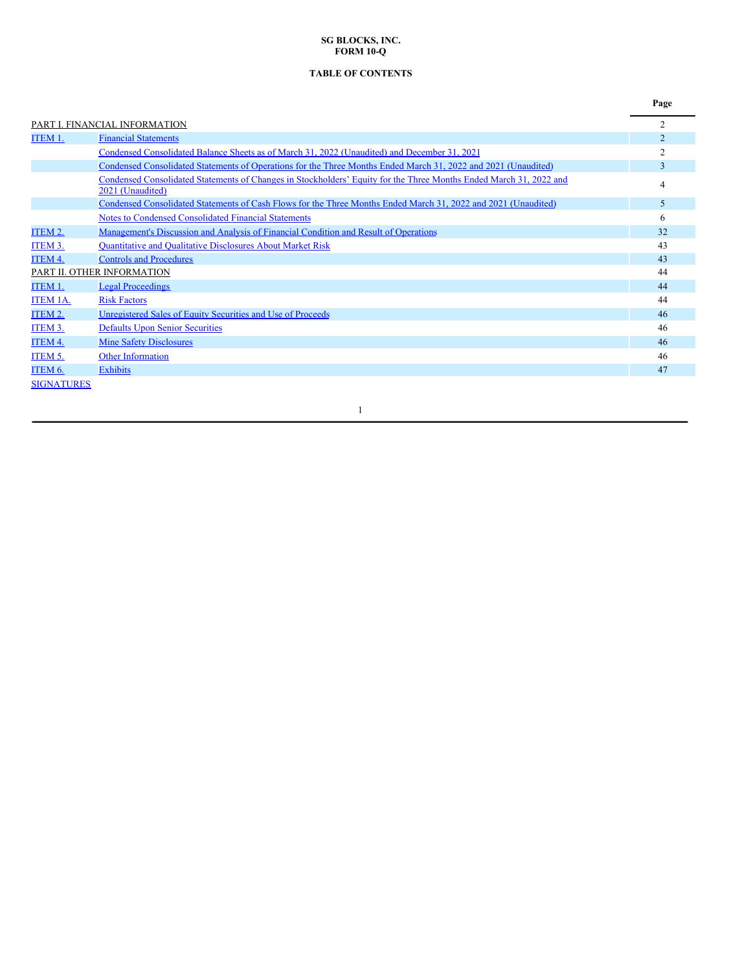# **SG BLOCKS, INC. FORM 10-Q**

# **TABLE OF CONTENTS**

|                   |                                                                                                                                        | Page           |
|-------------------|----------------------------------------------------------------------------------------------------------------------------------------|----------------|
|                   | PART I. FINANCIAL INFORMATION                                                                                                          | $\overline{c}$ |
| <b>ITEM 1.</b>    | <b>Financial Statements</b>                                                                                                            | $\overline{c}$ |
|                   | Condensed Consolidated Balance Sheets as of March 31, 2022 (Unaudited) and December 31, 2021                                           | 2              |
|                   | Condensed Consolidated Statements of Operations for the Three Months Ended March 31, 2022 and 2021 (Unaudited)                         | 3              |
|                   | Condensed Consolidated Statements of Changes in Stockholders' Equity for the Three Months Ended March 31, 2022 and<br>2021 (Unaudited) | 4              |
|                   | Condensed Consolidated Statements of Cash Flows for the Three Months Ended March 31, 2022 and 2021 (Unaudited)                         | 5              |
|                   | <b>Notes to Condensed Consolidated Financial Statements</b>                                                                            | 6              |
| ITEM 2.           | Management's Discussion and Analysis of Financial Condition and Result of Operations                                                   | 32             |
| ITEM 3.           | <b>Quantitative and Qualitative Disclosures About Market Risk</b>                                                                      | 43             |
| ITEM 4.           | <b>Controls and Procedures</b>                                                                                                         | 43             |
|                   | PART II. OTHER INFORMATION                                                                                                             | 44             |
| ITEM 1.           | <b>Legal Proceedings</b>                                                                                                               | 44             |
| ITEM 1A.          | <b>Risk Factors</b>                                                                                                                    | 44             |
| ITEM 2.           | Unregistered Sales of Equity Securities and Use of Proceeds                                                                            | 46             |
| ITEM 3.           | <b>Defaults Upon Senior Securities</b>                                                                                                 | 46             |
| ITEM 4.           | <b>Mine Safety Disclosures</b>                                                                                                         | 46             |
| ITEM 5.           | Other Information                                                                                                                      | 46             |
| ITEM 6.           | <b>Exhibits</b>                                                                                                                        | 47             |
| <b>SIGNATURES</b> |                                                                                                                                        |                |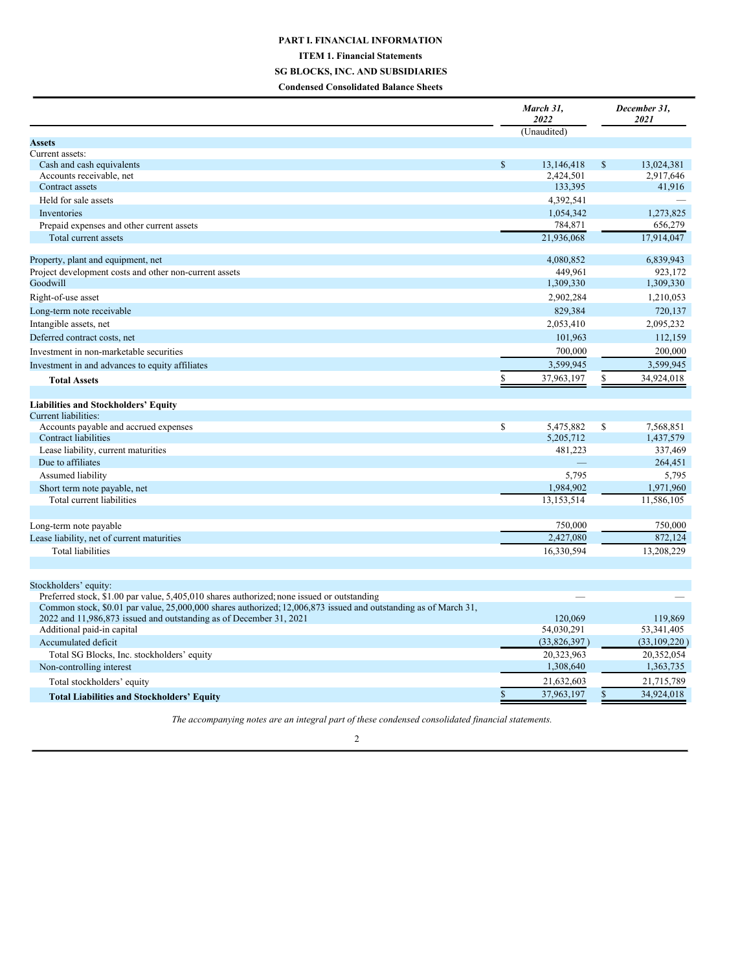# <span id="page-2-1"></span><span id="page-2-0"></span>**PART I. FINANCIAL INFORMATION ITEM 1. Financial Statements SG BLOCKS, INC. AND SUBSIDIARIES Condensed Consolidated Balance Sheets**

|                                                                                                                 | March 31,<br>2022 |              | December 31,<br>2021 |                |  |
|-----------------------------------------------------------------------------------------------------------------|-------------------|--------------|----------------------|----------------|--|
|                                                                                                                 |                   | (Unaudited)  |                      |                |  |
| Assets                                                                                                          |                   |              |                      |                |  |
| Current assets:                                                                                                 |                   |              |                      |                |  |
| Cash and cash equivalents                                                                                       | $\$$              | 13,146,418   | $\mathbb{S}$         | 13,024,381     |  |
| Accounts receivable, net                                                                                        |                   | 2,424,501    |                      | 2,917,646      |  |
| Contract assets                                                                                                 |                   | 133,395      |                      | 41,916         |  |
| Held for sale assets                                                                                            |                   | 4,392,541    |                      |                |  |
| Inventories                                                                                                     |                   | 1,054,342    |                      | 1,273,825      |  |
| Prepaid expenses and other current assets                                                                       |                   | 784,871      |                      | 656,279        |  |
| Total current assets                                                                                            |                   | 21.936.068   |                      | 17,914,047     |  |
| Property, plant and equipment, net                                                                              |                   | 4,080,852    |                      | 6,839,943      |  |
| Project development costs and other non-current assets                                                          |                   | 449.961      |                      | 923.172        |  |
| Goodwill                                                                                                        |                   | 1,309,330    |                      | 1,309,330      |  |
| Right-of-use asset                                                                                              |                   | 2,902,284    |                      | 1,210,053      |  |
| Long-term note receivable                                                                                       |                   | 829,384      |                      | 720,137        |  |
| Intangible assets, net                                                                                          |                   | 2,053,410    |                      | 2,095,232      |  |
| Deferred contract costs, net                                                                                    |                   | 101,963      |                      | 112,159        |  |
| Investment in non-marketable securities                                                                         |                   | 700,000      |                      | 200,000        |  |
| Investment in and advances to equity affiliates                                                                 |                   | 3,599,945    |                      | 3,599,945      |  |
| <b>Total Assets</b>                                                                                             |                   | 37,963,197   | \$                   | 34,924,018     |  |
|                                                                                                                 |                   |              |                      |                |  |
| <b>Liabilities and Stockholders' Equity</b>                                                                     |                   |              |                      |                |  |
| Current liabilities:                                                                                            |                   |              |                      |                |  |
| Accounts payable and accrued expenses                                                                           | \$                | 5,475,882    | S                    | 7,568,851      |  |
| <b>Contract liabilities</b>                                                                                     |                   | 5,205,712    |                      | 1,437,579      |  |
| Lease liability, current maturities                                                                             |                   | 481,223      |                      | 337,469        |  |
| Due to affiliates                                                                                               |                   |              |                      | 264,451        |  |
| Assumed liability                                                                                               |                   | 5,795        |                      | 5,795          |  |
| Short term note payable, net                                                                                    |                   | 1,984,902    |                      | 1,971,960      |  |
| Total current liabilities                                                                                       |                   | 13,153,514   |                      | 11,586,105     |  |
|                                                                                                                 |                   |              |                      |                |  |
| Long-term note payable                                                                                          |                   | 750,000      |                      | 750,000        |  |
| Lease liability, net of current maturities                                                                      |                   | 2,427,080    |                      | 872,124        |  |
| <b>Total liabilities</b>                                                                                        |                   | 16,330,594   |                      | 13,208,229     |  |
|                                                                                                                 |                   |              |                      |                |  |
| Stockholders' equity:                                                                                           |                   |              |                      |                |  |
| Preferred stock, \$1.00 par value, 5,405,010 shares authorized; none issued or outstanding                      |                   |              |                      |                |  |
| Common stock, \$0.01 par value, 25,000,000 shares authorized; 12,006,873 issued and outstanding as of March 31, |                   |              |                      |                |  |
| 2022 and 11,986,873 issued and outstanding as of December 31, 2021                                              |                   | 120,069      |                      | 119,869        |  |
| Additional paid-in capital                                                                                      |                   | 54,030,291   |                      | 53,341,405     |  |
| Accumulated deficit                                                                                             |                   | (33,826,397) |                      | (33, 109, 220) |  |
| Total SG Blocks, Inc. stockholders' equity                                                                      |                   | 20,323,963   |                      | 20,352,054     |  |
| Non-controlling interest                                                                                        |                   | 1,308,640    |                      | 1,363,735      |  |
| Total stockholders' equity                                                                                      |                   | 21,632,603   |                      | 21,715,789     |  |
| <b>Total Liabilities and Stockholders' Equity</b>                                                               | \$                | 37,963,197   | \$                   | 34,924,018     |  |
|                                                                                                                 |                   |              |                      |                |  |

*The accompanying notes are an integral part of these condensed consolidated financial statements.*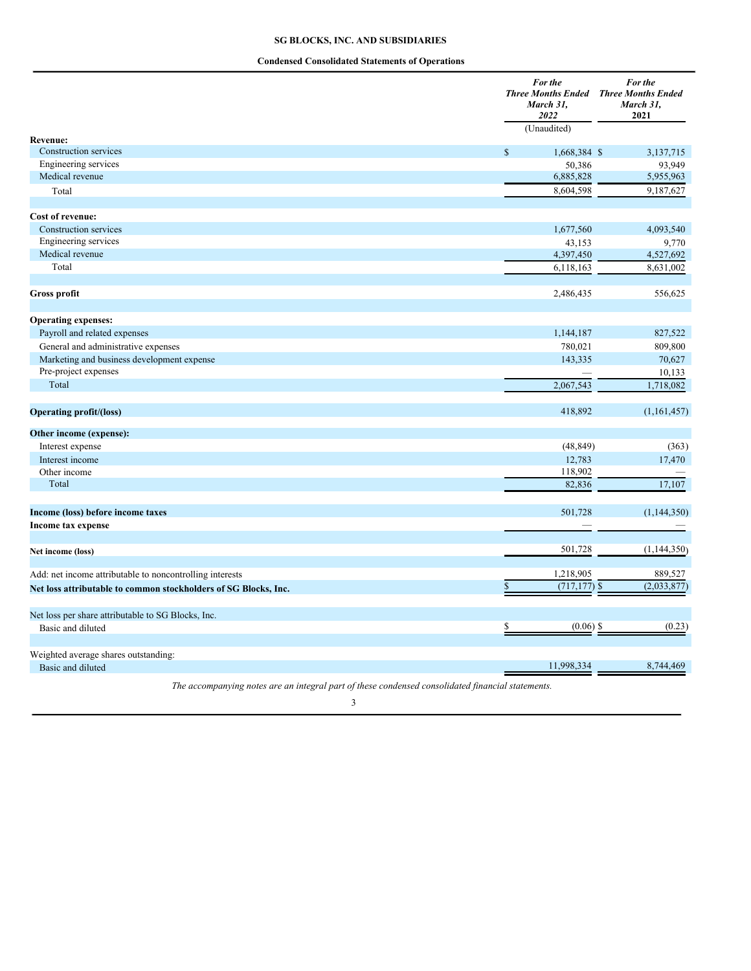# <span id="page-3-0"></span>**Condensed Consolidated Statements of Operations**

|                                                                                                   | For the<br>March 31,<br>2022 | For the<br><b>Three Months Ended Three Months Ended</b><br>March 31,<br>2021 |
|---------------------------------------------------------------------------------------------------|------------------------------|------------------------------------------------------------------------------|
|                                                                                                   | (Unaudited)                  |                                                                              |
| <b>Revenue:</b><br>Construction services                                                          | $\mathbb{S}$<br>1,668,384 \$ | 3,137,715                                                                    |
| Engineering services                                                                              |                              | 93,949                                                                       |
| Medical revenue                                                                                   | 50,386<br>6,885,828          | 5,955,963                                                                    |
| Total                                                                                             | 8,604,598                    | 9,187,627                                                                    |
|                                                                                                   |                              |                                                                              |
| <b>Cost of revenue:</b>                                                                           |                              |                                                                              |
| <b>Construction services</b>                                                                      | 1,677,560                    | 4,093,540                                                                    |
| Engineering services                                                                              | 43,153                       | 9,770                                                                        |
| Medical revenue                                                                                   | 4,397,450                    | 4,527,692                                                                    |
| Total                                                                                             | 6,118,163                    | 8,631,002                                                                    |
|                                                                                                   |                              |                                                                              |
| <b>Gross profit</b>                                                                               | 2,486,435                    | 556,625                                                                      |
| <b>Operating expenses:</b>                                                                        |                              |                                                                              |
| Payroll and related expenses                                                                      | 1,144,187                    | 827,522                                                                      |
| General and administrative expenses                                                               | 780,021                      | 809,800                                                                      |
| Marketing and business development expense                                                        | 143,335                      | 70,627                                                                       |
| Pre-project expenses                                                                              |                              | 10,133                                                                       |
| Total                                                                                             | 2,067,543                    | 1,718,082                                                                    |
| <b>Operating profit/(loss)</b>                                                                    | 418,892                      | (1,161,457)                                                                  |
|                                                                                                   |                              |                                                                              |
| Other income (expense):                                                                           |                              |                                                                              |
| Interest expense<br>Interest income                                                               | (48, 849)                    | (363)                                                                        |
| Other income                                                                                      | 12,783<br>118,902            | 17,470                                                                       |
| Total                                                                                             | 82,836                       | 17,107                                                                       |
|                                                                                                   |                              |                                                                              |
| Income (loss) before income taxes                                                                 | 501,728                      | (1, 144, 350)                                                                |
| Income tax expense                                                                                |                              |                                                                              |
| Net income (loss)                                                                                 | 501,728                      | (1,144,350)                                                                  |
|                                                                                                   |                              |                                                                              |
| Add: net income attributable to noncontrolling interests                                          | 1,218,905                    | 889,527                                                                      |
| Net loss attributable to common stockholders of SG Blocks, Inc.                                   | (717, 177)<br>\$             | (2,033,877)<br>$\mathbb{S}$                                                  |
| Net loss per share attributable to SG Blocks, Inc.                                                |                              |                                                                              |
| Basic and diluted                                                                                 | $(0.06)$ \$                  | (0.23)                                                                       |
|                                                                                                   |                              |                                                                              |
| Weighted average shares outstanding:                                                              |                              |                                                                              |
| Basic and diluted                                                                                 | 11,998,334                   | 8,744,469                                                                    |
| The accompanying notes are an integral part of these condensed consolidated financial statements. |                              |                                                                              |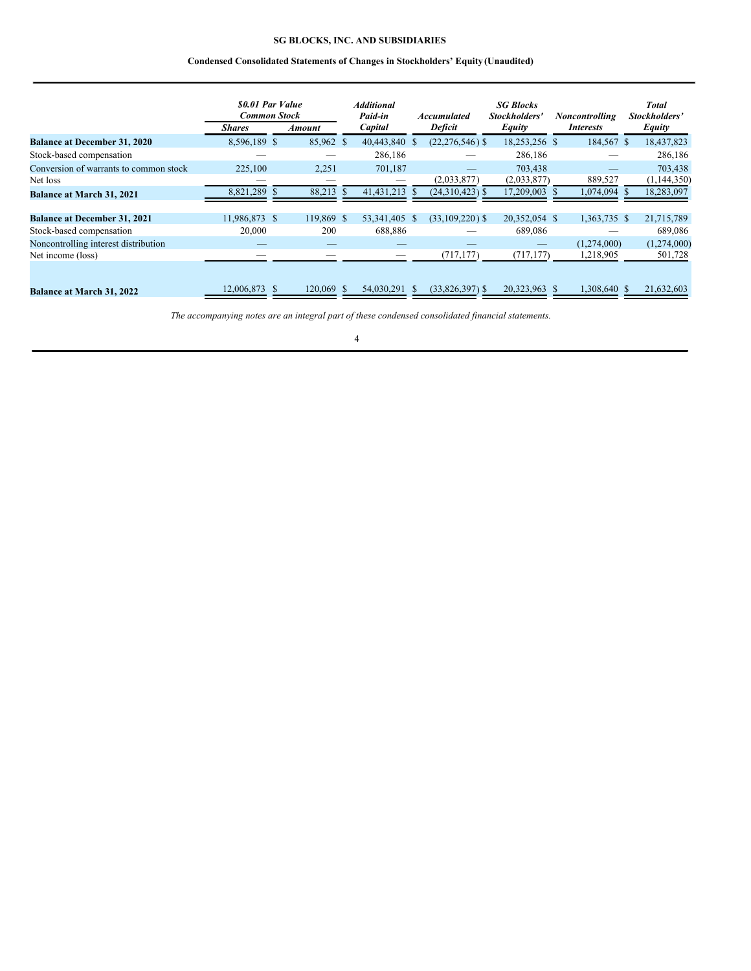# <span id="page-4-0"></span>**Condensed Consolidated Statements of Changes in Stockholders' Equity (Unaudited)**

|                                        |               | \$0.01 Par Value<br><b>Common Stock</b> | <b>Additional</b><br>Paid-in | <i>Accumulated</i>        | <b>SG Blocks</b><br>Stockholders' | Noncontrolling   | <b>Total</b><br>Stockholders' |
|----------------------------------------|---------------|-----------------------------------------|------------------------------|---------------------------|-----------------------------------|------------------|-------------------------------|
|                                        | <b>Shares</b> | Amount                                  | Capital                      | <b>Deficit</b>            | Equity                            | <i>Interests</i> | <b>Equity</b>                 |
| <b>Balance at December 31, 2020</b>    | 8,596,189 \$  | 85,962 \$                               | 40,443,840                   | $(22, 276, 546)$ \$<br>-S | 18,253,256 \$                     | 184,567 \$       | 18,437,823                    |
| Stock-based compensation               |               |                                         | 286,186                      |                           | 286,186                           |                  | 286,186                       |
| Conversion of warrants to common stock | 225,100       | 2,251                                   | 701,187                      |                           | 703.438                           |                  | 703.438                       |
| Net loss                               |               |                                         |                              | (2,033,877)               | (2,033,877)                       | 889,527          | (1,144,350)                   |
| <b>Balance at March 31, 2021</b>       | 8,821,289 \$  | 88,213                                  | 41, 431, 213                 | $(24,310,423)$ \$<br>-8   | 17,209,003                        | 1,074,094 \$     | 18,283,097                    |
| <b>Balance at December 31, 2021</b>    | 11,986,873 \$ | 119,869 \$                              | 53,341,405 \$                | $(33, 109, 220)$ \$       | 20,352,054 \$                     | 1,363,735 \$     | 21,715,789                    |
| Stock-based compensation               | 20,000        | 200                                     | 688,886                      |                           | 689,086                           |                  | 689,086                       |
| Noncontrolling interest distribution   |               |                                         |                              |                           |                                   | (1,274,000)      | (1,274,000)                   |
| Net income (loss)                      |               |                                         |                              | (717, 177)                | (717, 177)                        | 1,218,905        | 501,728                       |
|                                        |               |                                         |                              |                           |                                   |                  |                               |
| <b>Balance at March 31, 2022</b>       | 12,006,873 \$ | 120,069 \$                              | 54,030,291                   | $(33,826,397)$ \$         | 20,323,963 \$                     | 1,308,640 \$     | 21,632,603                    |

*The accompanying notes are an integral part of these condensed consolidated financial statements.*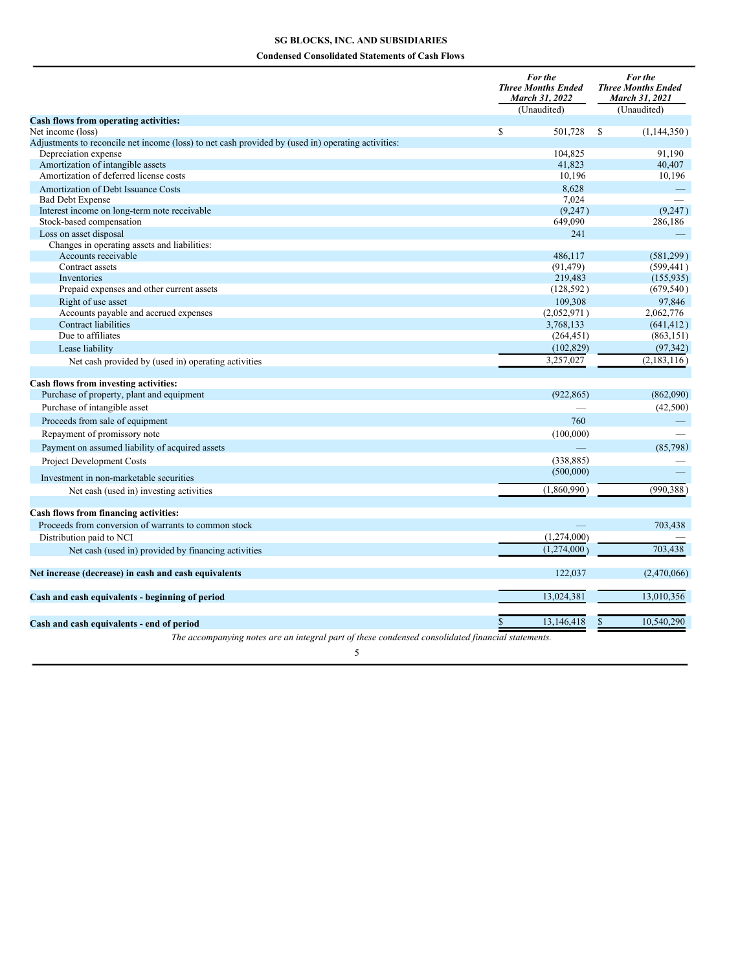# <span id="page-5-0"></span>**Condensed Consolidated Statements of Cash Flows**

|                                                                                                    | For the<br><b>Three Months Ended</b><br><b>March 31, 2022</b><br>(Unaudited) | For the<br><b>Three Months Ended</b><br><b>March 31, 2021</b><br>(Unaudited) |  |
|----------------------------------------------------------------------------------------------------|------------------------------------------------------------------------------|------------------------------------------------------------------------------|--|
| Cash flows from operating activities:                                                              |                                                                              |                                                                              |  |
| Net income (loss)                                                                                  | \$<br>501,728                                                                | <b>S</b><br>(1,144,350)                                                      |  |
| Adjustments to reconcile net income (loss) to net cash provided by (used in) operating activities: |                                                                              |                                                                              |  |
| Depreciation expense                                                                               | 104.825                                                                      | 91.190                                                                       |  |
| Amortization of intangible assets                                                                  | 41.823                                                                       | 40,407                                                                       |  |
| Amortization of deferred license costs                                                             | 10,196                                                                       | 10,196                                                                       |  |
| Amortization of Debt Issuance Costs                                                                | 8.628                                                                        |                                                                              |  |
| <b>Bad Debt Expense</b>                                                                            | 7,024                                                                        |                                                                              |  |
| Interest income on long-term note receivable                                                       | (9,247)                                                                      | (9, 247)                                                                     |  |
| Stock-based compensation                                                                           | 649,090                                                                      | 286,186                                                                      |  |
| Loss on asset disposal                                                                             | 241                                                                          |                                                                              |  |
| Changes in operating assets and liabilities:                                                       |                                                                              |                                                                              |  |
| Accounts receivable                                                                                | 486,117                                                                      | (581, 299)                                                                   |  |
| Contract assets                                                                                    | (91, 479)                                                                    | (599, 441)                                                                   |  |
| Inventories                                                                                        | 219,483                                                                      | (155, 935)                                                                   |  |
| Prepaid expenses and other current assets                                                          | (128, 592)                                                                   | (679, 540)                                                                   |  |
| Right of use asset                                                                                 | 109,308                                                                      | 97,846                                                                       |  |
| Accounts payable and accrued expenses                                                              | (2,052,971)                                                                  | 2,062,776                                                                    |  |
| <b>Contract liabilities</b>                                                                        | 3,768,133                                                                    | (641, 412)                                                                   |  |
| Due to affiliates                                                                                  | (264, 451)                                                                   | (863, 151)                                                                   |  |
| Lease liability                                                                                    | (102, 829)                                                                   | (97, 342)                                                                    |  |
| Net cash provided by (used in) operating activities                                                | 3,257,027                                                                    | (2,183,116)                                                                  |  |
|                                                                                                    |                                                                              |                                                                              |  |
| Cash flows from investing activities:                                                              |                                                                              |                                                                              |  |
| Purchase of property, plant and equipment                                                          | (922, 865)                                                                   | (862,090)                                                                    |  |
| Purchase of intangible asset                                                                       |                                                                              | (42,500)                                                                     |  |
|                                                                                                    | 760                                                                          |                                                                              |  |
| Proceeds from sale of equipment                                                                    |                                                                              |                                                                              |  |
| Repayment of promissory note                                                                       | (100,000)                                                                    |                                                                              |  |
| Payment on assumed liability of acquired assets                                                    |                                                                              | (85, 798)                                                                    |  |
| <b>Project Development Costs</b>                                                                   | (338, 885)                                                                   |                                                                              |  |
|                                                                                                    | (500,000)                                                                    |                                                                              |  |
| Investment in non-marketable securities                                                            |                                                                              |                                                                              |  |
| Net cash (used in) investing activities                                                            | (1,860,990)                                                                  | (990, 388)                                                                   |  |
|                                                                                                    |                                                                              |                                                                              |  |
| Cash flows from financing activities:                                                              |                                                                              |                                                                              |  |
| Proceeds from conversion of warrants to common stock                                               |                                                                              | 703,438                                                                      |  |
| Distribution paid to NCI                                                                           | (1,274,000)                                                                  |                                                                              |  |
| Net cash (used in) provided by financing activities                                                | (1,274,000)                                                                  | 703.438                                                                      |  |
| Net increase (decrease) in cash and cash equivalents                                               | 122,037                                                                      | (2,470,066)                                                                  |  |
| Cash and cash equivalents - beginning of period                                                    | 13,024,381                                                                   | 13,010,356                                                                   |  |
| Cash and cash equivalents - end of period                                                          | 13,146,418                                                                   | 10,540,290<br>S                                                              |  |
| The accompanying notes are an integral part of these condensed consolidated financial statements.  |                                                                              |                                                                              |  |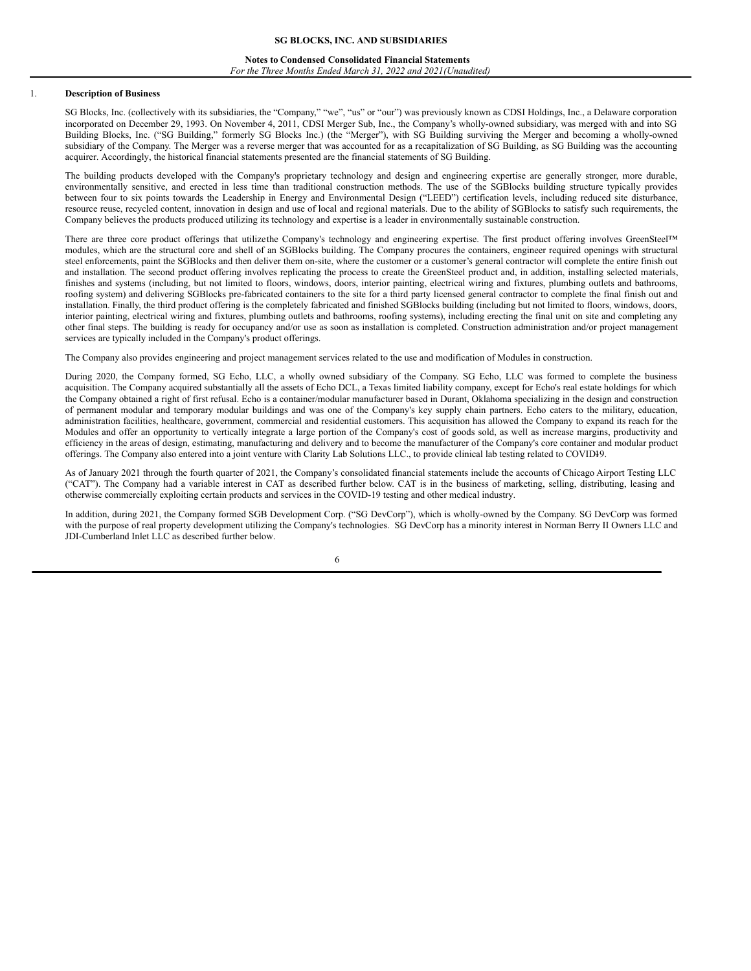# 1. **Description of Business**

<span id="page-6-0"></span>SG Blocks, Inc. (collectively with its subsidiaries, the "Company," "we", "us" or "our") was previously known as CDSI Holdings, Inc., a Delaware corporation incorporated on December 29, 1993. On November 4, 2011, CDSI Merger Sub, Inc., the Company's wholly-owned subsidiary, was merged with and into SG Building Blocks, Inc. ("SG Building," formerly SG Blocks Inc.) (the "Merger"), with SG Building surviving the Merger and becoming a wholly-owned subsidiary of the Company. The Merger was a reverse merger that was accounted for as a recapitalization of SG Building, as SG Building was the accounting acquirer. Accordingly, the historical financial statements presented are the financial statements of SG Building.

The building products developed with the Company's proprietary technology and design and engineering expertise are generally stronger, more durable, environmentally sensitive, and erected in less time than traditional construction methods. The use of the SGBlocks building structure typically provides between four to six points towards the Leadership in Energy and Environmental Design ("LEED") certification levels, including reduced site disturbance, resource reuse, recycled content, innovation in design and use of local and regional materials. Due to the ability of SGBlocks to satisfy such requirements, the Company believes the products produced utilizing its technology and expertise is a leader in environmentally sustainable construction.

There are three core product offerings that utilizethe Company's technology and engineering expertise. The first product offering involves GreenSteel™ modules, which are the structural core and shell of an SGBlocks building. The Company procures the containers, engineer required openings with structural steel enforcements, paint the SGBlocks and then deliver them on-site, where the customer or a customer's general contractor will complete the entire finish out and installation. The second product offering involves replicating the process to create the GreenSteel product and, in addition, installing selected materials, finishes and systems (including, but not limited to floors, windows, doors, interior painting, electrical wiring and fixtures, plumbing outlets and bathrooms, roofing system) and delivering SGBlocks pre-fabricated containers to the site for a third party licensed general contractor to complete the final finish out and installation. Finally, the third product offering is the completely fabricated and finished SGBlocks building (including but not limited to floors, windows, doors, interior painting, electrical wiring and fixtures, plumbing outlets and bathrooms, roofing systems), including erecting the final unit on site and completing any other final steps. The building is ready for occupancy and/or use as soon as installation is completed. Construction administration and/or project management services are typically included in the Company's product offerings.

The Company also provides engineering and project management services related to the use and modification of Modules in construction.

During 2020, the Company formed, SG Echo, LLC, a wholly owned subsidiary of the Company. SG Echo, LLC was formed to complete the business acquisition. The Company acquired substantially all the assets of Echo DCL, a Texas limited liability company, except for Echo's real estate holdings for which the Company obtained a right of first refusal. Echo is a container/modular manufacturer based in Durant, Oklahoma specializing in the design and construction of permanent modular and temporary modular buildings and was one of the Company's key supply chain partners. Echo caters to the military, education, administration facilities, healthcare, government, commercial and residential customers. This acquisition has allowed the Company to expand its reach for the Modules and offer an opportunity to vertically integrate a large portion of the Company's cost of goods sold, as well as increase margins, productivity and efficiency in the areas of design, estimating, manufacturing and delivery and to become the manufacturer of the Company's core container and modular product offerings. The Company also entered into a joint venture with Clarity Lab Solutions LLC., to provide clinical lab testing related to COVID1-9.

As of January 2021 through the fourth quarter of 2021, the Company's consolidated financial statements include the accounts of Chicago Airport Testing LLC ("CAT"). The Company had a variable interest in CAT as described further below. CAT is in the business of marketing, selling, distributing, leasing and otherwise commercially exploiting certain products and services in the COVID-19 testing and other medical industry.

In addition, during 2021, the Company formed SGB Development Corp. ("SG DevCorp"), which is wholly-owned by the Company. SG DevCorp was formed with the purpose of real property development utilizing the Company's technologies. SG DevCorp has a minority interest in Norman Berry II Owners LLC and JDI-Cumberland Inlet LLC as described further below.

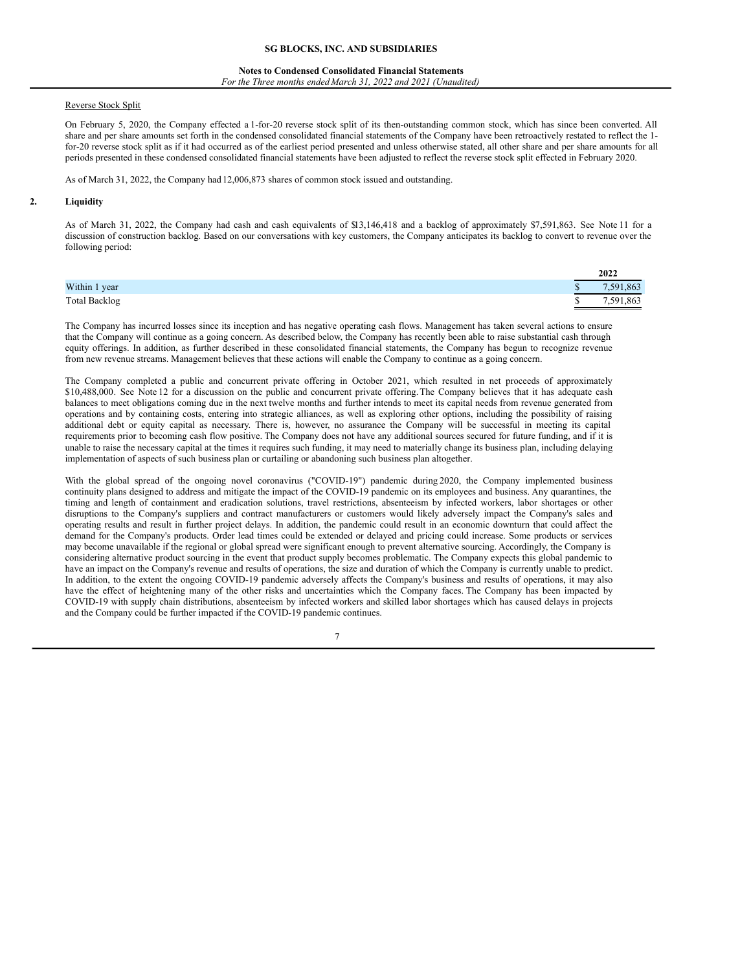#### **Notes to Condensed Consolidated Financial Statements** *For the Three months ended March 31, 2022 and 2021 (Unaudited)*

#### Reverse Stock Split

On February 5, 2020, the Company effected a 1-for-20 reverse stock split of its then-outstanding common stock, which has since been converted. All share and per share amounts set forth in the condensed consolidated financial statements of the Company have been retroactively restated to reflect the 1 for-20 reverse stock split as if it had occurred as of the earliest period presented and unless otherwise stated, all other share and per share amounts for all periods presented in these condensed consolidated financial statements have been adjusted to reflect the reverse stock split effected in February 2020.

As of March 31, 2022, the Company had 12,006,873 shares of common stock issued and outstanding.

#### **2. Liquidity**

As of March 31, 2022, the Company had cash and cash equivalents of \$13,146,418 and a backlog of approximately \$7,591,863. See Note 11 for a discussion of construction backlog. Based on our conversations with key customers, the Company anticipates its backlog to convert to revenue over the following period:

|                      | 2022      |
|----------------------|-----------|
| Within 1 year        | 7,591,863 |
| <b>Total Backlog</b> | 7.591.863 |

The Company has incurred losses since its inception and has negative operating cash flows. Management has taken several actions to ensure that the Company will continue as a going concern. As described below, the Company has recently been able to raise substantial cash through equity offerings. In addition, as further described in these consolidated financial statements, the Company has begun to recognize revenue from new revenue streams. Management believes that these actions will enable the Company to continue as a going concern.

The Company completed a public and concurrent private offering in October 2021, which resulted in net proceeds of approximately \$10,488,000. See Note 12 for a discussion on the public and concurrent private offering.The Company believes that it has adequate cash balances to meet obligations coming due in the next twelve months and further intends to meet its capital needs from revenue generated from operations and by containing costs, entering into strategic alliances, as well as exploring other options, including the possibility of raising additional debt or equity capital as necessary. There is, however, no assurance the Company will be successful in meeting its capital requirements prior to becoming cash flow positive. The Company does not have any additional sources secured for future funding, and if it is unable to raise the necessary capital at the times it requires such funding, it may need to materially change its business plan, including delaying implementation of aspects of such business plan or curtailing or abandoning such business plan altogether.

With the global spread of the ongoing novel coronavirus ("COVID-19") pandemic during 2020, the Company implemented business continuity plans designed to address and mitigate the impact of the COVID-19 pandemic on its employees and business. Any quarantines, the timing and length of containment and eradication solutions, travel restrictions, absenteeism by infected workers, labor shortages or other disruptions to the Company's suppliers and contract manufacturers or customers would likely adversely impact the Company's sales and operating results and result in further project delays. In addition, the pandemic could result in an economic downturn that could affect the demand for the Company's products. Order lead times could be extended or delayed and pricing could increase. Some products or services may become unavailable if the regional or global spread were significant enough to prevent alternative sourcing. Accordingly, the Company is considering alternative product sourcing in the event that product supply becomes problematic. The Company expects this global pandemic to have an impact on the Company's revenue and results of operations, the size and duration of which the Company is currently unable to predict. In addition, to the extent the ongoing COVID-19 pandemic adversely affects the Company's business and results of operations, it may also have the effect of heightening many of the other risks and uncertainties which the Company faces. The Company has been impacted by COVID-19 with supply chain distributions, absenteeism by infected workers and skilled labor shortages which has caused delays in projects and the Company could be further impacted if the COVID-19 pandemic continues.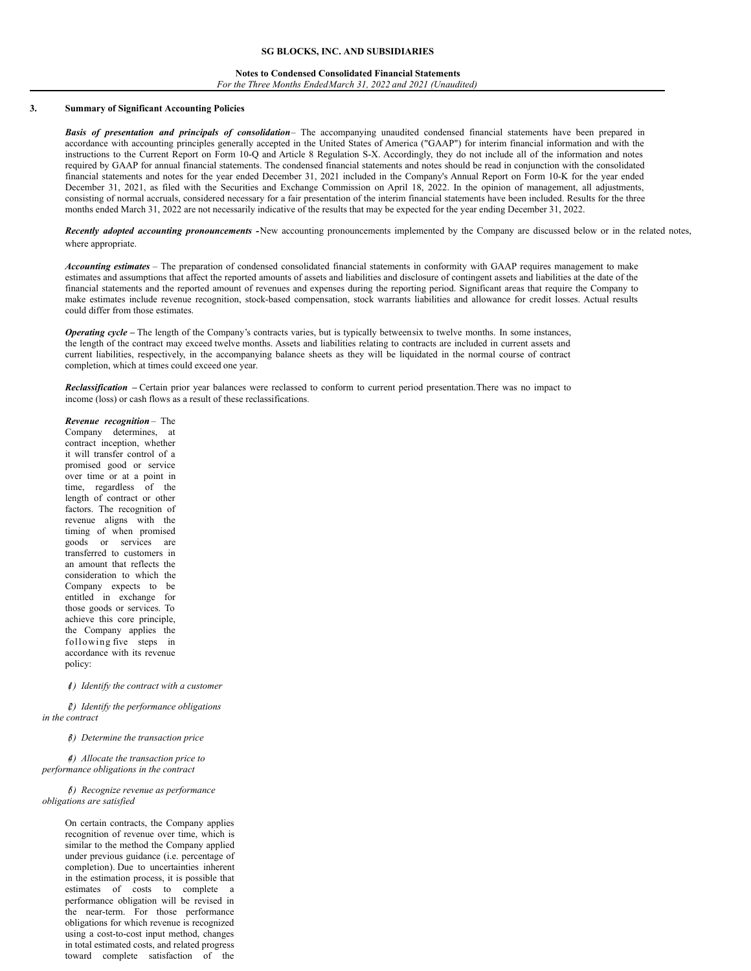#### **Notes to Condensed Consolidated Financial Statements** *For the Three Months EndedMarch 31, 2022 and 2021 (Unaudited)*

# **3. Summary of Significant Accounting Policies**

*Basis of presentation and principals of consolidation*– The accompanying unaudited condensed financial statements have been prepared in accordance with accounting principles generally accepted in the United States of America ("GAAP") for interim financial information and with the instructions to the Current Report on Form 10-Q and Article 8 Regulation S-X. Accordingly, they do not include all of the information and notes required by GAAP for annual financial statements. The condensed financial statements and notes should be read in conjunction with the consolidated financial statements and notes for the year ended December 31, 2021 included in the Company's Annual Report on Form 10-K for the year ended December 31, 2021, as filed with the Securities and Exchange Commission on April 18, 2022. In the opinion of management, all adjustments, consisting of normal accruals, considered necessary for a fair presentation of the interim financial statements have been included. Results for the three months ended March 31, 2022 are not necessarily indicative of the results that may be expected for the year ending December 31, 2022.

*Recently adopted accounting pronouncements -*New accounting pronouncements implemented by the Company are discussed below or in the related notes, where appropriate.

*Accounting estimates* – The preparation of condensed consolidated financial statements in conformity with GAAP requires management to make estimates and assumptions that affect the reported amounts of assets and liabilities and disclosure of contingent assets and liabilities at the date of the financial statements and the reported amount of revenues and expenses during the reporting period. Significant areas that require the Company to make estimates include revenue recognition, stock-based compensation, stock warrants liabilities and allowance for credit losses. Actual results could differ from those estimates.

*Operating cycle –* The length of the Company's contracts varies, but is typically betweensix to twelve months. In some instances, the length of the contract may exceed twelve months. Assets and liabilities relating to contracts are included in current assets and current liabilities, respectively, in the accompanying balance sheets as they will be liquidated in the normal course of contract completion, which at times could exceed one year.

*Reclassification –* Certain prior year balances were reclassed to conform to current period presentation.There was no impact to income (loss) or cash flows as a result of these reclassifications.

*Revenue recognition* – The Company determines, at contract inception, whether it will transfer control of a promised good or service over time or at a point in time, regardless of the length of contract or other factors. The recognition of revenue aligns with the timing of when promised goods or services are transferred to customers in an amount that reflects the consideration to which the Company expects to be entitled in exchange for those goods or services. To achieve this core principle, the Company applies the following five steps in accordance with its revenue policy:

*(1) Identify the contract with a customer*

*(2) Identify the performance obligations in the contract*

*(3) Determine the transaction price*

*(4) Allocate the transaction price to performance obligations in the contract*

#### *(5) Recognize revenue as performance obligations are satisfied*

On certain contracts, the Company applies recognition of revenue over time, which is similar to the method the Company applied under previous guidance (i.e. percentage of completion). Due to uncertainties inherent in the estimation process, it is possible that estimates of costs to complete a performance obligation will be revised in the near-term. For those performance obligations for which revenue is recognized using a cost-to-cost input method, changes in total estimated costs, and related progress toward complete satisfaction of the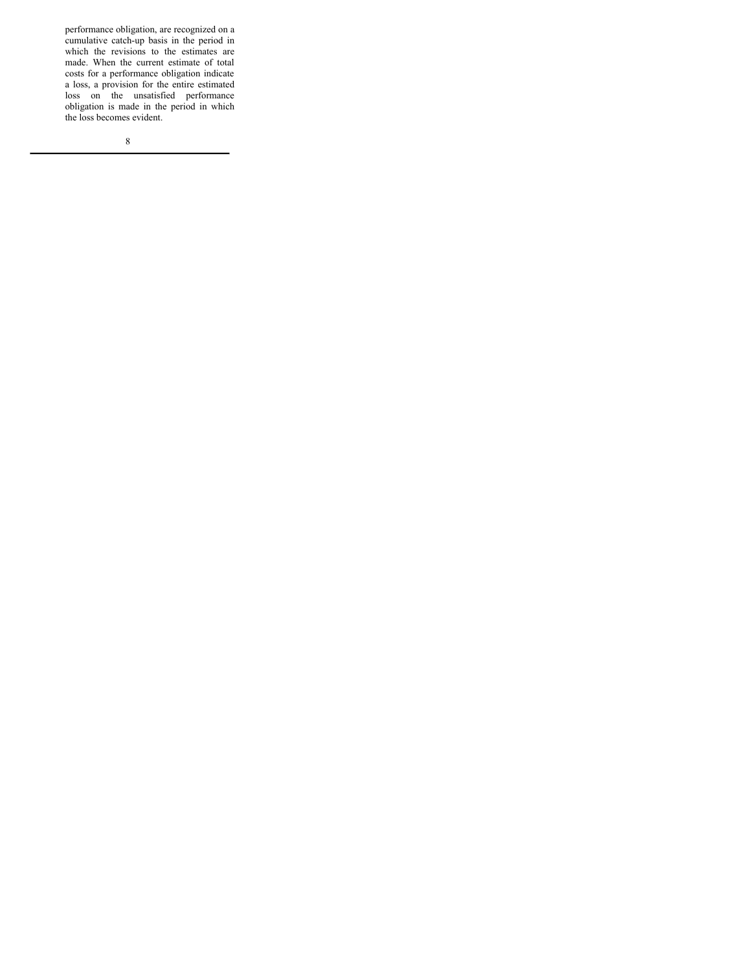performance obligation, are recognized on a cumulative catch-up basis in the period in which the revisions to the estimates are made. When the current estimate of total costs for a performance obligation indicate a loss, a provision for the entire estimated loss on the unsatisfied performance obligation is made in the period in which the loss becomes evident.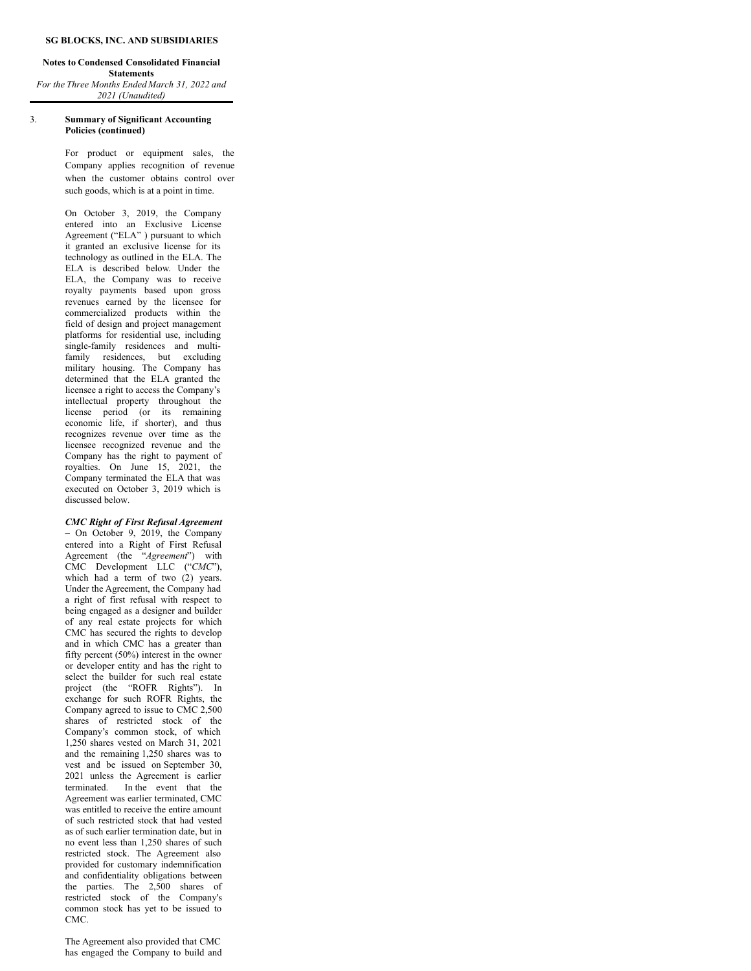# **Notes to Condensed Consolidated Financial**

**Statements** *For the Three Months Ended March 31, 2022 and 2021 (Unaudited)*

# 3. **Summary of Significant Accounting Policies (continued)**

For product or equipment sales, the Company applies recognition of revenue when the customer obtains control over such goods, which is at a point in time.

On October 3, 2019, the Company entered into an Exclusive License Agreement ("ELA" ) pursuant to which it granted an exclusive license for its technology as outlined in the ELA. The ELA is described below. Under the ELA, the Company was to receive royalty payments based upon gross revenues earned by the licensee for commercialized products within the field of design and project management platforms for residential use, including single-family residences and multifamily residences, but excluding military housing. The Company has determined that the ELA granted the licensee a right to access the Company's intellectual property throughout the license period (or its remaining economic life, if shorter), and thus recognizes revenue over time as the licensee recognized revenue and the Company has the right to payment of royalties. On June 15, 2021, the Company terminated the ELA that was executed on October 3, 2019 which is discussed below.

*CMC Right of First Refusal Agreement –* On October 9, 2019, the Company entered into a Right of First Refusal Agreement (the "*Agreement*") with CMC Development LLC ("*CMC*"), which had a term of two (2) years. Under the Agreement, the Company had a right of first refusal with respect to being engaged as a designer and builder of any real estate projects for which CMC has secured the rights to develop and in which CMC has a greater than fifty percent (50%) interest in the owner or developer entity and has the right to select the builder for such real estate project (the "ROFR Rights"). In exchange for such ROFR Rights, the Company agreed to issue to CMC 2,500 shares of restricted stock of the Company's common stock, of which 1,250 shares vested on March 31, 2021 and the remaining 1,250 shares was to vest and be issued on September 30, 2021 unless the Agreement is earlier terminated. In the event that the Agreement was earlier terminated, CMC was entitled to receive the entire amount of such restricted stock that had vested as of such earlier termination date, but in no event less than 1,250 shares of such restricted stock. The Agreement also provided for customary indemnification and confidentiality obligations between the parties. The 2,500 shares of restricted stock of the Company's common stock has yet to be issued to CMC.

The Agreement also provided that CMC has engaged the Company to build and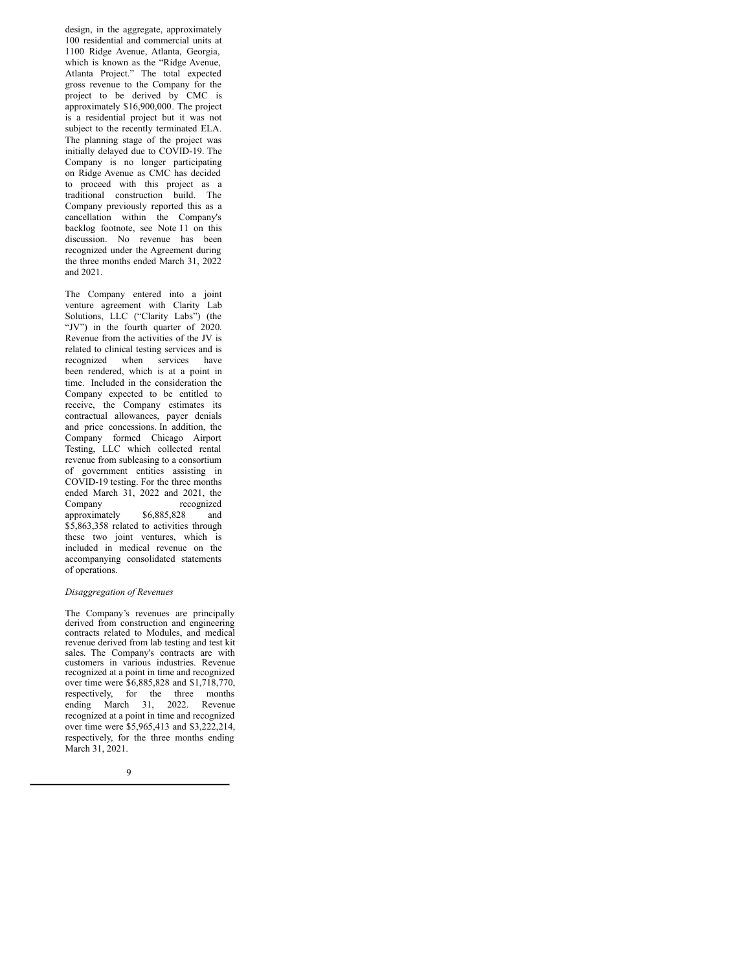design, in the aggregate, approximately 100 residential and commercial units at 1100 Ridge Avenue, Atlanta, Georgia, which is known as the "Ridge Avenue, Atlanta Project." The total expected gross revenue to the Company for the project to be derived by CMC is approximately \$16,900,000. The project is a residential project but it was not subject to the recently terminated ELA. The planning stage of the project was initially delayed due to COVID-19. The Company is no longer participating on Ridge Avenue as CMC has decided to proceed with this project as a traditional construction build. The Company previously reported this as a cancellation within the Company's backlog footnote, see Note 11 on this discussion. No revenue has been recognized under the Agreement during the three months ended March 31, 2022 and 2021.

The Company entered into a joint venture agreement with Clarity Lab Solutions, LLC ("Clarity Labs") (the "JV") in the fourth quarter of 2020. Revenue from the activities of the JV is related to clinical testing services and is recognized when services have been rendered, which is at a point in time. Included in the consideration the Company expected to be entitled to receive, the Company estimates its contractual allowances, payer denials and price concessions. In addition, the Company formed Chicago Airport Testing, LLC which collected rental revenue from subleasing to a consortium of government entities assisting in COVID-19 testing. For the three months ended March 31, 2022 and 2021, the Company recognized<br>approximately \$6,885,828 and approximately \$6,885,828 and \$5,863,358 related to activities through these two joint ventures, which is included in medical revenue on the accompanying consolidated statements of operations.

# *Disaggregation of Revenues*

The Company's revenues are principally derived from construction and engineering contracts related to Modules, and medical revenue derived from lab testing and test kit sales. The Company's contracts are with customers in various industries. Revenue recognized at a point in time and recognized over time were \$6,885,828 and \$1,718,770, respectively, for the three months ending March 31, 2022. Revenue recognized at a point in time and recognized over time were \$5,965,413 and \$3,222,214, respectively, for the three months ending March 31, 2021.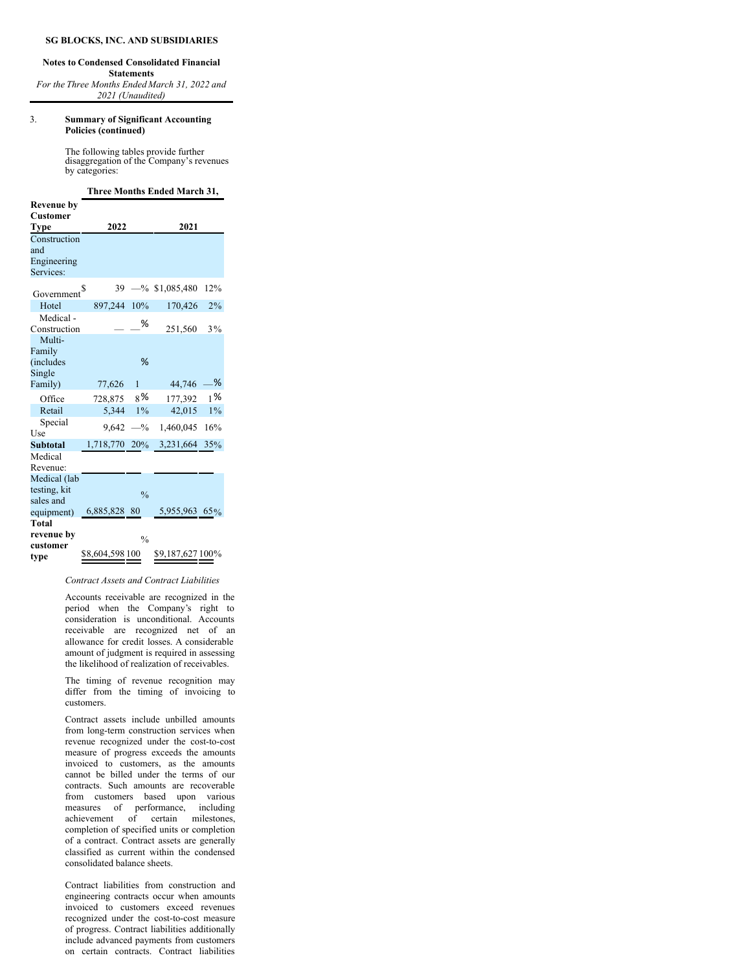# **Notes to Condensed Consolidated Financial**

**Statements** *For the Three Months Ended March 31, 2022 and 2021 (Unaudited)*

#### 3. **Summary of Significant Accounting Policies (continued)**

The following tables provide further disaggregation of the Company's revenues by categories:

**Three Months Ended March 31,**

| <b>Revenue by</b>        |                 |               |                   |       |
|--------------------------|-----------------|---------------|-------------------|-------|
| <b>Customer</b>          |                 |               |                   |       |
| Type                     | 2022            |               | 2021              |       |
| Construction             |                 |               |                   |       |
| and                      |                 |               |                   |       |
| Engineering              |                 |               |                   |       |
| Services:                |                 |               |                   |       |
| Governmen                | 39              |               | $-$ % \$1,085,480 | 12%   |
| Hotel                    | 897,244         | 10%           | 170,426           | 2%    |
| Medical-<br>Construction |                 | %             | 251,560           | $3\%$ |
| Multi-                   |                 |               |                   |       |
| Family                   |                 |               |                   |       |
| <i>(includes)</i>        |                 | %             |                   |       |
| Single                   |                 |               |                   |       |
| Family)                  | 77,626          | 1             | 44,746            | %     |
| Office                   | 728,875         | 8%            | 177,392           | 1%    |
| Retail                   | 5,344           | $1\%$         | 42,015            | $1\%$ |
|                          |                 |               |                   |       |
| Special<br>Use           | 9,642           | $-$ %         | 1,460,045         | 16%   |
| <b>Subtotal</b>          | 1,718,770       | 20%           | 3,231,664         | 35%   |
| Medical                  |                 |               |                   |       |
| Revenue:                 |                 |               |                   |       |
| Medical (lab             |                 |               |                   |       |
| testing, kit             |                 | $\frac{0}{0}$ |                   |       |
| sales and                |                 |               |                   |       |
| equipment)               | 6,885,828       | 80            | 5,955,963 65%     |       |
| Total                    |                 |               |                   |       |
| revenue by               |                 | $\frac{0}{0}$ |                   |       |
| customer                 |                 |               |                   |       |
| type                     | \$8,604,598 100 |               | \$9,187,627 100%  |       |

*Contract Assets and Contract Liabilities*

Accounts receivable are recognized in the period when the Company's right to consideration is unconditional. Accounts receivable are recognized net of an allowance for credit losses. A considerable amount of judgment is required in assessing the likelihood of realization of receivables.

The timing of revenue recognition may differ from the timing of invoicing to customers.

Contract assets include unbilled amounts from long-term construction services when revenue recognized under the cost-to-cost measure of progress exceeds the amounts invoiced to customers, as the amounts cannot be billed under the terms of our contracts. Such amounts are recoverable from customers based upon various measures of performance, including achievement of certain milestones, completion of specified units or completion of a contract. Contract assets are generally classified as current within the condensed consolidated balance sheets.

Contract liabilities from construction and engineering contracts occur when amounts invoiced to customers exceed revenues recognized under the cost-to-cost measure of progress. Contract liabilities additionally include advanced payments from customers on certain contracts. Contract liabilities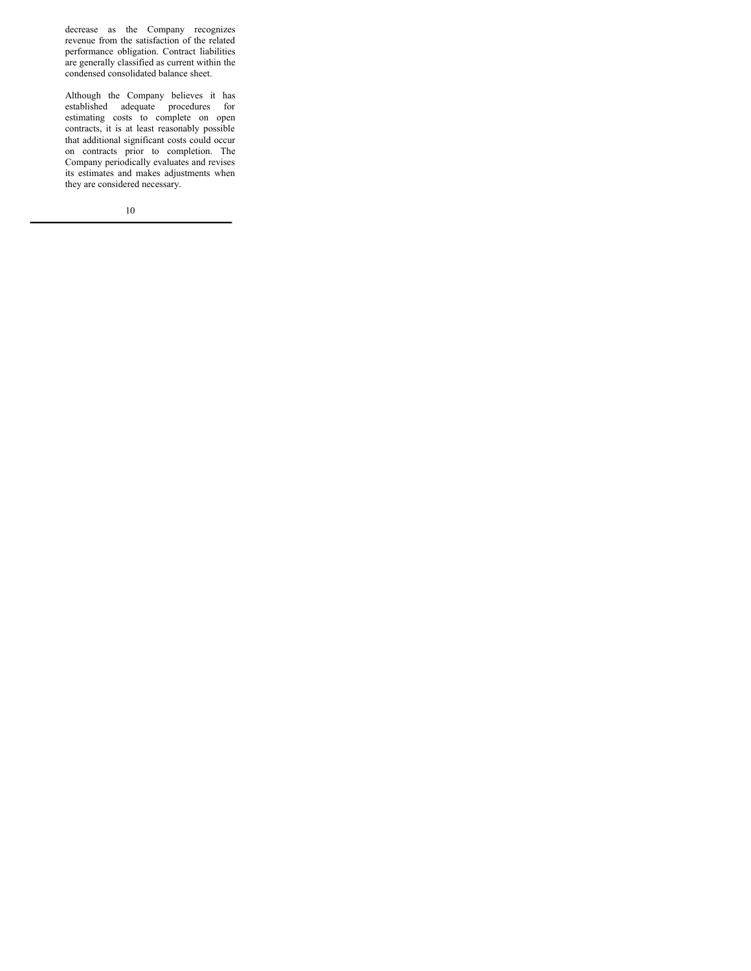decrease as the Company recognizes revenue from the satisfaction of the related performance obligation. Contract liabilities are generally classified as current within the condensed consolidated balance sheet.

Although the Company believes it has established adequate procedures for estimating costs to complete on open contracts, it is at least reasonably possible that additional significant costs could occur on contracts prior to completion. The Company periodically evaluates and revises its estimates and makes adjustments when they are considered necessary.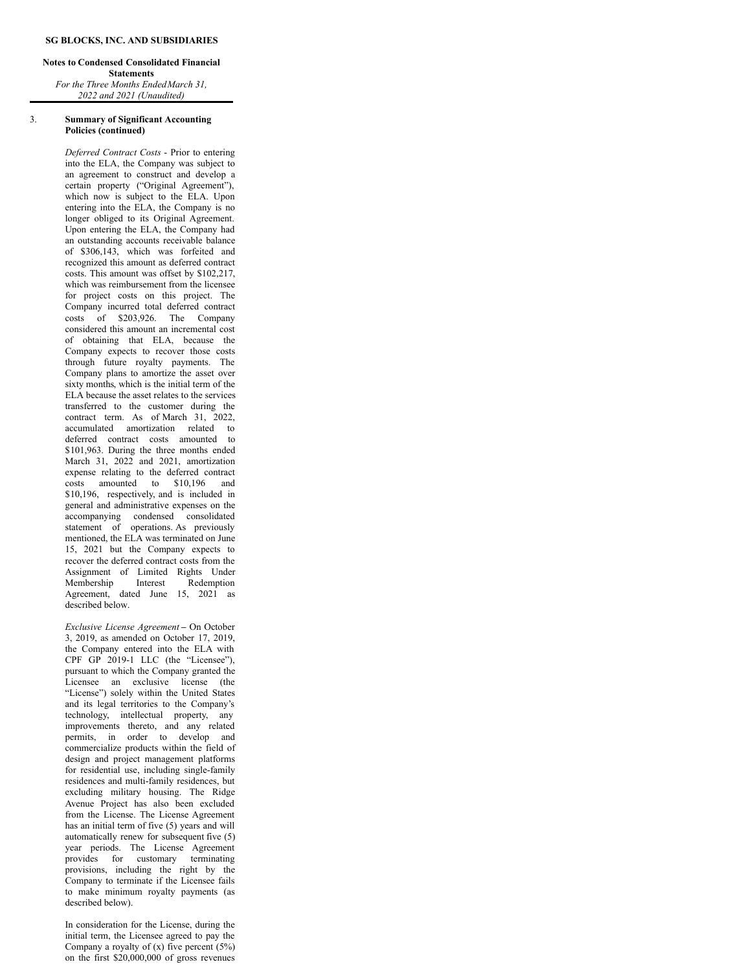# **Notes to Condensed Consolidated Financial**

**Statements** *For the Three Months EndedMarch 31, 2022 and 2021 (Unaudited)*

## 3. **Summary of Significant Accounting Policies (continued)**

*Deferred Contract Costs* - Prior to entering into the ELA, the Company was subject to an agreement to construct and develop a certain property ("Original Agreement"), which now is subject to the ELA. Upon entering into the ELA, the Company is no longer obliged to its Original Agreement. Upon entering the ELA, the Company had an outstanding accounts receivable balance of \$306,143, which was forfeited and recognized this amount as deferred contract costs. This amount was offset by \$102,217, which was reimbursement from the licensee for project costs on this project. The Company incurred total deferred contract costs of \$203,926. The Company considered this amount an incremental cost of obtaining that ELA, because the Company expects to recover those costs through future royalty payments. The Company plans to amortize the asset over sixty months, which is the initial term of the ELA because the asset relates to the services transferred to the customer during the contract term. As of March 31, 2022, accumulated amortization related to deferred contract costs amounted to \$101,963. During the three months ended March 31, 2022 and 2021, amortization expense relating to the deferred contract costs amounted to \$10,196 and \$10,196, respectively, and is included in general and administrative expenses on the accompanying condensed consolidated statement of operations. As previously mentioned, the ELA was terminated on June 15, 2021 but the Company expects to recover the deferred contract costs from the Assignment of Limited Rights Under<br>Membership Interest Redemption Membership Interest Agreement, dated June 15, 2021 as described below.

*Exclusive License Agreement –* On October 3, 2019, as amended on October 17, 2019, the Company entered into the ELA with CPF GP 2019-1 LLC (the "Licensee"), pursuant to which the Company granted the Licensee an exclusive license (the "License") solely within the United States and its legal territories to the Company's technology, intellectual property, any improvements thereto, and any related permits, in order to develop and commercialize products within the field of design and project management platforms for residential use, including single-family residences and multi-family residences, but excluding military housing. The Ridge Avenue Project has also been excluded from the License. The License Agreement has an initial term of five (5) years and will automatically renew for subsequent five (5) year periods. The License Agreement provides for customary terminating provisions, including the right by the Company to terminate if the Licensee fails to make minimum royalty payments (as described below).

In consideration for the License, during the initial term, the Licensee agreed to pay the Company a royalty of  $(x)$  five percent  $(5%)$ on the first \$20,000,000 of gross revenues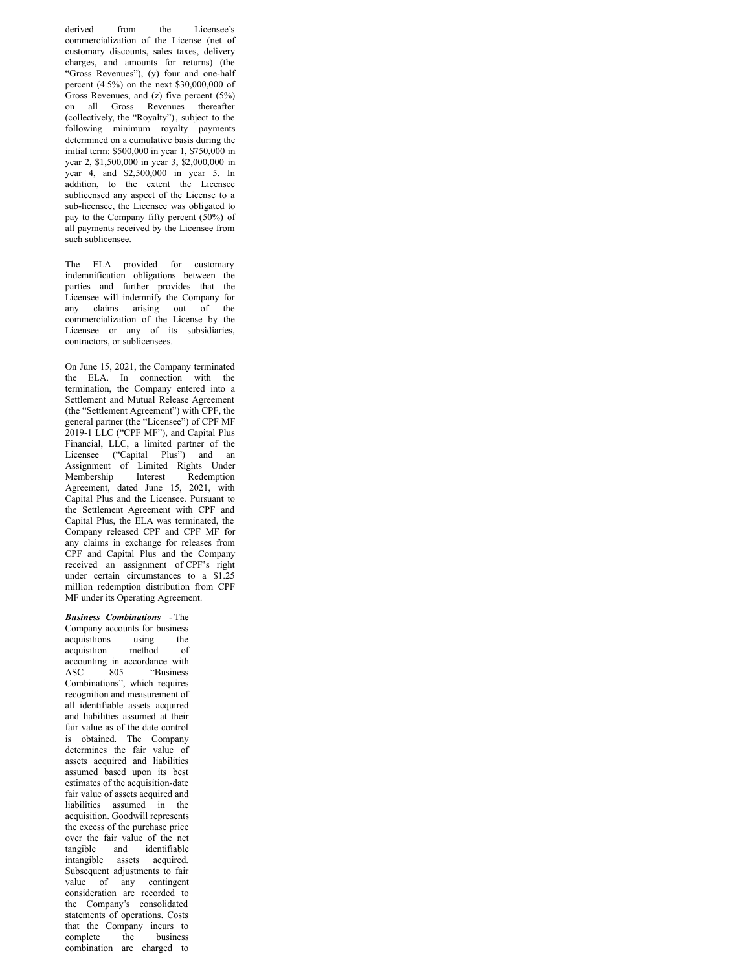derived from the Licensee's commercialization of the License (net of customary discounts, sales taxes, delivery charges, and amounts for returns) (the "Gross Revenues"), (y) four and one-half percent (4.5%) on the next \$30,000,000 of Gross Revenues, and (z) five percent (5%) on all Gross Revenues thereafter (collectively, the "Royalty"), subject to the following minimum royalty payments determined on a cumulative basis during the initial term: \$500,000 in year 1, \$750,000 in year 2, \$1,500,000 in year 3, \$2,000,000 in year 4, and \$2,500,000 in year 5. In addition, to the extent the Licensee sublicensed any aspect of the License to a sub-licensee, the Licensee was obligated to pay to the Company fifty percent (50%) of all payments received by the Licensee from such sublicensee.

The ELA provided for customary indemnification obligations between the parties and further provides that the Licensee will indemnify the Company for any claims arising out of the commercialization of the License by the Licensee or any of its subsidiaries, contractors, or sublicensees.

On June 15, 2021, the Company terminated the ELA. In connection with the termination, the Company entered into a Settlement and Mutual Release Agreement (the "Settlement Agreement") with CPF, the general partner (the "Licensee") of CPF MF 2019-1 LLC ("CPF MF"), and Capital Plus Financial, LLC, a limited partner of the Licensee ("Capital Plus") and an Assignment of Limited Rights Under<br>Membership Interest Redemption Membership Agreement, dated June 15, 2021, with Capital Plus and the Licensee. Pursuant to the Settlement Agreement with CPF and Capital Plus, the ELA was terminated, the Company released CPF and CPF MF for any claims in exchange for releases from CPF and Capital Plus and the Company received an assignment of CPF's right under certain circumstances to a \$1.25 million redemption distribution from CPF MF under its Operating Agreement.

*Business Combinations* - The Company accounts for business acquisitions using the acquisition method of accounting in accordance with ASC 805 "Business Combinations", which requires recognition and measurement of all identifiable assets acquired and liabilities assumed at their fair value as of the date control is obtained. The Company determines the fair value of assets acquired and liabilities assumed based upon its best estimates of the acquisition-date fair value of assets acquired and liabilities assumed in the acquisition. Goodwill represents the excess of the purchase price over the fair value of the net tangible and identifiable intangible assets acquired. Subsequent adjustments to fair value of any contingent consideration are recorded to the Company's consolidated statements of operations. Costs that the Company incurs to complete the business combination are charged to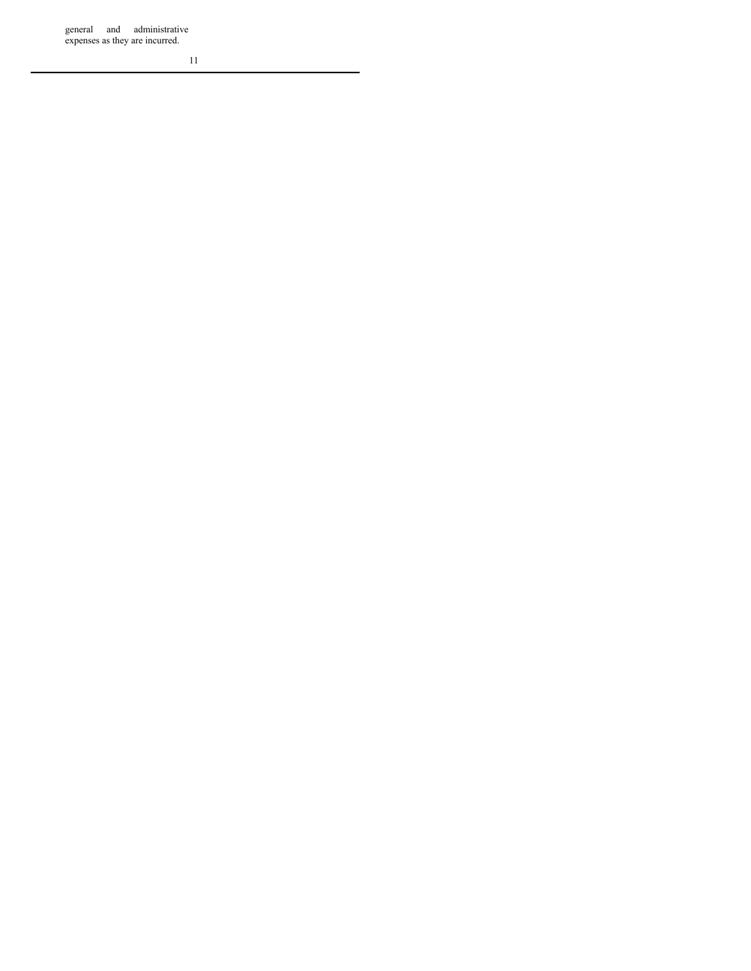general and administrative expenses as they are incurred.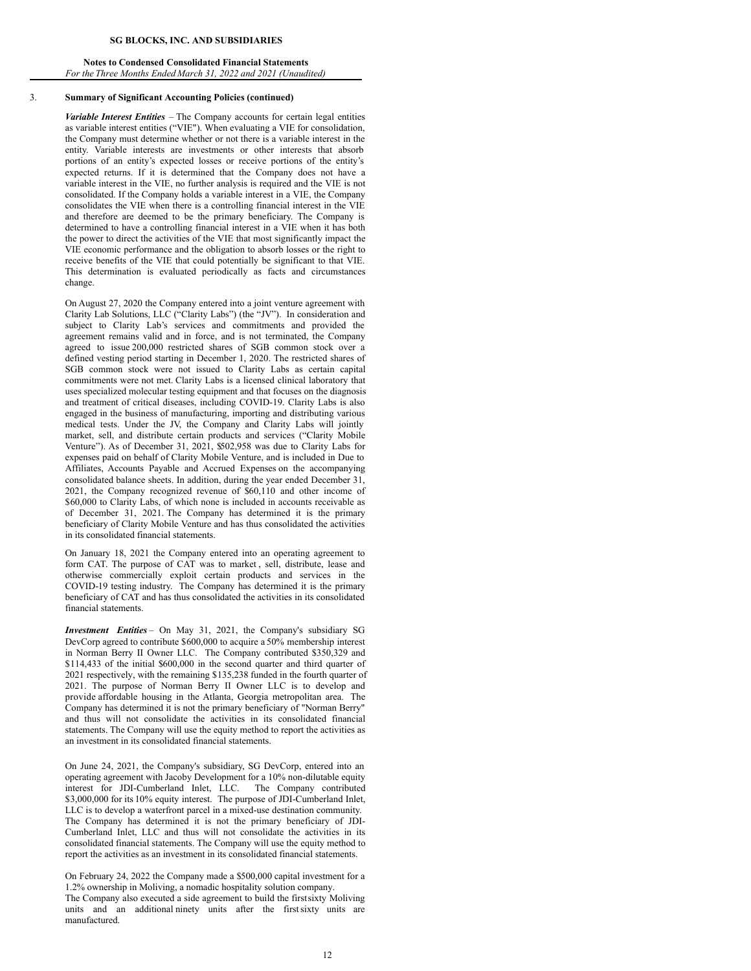#### **Notes to Condensed Consolidated Financial Statements** *For the Three Months Ended March 31, 2022 and 2021 (Unaudited)*

# 3. **Summary of Significant Accounting Policies (continued)**

*Variable Interest Entities* – The Company accounts for certain legal entities as variable interest entities ("VIE"). When evaluating a VIE for consolidation, the Company must determine whether or not there is a variable interest in the entity. Variable interests are investments or other interests that absorb portions of an entity's expected losses or receive portions of the entity's expected returns. If it is determined that the Company does not have a variable interest in the VIE, no further analysis is required and the VIE is not consolidated. If the Company holds a variable interest in a VIE, the Company consolidates the VIE when there is a controlling financial interest in the VIE and therefore are deemed to be the primary beneficiary. The Company is determined to have a controlling financial interest in a VIE when it has both the power to direct the activities of the VIE that most significantly impact the VIE economic performance and the obligation to absorb losses or the right to receive benefits of the VIE that could potentially be significant to that VIE. This determination is evaluated periodically as facts and circumstances change.

On August 27, 2020 the Company entered into a joint venture agreement with Clarity Lab Solutions, LLC ("Clarity Labs") (the "JV"). In consideration and subject to Clarity Lab's services and commitments and provided the agreement remains valid and in force, and is not terminated, the Company agreed to issue 200,000 restricted shares of SGB common stock over a defined vesting period starting in December 1, 2020. The restricted shares of SGB common stock were not issued to Clarity Labs as certain capital commitments were not met. Clarity Labs is a licensed clinical laboratory that uses specialized molecular testing equipment and that focuses on the diagnosis and treatment of critical diseases, including COVID-19. Clarity Labs is also engaged in the business of manufacturing, importing and distributing various medical tests. Under the JV, the Company and Clarity Labs will jointly market, sell, and distribute certain products and services ("Clarity Mobile Venture"). As of December 31, 2021, \$502,958 was due to Clarity Labs for expenses paid on behalf of Clarity Mobile Venture, and is included in Due to Affiliates, Accounts Payable and Accrued Expenses on the accompanying consolidated balance sheets. In addition, during the year ended December 31, 2021, the Company recognized revenue of \$60,110 and other income of \$60,000 to Clarity Labs, of which none is included in accounts receivable as of December 31, 2021. The Company has determined it is the primary beneficiary of Clarity Mobile Venture and has thus consolidated the activities in its consolidated financial statements.

On January 18, 2021 the Company entered into an operating agreement to form CAT. The purpose of CAT was to market , sell, distribute, lease and otherwise commercially exploit certain products and services in the COVID-19 testing industry. The Company has determined it is the primary beneficiary of CAT and has thus consolidated the activities in its consolidated financial statements.

*Investment Entities* – On May 31, 2021, the Company's subsidiary SG DevCorp agreed to contribute \$600,000 to acquire a 50% membership interest in Norman Berry II Owner LLC. The Company contributed \$350,329 and \$114,433 of the initial \$600,000 in the second quarter and third quarter of 2021 respectively, with the remaining \$135,238 funded in the fourth quarter of 2021. The purpose of Norman Berry II Owner LLC is to develop and provide affordable housing in the Atlanta, Georgia metropolitan area. The Company has determined it is not the primary beneficiary of "Norman Berry" and thus will not consolidate the activities in its consolidated financial statements. The Company will use the equity method to report the activities as an investment in its consolidated financial statements.

On June 24, 2021, the Company's subsidiary, SG DevCorp, entered into an operating agreement with Jacoby Development for a 10% non-dilutable equity interest for JDI-Cumberland Inlet, LLC. The Company contributed \$3,000,000 for its 10% equity interest. The purpose of JDI-Cumberland Inlet, LLC is to develop a waterfront parcel in a mixed-use destination community. The Company has determined it is not the primary beneficiary of JDI-Cumberland Inlet, LLC and thus will not consolidate the activities in its consolidated financial statements. The Company will use the equity method to report the activities as an investment in its consolidated financial statements.

On February 24, 2022 the Company made a \$500,000 capital investment for a 1.2% ownership in Moliving, a nomadic hospitality solution company. The Company also executed a side agreement to build the firstsixty Moliving units and an additional ninety units after the firstsixty units are manufactured.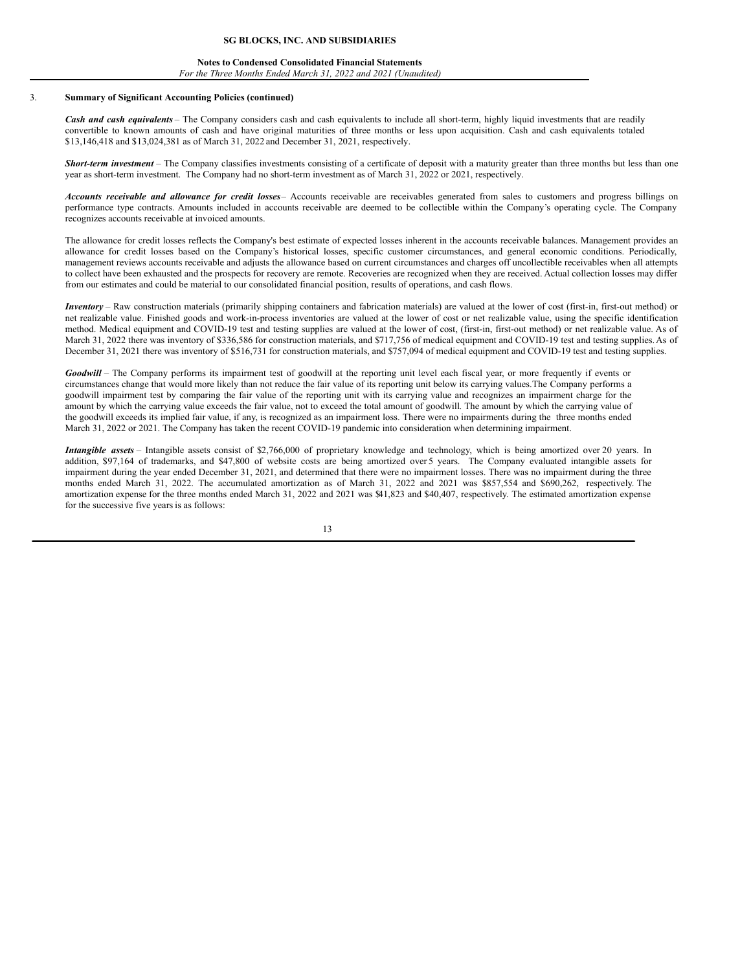#### 3. **Summary of Significant Accounting Policies (continued)**

*Cash and cash equivalents* – The Company considers cash and cash equivalents to include all short-term, highly liquid investments that are readily convertible to known amounts of cash and have original maturities of three months or less upon acquisition. Cash and cash equivalents totaled \$13,146,418 and \$13,024,381 as of March 31, 2022 and December 31, 2021, respectively.

*Short-term investment* – The Company classifies investments consisting of a certificate of deposit with a maturity greater than three months but less than one year as short-term investment. The Company had no short-term investment as of March 31, 2022 or 2021, respectively.

*Accounts receivable and allowance for credit losses*– Accounts receivable are receivables generated from sales to customers and progress billings on performance type contracts. Amounts included in accounts receivable are deemed to be collectible within the Company's operating cycle. The Company recognizes accounts receivable at invoiced amounts.

The allowance for credit losses reflects the Company's best estimate of expected losses inherent in the accounts receivable balances. Management provides an allowance for credit losses based on the Company's historical losses, specific customer circumstances, and general economic conditions. Periodically, management reviews accounts receivable and adjusts the allowance based on current circumstances and charges off uncollectible receivables when all attempts to collect have been exhausted and the prospects for recovery are remote. Recoveries are recognized when they are received. Actual collection losses may differ from our estimates and could be material to our consolidated financial position, results of operations, and cash flows.

*Inventory* – Raw construction materials (primarily shipping containers and fabrication materials) are valued at the lower of cost (first-in, first-out method) or net realizable value. Finished goods and work-in-process inventories are valued at the lower of cost or net realizable value, using the specific identification method. Medical equipment and COVID-19 test and testing supplies are valued at the lower of cost, (first-in, first-out method) or net realizable value. As of March 31, 2022 there was inventory of \$336,586 for construction materials, and \$717,756 of medical equipment and COVID-19 test and testing supplies. As of December 31, 2021 there was inventory of \$516,731 for construction materials, and \$757,094 of medical equipment and COVID-19 test and testing supplies.

**Goodwill** – The Company performs its impairment test of goodwill at the reporting unit level each fiscal year, or more frequently if events or circumstances change that would more likely than not reduce the fair value of its reporting unit below its carrying values.The Company performs a goodwill impairment test by comparing the fair value of the reporting unit with its carrying value and recognizes an impairment charge for the amount by which the carrying value exceeds the fair value, not to exceed the total amount of goodwill. The amount by which the carrying value of the goodwill exceeds its implied fair value, if any, is recognized as an impairment loss. There were no impairments during the three months ended March 31, 2022 or 2021. The Company has taken the recent COVID-19 pandemic into consideration when determining impairment.

*Intangible assets –* Intangible assets consist of \$2,766,000 of proprietary knowledge and technology, which is being amortized over 20 years. In addition, \$97,164 of trademarks, and \$47,800 of website costs are being amortized over 5 years. The Company evaluated intangible assets for impairment during the year ended December 31, 2021, and determined that there were no impairment losses. There was no impairment during the three months ended March 31, 2022. The accumulated amortization as of March 31, 2022 and 2021 was \$857,554 and \$690,262, respectively. The amortization expense for the three months ended March 31, 2022 and 2021 was \$41,823 and \$40,407, respectively. The estimated amortization expense for the successive five yearsis as follows: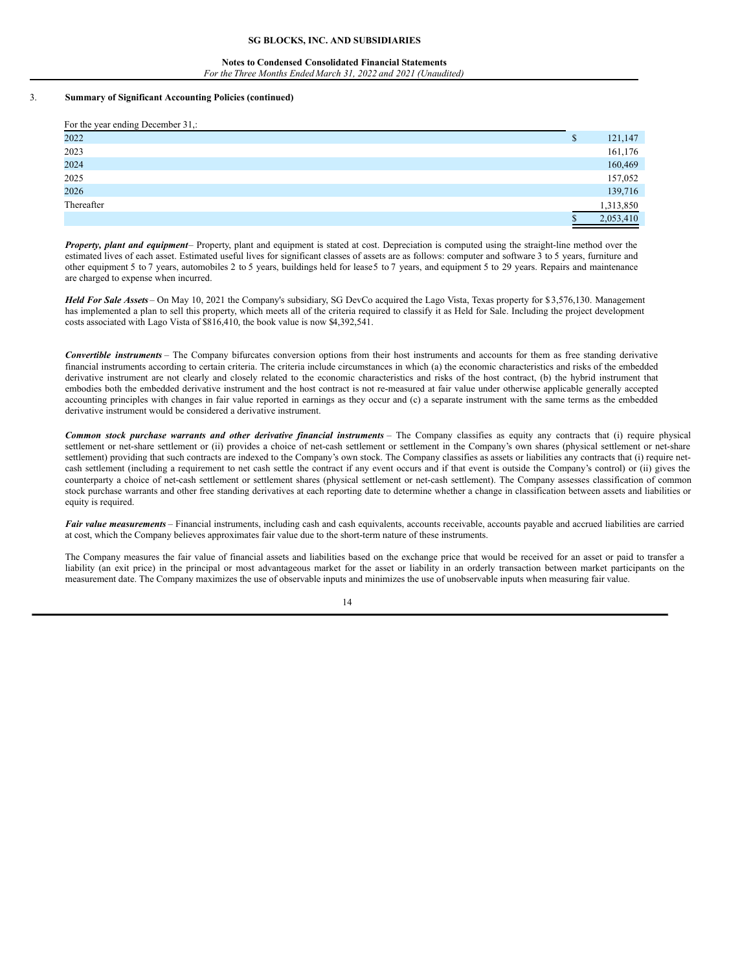#### **Notes to Condensed Consolidated Financial Statements** *For the Three Months Ended March 31, 2022 and 2021 (Unaudited)*

## 3. **Summary of Significant Accounting Policies (continued)**

| For the year ending December 31,: |   |           |
|-----------------------------------|---|-----------|
| 2022                              | D | 121,147   |
| 2023                              |   | 161,176   |
| 2024                              |   | 160,469   |
| 2025                              |   | 157,052   |
| 2026                              |   | 139,716   |
| Thereafter                        |   | 1,313,850 |
|                                   |   | 2,053,410 |

*Property, plant and equipment*– Property, plant and equipment is stated at cost. Depreciation is computed using the straight-line method over the estimated lives of each asset. Estimated useful lives for significant classes of assets are as follows: computer and software 3 to 5 years, furniture and other equipment 5 to 7 years, automobiles 2 to 5 years, buildings held for lease5 to 7 years, and equipment 5 to 29 years. Repairs and maintenance are charged to expense when incurred.

*Held For Sale Assets* – On May 10, 2021 the Company's subsidiary, SG DevCo acquired the Lago Vista, Texas property for \$ 3,576,130. Management has implemented a plan to sell this property, which meets all of the criteria required to classify it as Held for Sale. Including the project development costs associated with Lago Vista of \$816,410, the book value is now \$4,392,541.

*Convertible instruments* – The Company bifurcates conversion options from their host instruments and accounts for them as free standing derivative financial instruments according to certain criteria. The criteria include circumstances in which (a) the economic characteristics and risks of the embedded derivative instrument are not clearly and closely related to the economic characteristics and risks of the host contract, (b) the hybrid instrument that embodies both the embedded derivative instrument and the host contract is not re-measured at fair value under otherwise applicable generally accepted accounting principles with changes in fair value reported in earnings as they occur and (c) a separate instrument with the same terms as the embedded derivative instrument would be considered a derivative instrument.

*Common stock purchase warrants and other derivative financial instruments* – The Company classifies as equity any contracts that (i) require physical settlement or net-share settlement or (ii) provides a choice of net-cash settlement or settlement in the Company's own shares (physical settlement or net-share settlement) providing that such contracts are indexed to the Company's own stock. The Company classifies as assets or liabilities any contracts that (i) require netcash settlement (including a requirement to net cash settle the contract if any event occurs and if that event is outside the Company's control) or (ii) gives the counterparty a choice of net-cash settlement or settlement shares (physical settlement or net-cash settlement). The Company assesses classification of common stock purchase warrants and other free standing derivatives at each reporting date to determine whether a change in classification between assets and liabilities or equity is required.

Fair value measurements – Financial instruments, including cash and cash equivalents, accounts receivable, accounts payable and accrued liabilities are carried at cost, which the Company believes approximates fair value due to the short-term nature of these instruments.

The Company measures the fair value of financial assets and liabilities based on the exchange price that would be received for an asset or paid to transfer a liability (an exit price) in the principal or most advantageous market for the asset or liability in an orderly transaction between market participants on the measurement date. The Company maximizes the use of observable inputs and minimizes the use of unobservable inputs when measuring fair value.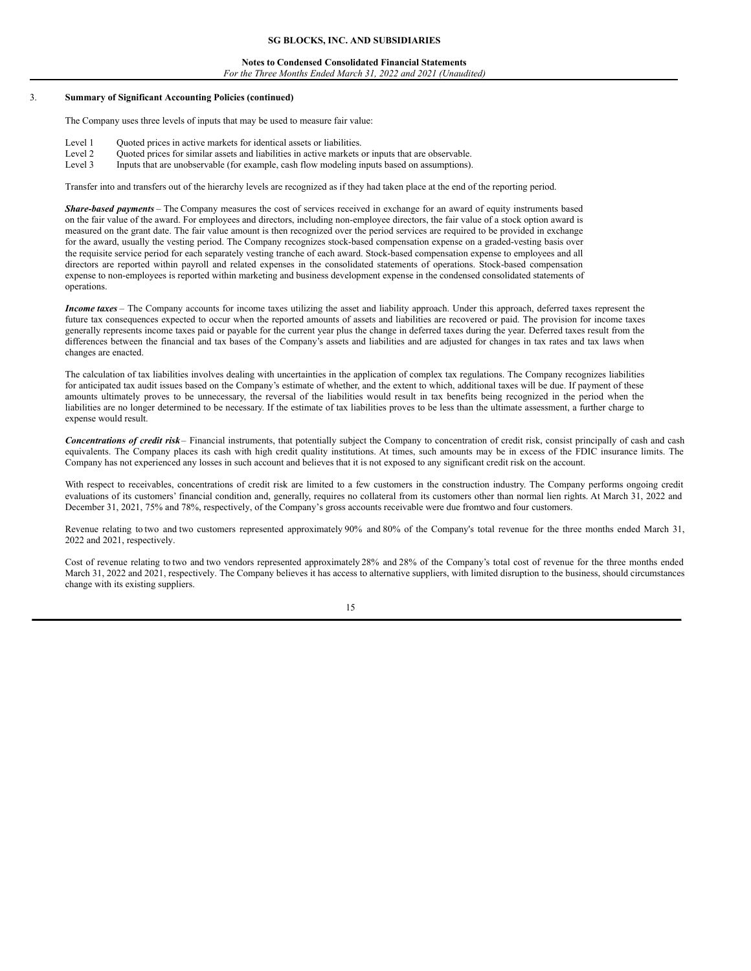#### 3. **Summary of Significant Accounting Policies (continued)**

The Company uses three levels of inputs that may be used to measure fair value:

- Level 1 Quoted prices in active markets for identical assets or liabilities.
- Level 2 Quoted prices for similar assets and liabilities in active markets or inputs that are observable.
- Level 3 Inputs that are unobservable (for example, cash flow modeling inputs based on assumptions).

Transfer into and transfers out of the hierarchy levels are recognized as if they had taken place at the end of the reporting period.

*Share-based payments* – The Company measures the cost of services received in exchange for an award of equity instruments based on the fair value of the award. For employees and directors, including non-employee directors, the fair value of a stock option award is measured on the grant date. The fair value amount is then recognized over the period services are required to be provided in exchange for the award, usually the vesting period. The Company recognizes stock-based compensation expense on a graded-vesting basis over the requisite service period for each separately vesting tranche of each award. Stock-based compensation expense to employees and all directors are reported within payroll and related expenses in the consolidated statements of operations. Stock-based compensation expense to non-employees is reported within marketing and business development expense in the condensed consolidated statements of operations.

*Income taxes –* The Company accounts for income taxes utilizing the asset and liability approach. Under this approach, deferred taxes represent the future tax consequences expected to occur when the reported amounts of assets and liabilities are recovered or paid. The provision for income taxes generally represents income taxes paid or payable for the current year plus the change in deferred taxes during the year. Deferred taxes result from the differences between the financial and tax bases of the Company's assets and liabilities and are adjusted for changes in tax rates and tax laws when changes are enacted.

The calculation of tax liabilities involves dealing with uncertainties in the application of complex tax regulations. The Company recognizes liabilities for anticipated tax audit issues based on the Company's estimate of whether, and the extent to which, additional taxes will be due. If payment of these amounts ultimately proves to be unnecessary, the reversal of the liabilities would result in tax benefits being recognized in the period when the liabilities are no longer determined to be necessary. If the estimate of tax liabilities proves to be less than the ultimate assessment, a further charge to expense would result.

*Concentrations of credit risk –* Financial instruments, that potentially subject the Company to concentration of credit risk, consist principally of cash and cash equivalents. The Company places its cash with high credit quality institutions. At times, such amounts may be in excess of the FDIC insurance limits. The Company has not experienced any losses in such account and believes that it is not exposed to any significant credit risk on the account.

With respect to receivables, concentrations of credit risk are limited to a few customers in the construction industry. The Company performs ongoing credit evaluations of its customers' financial condition and, generally, requires no collateral from its customers other than normal lien rights. At March 31, 2022 and December 31, 2021, 75% and 78%, respectively, of the Company's gross accounts receivable were due fromtwo and four customers.

Revenue relating to two and two customers represented approximately 90% and 80% of the Company's total revenue for the three months ended March 31, 2022 and 2021, respectively.

Cost of revenue relating to two and two vendors represented approximately 28% and 28% of the Company's total cost of revenue for the three months ended March 31, 2022 and 2021, respectively. The Company believes it has access to alternative suppliers, with limited disruption to the business, should circumstances change with its existing suppliers.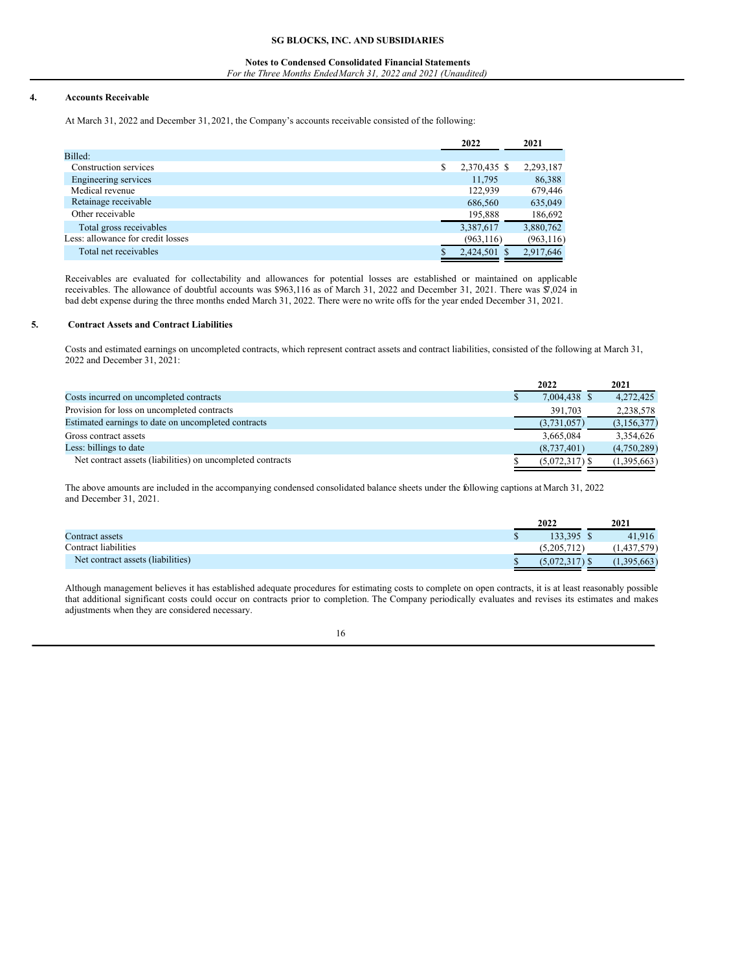#### **4. Accounts Receivable**

At March 31, 2022 and December 31, 2021, the Company's accounts receivable consisted of the following:

|                                   |   | 2022         | 2021       |
|-----------------------------------|---|--------------|------------|
| Billed:                           |   |              |            |
| Construction services             | S | 2,370,435 \$ | 2,293,187  |
| Engineering services              |   | 11.795       | 86,388     |
| Medical revenue                   |   | 122,939      | 679,446    |
| Retainage receivable              |   | 686,560      | 635,049    |
| Other receivable                  |   | 195,888      | 186,692    |
| Total gross receivables           |   | 3,387,617    | 3,880,762  |
| Less: allowance for credit losses |   | (963, 116)   | (963, 116) |
| Total net receivables             |   | 2,424,501 \$ | 2,917,646  |

Receivables are evaluated for collectability and allowances for potential losses are established or maintained on applicable receivables. The allowance of doubtful accounts was \$963,116 as of March 31, 2022 and December 31, 2021. There was \$7,024 in bad debt expense during the three months ended March 31, 2022. There were no write offs for the year ended December 31, 2021.

# **5. Contract Assets and Contract Liabilities**

Costs and estimated earnings on uncompleted contracts, which represent contract assets and contract liabilities, consisted of the following at March 31, 2022 and December 31, 2021:

|                                                            | 2022             | 2021        |
|------------------------------------------------------------|------------------|-------------|
| Costs incurred on uncompleted contracts                    | 7,004,438 \$     | 4,272,425   |
| Provision for loss on uncompleted contracts                | 391.703          | 2,238,578   |
| Estimated earnings to date on uncompleted contracts        | (3,731,057)      | (3,156,377) |
| Gross contract assets                                      | 3.665.084        | 3.354.626   |
| Less: billings to date                                     | (8,737,401)      | (4,750,289) |
| Net contract assets (liabilities) on uncompleted contracts | $(5,072,317)$ \$ | (1,395,663) |

The above amounts are included in the accompanying condensed consolidated balance sheets under the following captions at March 31, 2022 and December 31, 2021.

|                                   | 2022        | 2021        |
|-----------------------------------|-------------|-------------|
| Contract assets                   | 133.395     | 41.916      |
| Contract liabilities              | (5,205,712) | ,579)       |
| Net contract assets (liabilities) | (5.072.31)  | (1,395,663) |

Although management believes it has established adequate procedures for estimating costs to complete on open contracts, it is at least reasonably possible that additional significant costs could occur on contracts prior to completion. The Company periodically evaluates and revises its estimates and makes adjustments when they are considered necessary.

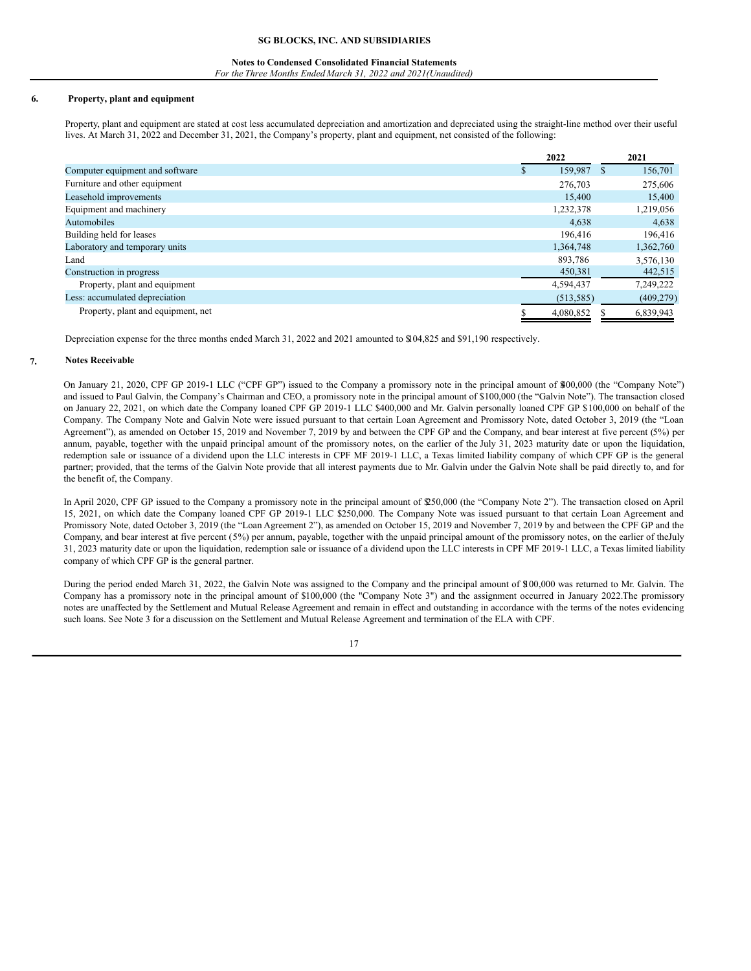## **6. Property, plant and equipment**

Property, plant and equipment are stated at cost less accumulated depreciation and amortization and depreciated using the straight-line method over their useful lives. At March 31, 2022 and December 31, 2021, the Company's property, plant and equipment, net consisted of the following:

|                                    |    | 2022       |     | 2021       |
|------------------------------------|----|------------|-----|------------|
| Computer equipment and software    | S. | 159,987    | - S | 156,701    |
| Furniture and other equipment      |    | 276,703    |     | 275,606    |
| Leasehold improvements             |    | 15,400     |     | 15,400     |
| Equipment and machinery            |    | 1,232,378  |     | 1,219,056  |
| Automobiles                        |    | 4,638      |     | 4,638      |
| Building held for leases           |    | 196.416    |     | 196,416    |
| Laboratory and temporary units     |    | 1,364,748  |     | 1,362,760  |
| Land                               |    | 893.786    |     | 3,576,130  |
| Construction in progress           |    | 450,381    |     | 442,515    |
| Property, plant and equipment      |    | 4,594,437  |     | 7,249,222  |
| Less: accumulated depreciation     |    | (513, 585) |     | (409, 279) |
| Property, plant and equipment, net |    | 4,080,852  |     | 6,839,943  |

Depreciation expense for the three months ended March 31, 2022 and 2021 amounted to \$104,825 and \$91,190 respectively.

# **7. Notes Receivable**

On January 21, 2020, CPF GP 2019-1 LLC ("CPF GP") issued to the Company a promissory note in the principal amount of \$400,000 (the "Company Note") and issued to Paul Galvin, the Company's Chairman and CEO, a promissory note in the principal amount of \$100,000 (the "Galvin Note"). The transaction closed on January 22, 2021, on which date the Company loaned CPF GP 2019-1 LLC \$400,000 and Mr. Galvin personally loaned CPF GP \$100,000 on behalf of the Company. The Company Note and Galvin Note were issued pursuant to that certain Loan Agreement and Promissory Note, dated October 3, 2019 (the "Loan Agreement"), as amended on October 15, 2019 and November 7, 2019 by and between the CPF GP and the Company, and bear interest at five percent (5%) per annum, payable, together with the unpaid principal amount of the promissory notes, on the earlier of the July 31, 2023 maturity date or upon the liquidation, redemption sale or issuance of a dividend upon the LLC interests in CPF MF 2019-1 LLC, a Texas limited liability company of which CPF GP is the general partner; provided, that the terms of the Galvin Note provide that all interest payments due to Mr. Galvin under the Galvin Note shall be paid directly to, and for the benefit of, the Company.

In April 2020, CPF GP issued to the Company a promissory note in the principal amount of \$250,000 (the "Company Note 2"). The transaction closed on April 15, 2021, on which date the Company loaned CPF GP 2019-1 LLC \$250,000. The Company Note was issued pursuant to that certain Loan Agreement and Promissory Note, dated October 3, 2019 (the "Loan Agreement 2"), as amended on October 15, 2019 and November 7, 2019 by and between the CPF GP and the Company, and bear interest at five percent (5%) per annum, payable, together with the unpaid principal amount of the promissory notes, on the earlier of theJuly 31, 2023 maturity date or upon the liquidation, redemption sale or issuance of a dividend upon the LLC interests in CPF MF 2019-1 LLC, a Texas limited liability company of which CPF GP is the general partner.

During the period ended March 31, 2022, the Galvin Note was assigned to the Company and the principal amount of \$100,000 was returned to Mr. Galvin. The Company has a promissory note in the principal amount of \$100,000 (the "Company Note 3") and the assignment occurred in January 2022.The promissory notes are unaffected by the Settlement and Mutual Release Agreement and remain in effect and outstanding in accordance with the terms of the notes evidencing such loans. See Note 3 for a discussion on the Settlement and Mutual Release Agreement and termination of the ELA with CPF.

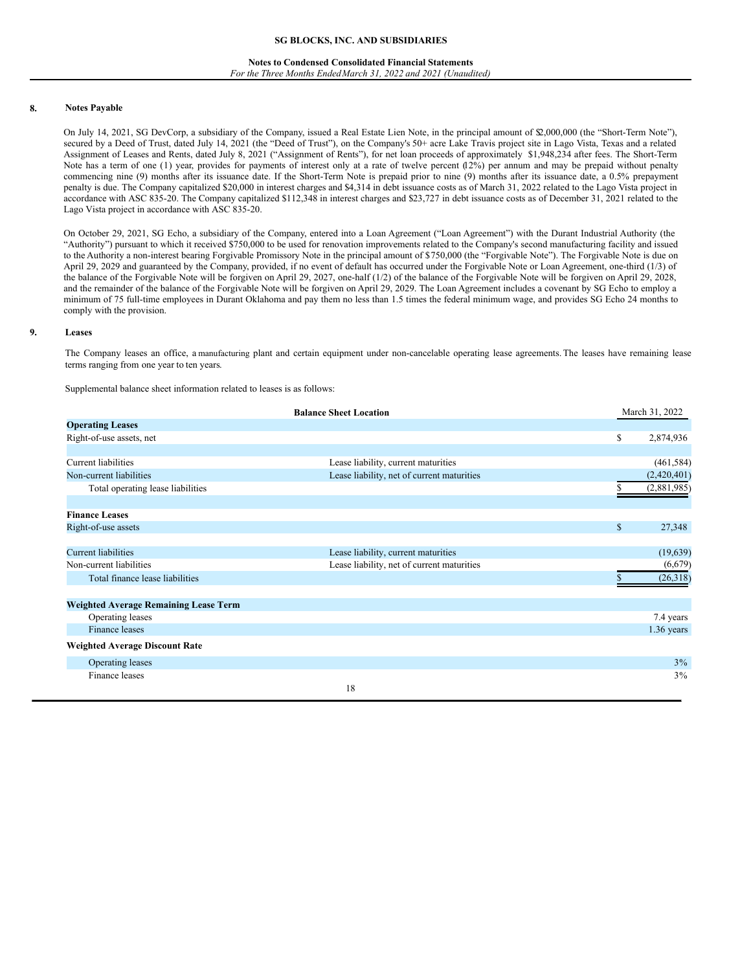# **8. Notes Payable**

On July 14, 2021, SG DevCorp, a subsidiary of the Company, issued a Real Estate Lien Note, in the principal amount of \$2,000,000 (the "Short-Term Note"), secured by a Deed of Trust, dated July 14, 2021 (the "Deed of Trust"), on the Company's 50+ acre Lake Travis project site in Lago Vista, Texas and a related Assignment of Leases and Rents, dated July 8, 2021 ("Assignment of Rents"), for net loan proceeds of approximately \$1,948,234 after fees. The Short-Term Note has a term of one (1) year, provides for payments of interest only at a rate of twelve percent (12%) per annum and may be prepaid without penalty commencing nine (9) months after its issuance date. If the Short-Term Note is prepaid prior to nine (9) months after its issuance date, a 0.5% prepayment penalty is due. The Company capitalized \$20,000 in interest charges and \$4,314 in debt issuance costs as of March 31, 2022 related to the Lago Vista project in accordance with ASC 835-20. The Company capitalized \$112,348 in interest charges and \$23,727 in debt issuance costs as of December 31, 2021 related to the Lago Vista project in accordance with ASC 835-20.

On October 29, 2021, SG Echo, a subsidiary of the Company, entered into a Loan Agreement ("Loan Agreement") with the Durant Industrial Authority (the "Authority") pursuant to which it received \$750,000 to be used for renovation improvements related to the Company's second manufacturing facility and issued to the Authority a non-interest bearing Forgivable Promissory Note in the principal amount of \$750,000 (the "Forgivable Note"). The Forgivable Note is due on April 29, 2029 and guaranteed by the Company, provided, if no event of default has occurred under the Forgivable Note or Loan Agreement, one-third (1/3) of the balance of the Forgivable Note will be forgiven on April 29, 2027, one-half (1/2) of the balance of the Forgivable Note will be forgiven on April 29, 2028, and the remainder of the balance of the Forgivable Note will be forgiven on April 29, 2029. The Loan Agreement includes a covenant by SG Echo to employ a minimum of 75 full-time employees in Durant Oklahoma and pay them no less than 1.5 times the federal minimum wage, and provides SG Echo 24 months to comply with the provision.

#### **9. Leases**

The Company leases an office, a manufacturing plant and certain equipment under non-cancelable operating lease agreements. The leases have remaining lease terms ranging from one year to ten years.

Supplemental balance sheet information related to leases is as follows:

| <b>Balance Sheet Location</b>                |                                            |              | March 31, 2022 |  |  |
|----------------------------------------------|--------------------------------------------|--------------|----------------|--|--|
| <b>Operating Leases</b>                      |                                            |              |                |  |  |
| Right-of-use assets, net                     |                                            | \$           | 2,874,936      |  |  |
|                                              |                                            |              |                |  |  |
| Current liabilities                          | Lease liability, current maturities        |              | (461, 584)     |  |  |
| Non-current liabilities                      | Lease liability, net of current maturities |              | (2,420,401)    |  |  |
| Total operating lease liabilities            |                                            |              | (2,881,985)    |  |  |
|                                              |                                            |              |                |  |  |
| <b>Finance Leases</b>                        |                                            |              |                |  |  |
| Right-of-use assets                          |                                            | $\mathbb{S}$ | 27,348         |  |  |
|                                              |                                            |              |                |  |  |
| <b>Current liabilities</b>                   | Lease liability, current maturities        |              | (19,639)       |  |  |
| Non-current liabilities                      | Lease liability, net of current maturities |              | (6,679)        |  |  |
| Total finance lease liabilities              |                                            |              | (26,318)       |  |  |
|                                              |                                            |              |                |  |  |
| <b>Weighted Average Remaining Lease Term</b> |                                            |              |                |  |  |
| Operating leases                             |                                            |              | 7.4 years      |  |  |
| Finance leases                               |                                            |              | $1.36$ years   |  |  |
| <b>Weighted Average Discount Rate</b>        |                                            |              |                |  |  |
| Operating leases                             |                                            |              | $3\%$          |  |  |
| Finance leases                               |                                            |              | 3%             |  |  |
|                                              | 18                                         |              |                |  |  |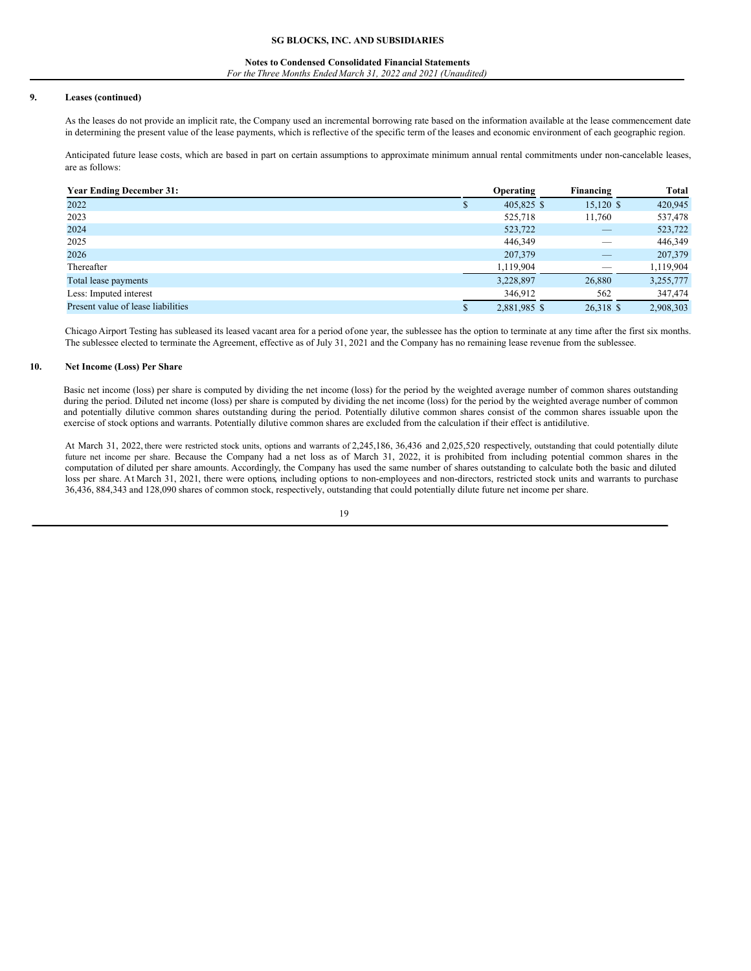#### **9. Leases (continued)**

As the leases do not provide an implicit rate, the Company used an incremental borrowing rate based on the information available at the lease commencement date in determining the present value of the lease payments, which is reflective of the specific term of the leases and economic environment of each geographic region.

Anticipated future lease costs, which are based in part on certain assumptions to approximate minimum annual rental commitments under non-cancelable leases, are as follows:

| <b>Year Ending December 31:</b>    |     | <b>Operating</b> | Financing            | Total     |
|------------------------------------|-----|------------------|----------------------|-----------|
| 2022                               | ۰D۰ | 405,825 \$       | $15,120 \text{ }$ \$ | 420,945   |
| 2023                               |     | 525,718          | 11,760               | 537,478   |
| 2024                               |     | 523,722          |                      | 523,722   |
| 2025                               |     | 446,349          |                      | 446,349   |
| 2026                               |     | 207,379          |                      | 207,379   |
| Thereafter                         |     | 1,119,904        |                      | 1,119,904 |
| Total lease payments               |     | 3,228,897        | 26,880               | 3,255,777 |
| Less: Imputed interest             |     | 346,912          | 562                  | 347,474   |
| Present value of lease liabilities |     | 2,881,985 \$     | 26,318 \$            | 2,908,303 |

Chicago Airport Testing has subleased its leased vacant area for a period ofone year, the sublessee has the option to terminate at any time after the first six months. The sublessee elected to terminate the Agreement, effective as of July 31, 2021 and the Company has no remaining lease revenue from the sublessee.

# **10. Net Income (Loss) Per Share**

Basic net income (loss) per share is computed by dividing the net income (loss) for the period by the weighted average number of common shares outstanding during the period. Diluted net income (loss) per share is computed by dividing the net income (loss) for the period by the weighted average number of common and potentially dilutive common shares outstanding during the period. Potentially dilutive common shares consist of the common shares issuable upon the exercise of stock options and warrants. Potentially dilutive common shares are excluded from the calculation if their effect is antidilutive.

At March 31, 2022, there were restricted stock units, options and warrants of 2,245,186, 36,436 and 2,025,520 respectively, outstanding that could potentially dilute future net income per share. Because the Company had a net loss as of March 31, 2022, it is prohibited from including potential common shares in the computation of diluted per share amounts. Accordingly, the Company has used the same number of shares outstanding to calculate both the basic and diluted loss per share. At March 31, 2021, there were options, including options to non-employees and non-directors, restricted stock units and warrants to purchase 36,436, 884,343 and 128,090 shares of common stock, respectively, outstanding that could potentially dilute future net income per share.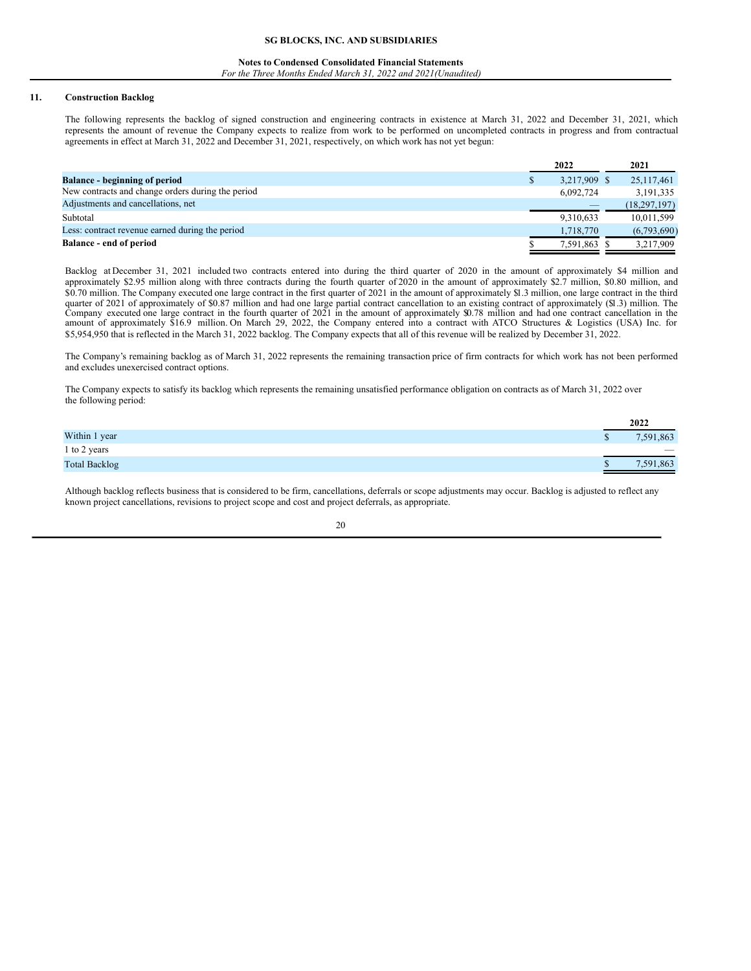## **11. Construction Backlog**

The following represents the backlog of signed construction and engineering contracts in existence at March 31, 2022 and December 31, 2021, which represents the amount of revenue the Company expects to realize from work to be performed on uncompleted contracts in progress and from contractual agreements in effect at March 31, 2022 and December 31, 2021, respectively, on which work has not yet begun:

|                                                   | 2022         | 2021           |
|---------------------------------------------------|--------------|----------------|
| <b>Balance - beginning of period</b>              | 3,217,909 \$ | 25, 117, 461   |
| New contracts and change orders during the period | 6,092,724    | 3,191,335      |
| Adjustments and cancellations, net                |              | (18, 297, 197) |
| Subtotal                                          | 9,310,633    | 10,011,599     |
| Less: contract revenue earned during the period   | 1,718,770    | (6,793,690)    |
| <b>Balance - end of period</b>                    | 7,591,863    | 3,217,909      |
|                                                   |              |                |

Backlog at December 31, 2021 included two contracts entered into during the third quarter of 2020 in the amount of approximately \$4 million and approximately \$2.95 million along with three contracts during the fourth quarter of 2020 in the amount of approximately \$2.7 million, \$0.80 million, and \$0.70 million. The Company executed one large contract in the first quarter of 2021 in the amount of approximately \$1.3 million, one large contract in the third quarter of 2021 of approximately of \$0.87 million and had one large partial contract cancellation to an existing contract of approximately (\$1.3) million. The Company executed one large contract in the fourth quarter of 2021 in the amount of approximately \$0.78 million and had one contract cancellation in the amount of approximately \$16.9 million. On March 29, 2022, the Company entered into a contract with ATCO Structures & Logistics (USA) Inc. for \$5,954,950 that is reflected in the March 31, 2022 backlog. The Company expects that all of this revenue will be realized by December 31, 2022.

The Company's remaining backlog as of March 31, 2022 represents the remaining transaction price of firm contracts for which work has not been performed and excludes unexercised contract options.

The Company expects to satisfy its backlog which represents the remaining unsatisfied performance obligation on contracts as of March 31, 2022 over the following period:

|                      |    | 2022                            |
|----------------------|----|---------------------------------|
| Within 1 year        | S. | 7,591,863                       |
| 1 to 2 years         |    | $\hspace{0.1mm}-\hspace{0.1mm}$ |
| <b>Total Backlog</b> |    | 7,591,863                       |

Although backlog reflects business that is considered to be firm, cancellations, deferrals or scope adjustments may occur. Backlog is adjusted to reflect any known project cancellations, revisions to project scope and cost and project deferrals, as appropriate.

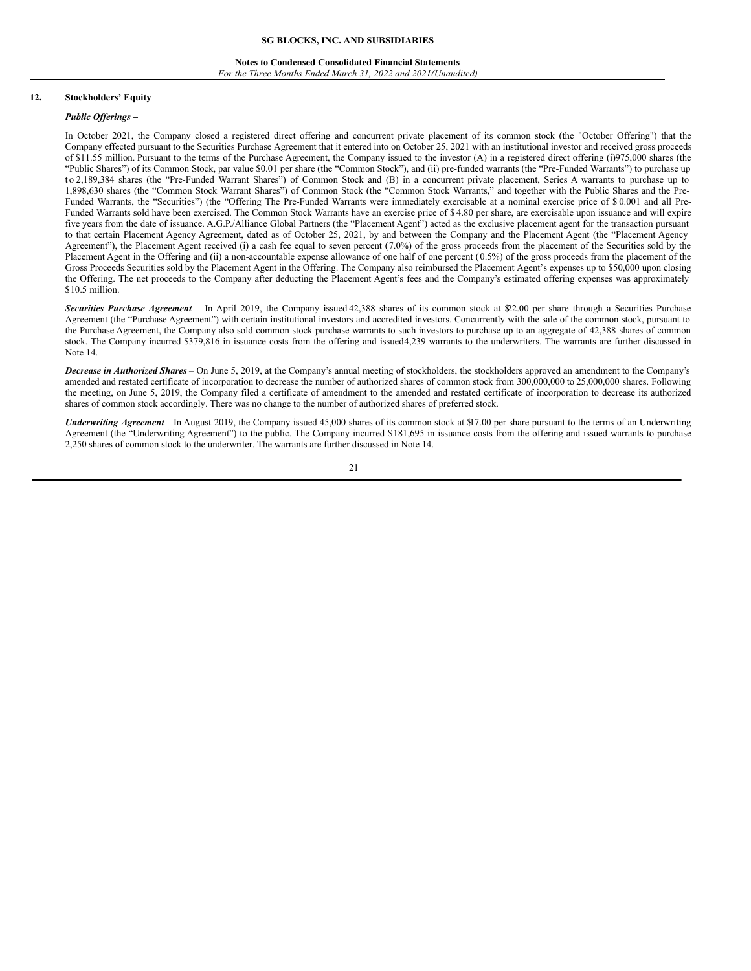# **12. Stockholders' Equity**

#### *Public Of erings –*

In October 2021, the Company closed a registered direct offering and concurrent private placement of its common stock (the "October Offering") that the Company effected pursuant to the Securities Purchase Agreement that it entered into on October 25, 2021 with an institutional investor and received gross proceeds of \$11.55 million. Pursuant to the terms of the Purchase Agreement, the Company issued to the investor (A) in a registered direct offering (i)975,000 shares (the "Public Shares") of its Common Stock, par value \$0.01 per share (the "Common Stock"), and (ii) pre-funded warrants (the "Pre-Funded Warrants") to purchase up t o 2,189,384 shares (the "Pre-Funded Warrant Shares") of Common Stock and (B) in a concurrent private placement, Series A warrants to purchase up to 1,898,630 shares (the "Common Stock Warrant Shares") of Common Stock (the "Common Stock Warrants," and together with the Public Shares and the Pre-Funded Warrants, the "Securities") (the "Offering The Pre-Funded Warrants were immediately exercisable at a nominal exercise price of \$ 0.001 and all Pre-Funded Warrants sold have been exercised. The Common Stock Warrants have an exercise price of \$ 4.80 per share, are exercisable upon issuance and will expire five years from the date of issuance. A.G.P./Alliance Global Partners (the "Placement Agent") acted as the exclusive placement agent for the transaction pursuant to that certain Placement Agency Agreement, dated as of October 25, 2021, by and between the Company and the Placement Agent (the "Placement Agency Agreement"), the Placement Agent received (i) a cash fee equal to seven percent (7.0%) of the gross proceeds from the placement of the Securities sold by the Placement Agent in the Offering and (ii) a non-accountable expense allowance of one half of one percent (0.5%) of the gross proceeds from the placement of the Gross Proceeds Securities sold by the Placement Agent in the Offering. The Company also reimbursed the Placement Agent's expenses up to \$50,000 upon closing the Offering. The net proceeds to the Company after deducting the Placement Agent's fees and the Company's estimated offering expenses was approximately \$10.5 million.

*Securities Purchase Agreement* – In April 2019, the Company issued 42,388 shares of its common stock at \$22.00 per share through a Securities Purchase Agreement (the "Purchase Agreement") with certain institutional investors and accredited investors. Concurrently with the sale of the common stock, pursuant to the Purchase Agreement, the Company also sold common stock purchase warrants to such investors to purchase up to an aggregate of 42,388 shares of common stock. The Company incurred \$379,816 in issuance costs from the offering and issued4,239 warrants to the underwriters. The warrants are further discussed in Note 14.

*Decrease in Authorized Shares* – On June 5, 2019, at the Company's annual meeting of stockholders, the stockholders approved an amendment to the Company's amended and restated certificate of incorporation to decrease the number of authorized shares of common stock from 300,000,000 to 25,000,000 shares. Following the meeting, on June 5, 2019, the Company filed a certificate of amendment to the amended and restated certificate of incorporation to decrease its authorized shares of common stock accordingly. There was no change to the number of authorized shares of preferred stock.

*Underwriting Agreement* – In August 2019, the Company issued 45,000 shares of its common stock at \$17.00 per share pursuant to the terms of an Underwriting Agreement (the "Underwriting Agreement") to the public. The Company incurred \$181,695 in issuance costs from the offering and issued warrants to purchase 2,250 shares of common stock to the underwriter. The warrants are further discussed in Note 14.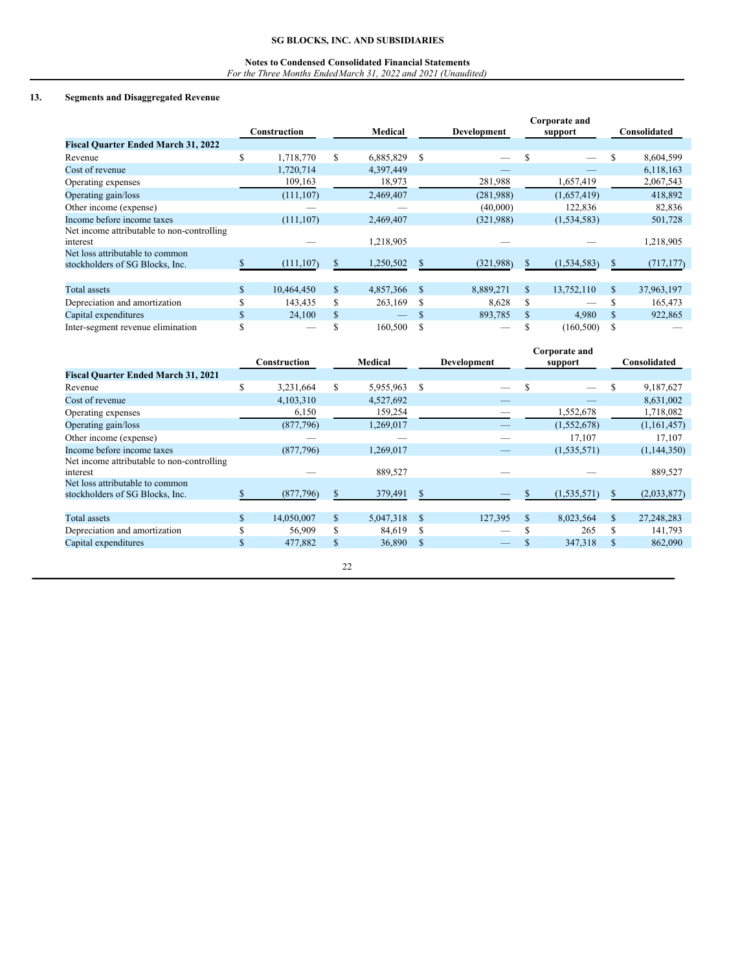# **Notes to Condensed Consolidated Financial Statements** *For the Three Months EndedMarch 31, 2022 and 2021 (Unaudited)*

# **13. Segments and Disaggregated Revenue**

|                                            |    |              |    |           |               |                    |              | Corporate and |               |              |
|--------------------------------------------|----|--------------|----|-----------|---------------|--------------------|--------------|---------------|---------------|--------------|
|                                            |    | Construction |    | Medical   |               | <b>Development</b> |              | support       |               | Consolidated |
| <b>Fiscal Quarter Ended March 31, 2022</b> |    |              |    |           |               |                    |              |               |               |              |
| Revenue                                    | S  | 1,718,770    | S  | 6,885,829 | S             |                    | S            |               | \$            | 8,604,599    |
| Cost of revenue                            |    | 1,720,714    |    | 4,397,449 |               |                    |              |               |               | 6,118,163    |
| Operating expenses                         |    | 109,163      |    | 18,973    |               | 281,988            |              | 1,657,419     |               | 2,067,543    |
| Operating gain/loss                        |    | (111, 107)   |    | 2,469,407 |               | (281,988)          |              | (1,657,419)   |               | 418,892      |
| Other income (expense)                     |    |              |    |           |               | (40,000)           |              | 122,836       |               | 82,836       |
| Income before income taxes                 |    | (111, 107)   |    | 2,469,407 |               | (321,988)          |              | (1, 534, 583) |               | 501,728      |
| Net income attributable to non-controlling |    |              |    |           |               |                    |              |               |               |              |
| interest                                   |    |              |    | 1,218,905 |               |                    |              |               |               | 1,218,905    |
| Net loss attributable to common            |    |              |    |           |               |                    |              |               |               |              |
| stockholders of SG Blocks, Inc.            |    | (111, 107)   |    | 1,250,502 |               | (321,988)          | S.           | (1, 534, 583) |               | (717, 177)   |
|                                            |    |              |    |           |               |                    |              |               |               |              |
| Total assets                               | \$ | 10.464,450   | \$ | 4,857,366 | -S            | 8,889,271          | $\mathbb{S}$ | 13,752,110    | <sup>\$</sup> | 37,963,197   |
| Depreciation and amortization              |    | 143,435      | S  | 263,169   | -S            | 8,628              | \$           |               | \$            | 165,473      |
| Capital expenditures                       |    | 24,100       | \$ |           | <sup>\$</sup> | 893,785            | \$           | 4,980         | \$            | 922,865      |
| Inter-segment revenue elimination          | ъ. |              | ъ  | 160,500   | S             |                    |              | (160, 500)    |               |              |

|                                                                    |   |              |               |                        |      |                          |              | Corporate and |               |              |
|--------------------------------------------------------------------|---|--------------|---------------|------------------------|------|--------------------------|--------------|---------------|---------------|--------------|
|                                                                    |   | Construction |               | Medical<br>Development |      |                          | support      |               | Consolidated  |              |
| <b>Fiscal Quarter Ended March 31, 2021</b>                         |   |              |               |                        |      |                          |              |               |               |              |
| Revenue                                                            | S | 3,231,664    | S             | 5,955,963              | -S   | -                        |              |               | S             | 9,187,627    |
| Cost of revenue                                                    |   | 4,103,310    |               | 4,527,692              |      |                          |              |               |               | 8,631,002    |
| Operating expenses                                                 |   | 6,150        |               | 159,254                |      |                          |              | 1,552,678     |               | 1,718,082    |
| Operating gain/loss                                                |   | (877,796)    |               | 1,269,017              |      |                          |              | (1,552,678)   |               | (1,161,457)  |
| Other income (expense)                                             |   |              |               |                        |      |                          |              | 17,107        |               | 17,107       |
| Income before income taxes                                         |   | (877,796)    |               | 1,269,017              |      |                          |              | (1,535,571)   |               | (1,144,350)  |
| Net income attributable to non-controlling<br>interest             |   |              |               | 889,527                |      |                          |              |               |               | 889,527      |
| Net loss attributable to common<br>stockholders of SG Blocks, Inc. |   | (877,796)    | \$            | 379,491                |      |                          |              | (1, 535, 571) |               | (2,033,877)  |
|                                                                    |   |              |               |                        |      |                          |              |               |               |              |
| <b>Total assets</b>                                                |   | 14,050,007   | \$            | 5,047,318              | - \$ | 127,395                  | $\mathbf{s}$ | 8,023,564     | <sup>\$</sup> | 27, 248, 283 |
| Depreciation and amortization                                      |   | 56,909       | S             | 84,619                 | S    |                          |              | 265           | S             | 141,793      |
| Capital expenditures                                               |   | 477,882      | <sup>\$</sup> | 36,890                 | - \$ | $\overline{\phantom{a}}$ |              | 347,318       | <sup>\$</sup> | 862,090      |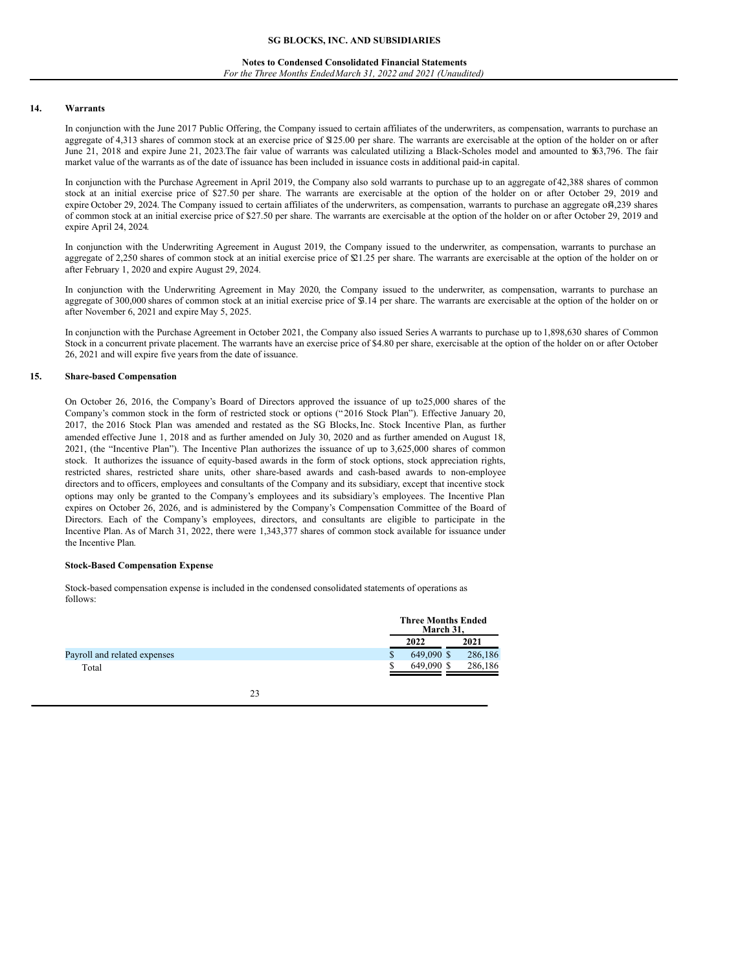## **14. Warrants**

In conjunction with the June 2017 Public Offering, the Company issued to certain affiliates of the underwriters, as compensation, warrants to purchase an aggregate of 4,313 shares of common stock at an exercise price of \$125.00 per share. The warrants are exercisable at the option of the holder on or after June 21, 2018 and expire June 21, 2023.The fair value of warrants was calculated utilizing a Black-Scholes model and amounted to \$63,796. The fair market value of the warrants as of the date of issuance has been included in issuance costs in additional paid-in capital.

In conjunction with the Purchase Agreement in April 2019, the Company also sold warrants to purchase up to an aggregate of 42,388 shares of common stock at an initial exercise price of \$27.50 per share. The warrants are exercisable at the option of the holder on or after October 29, 2019 and expire October 29, 2024. The Company issued to certain affiliates of the underwriters, as compensation, warrants to purchase an aggregate of4,239 shares of common stock at an initial exercise price of \$27.50 per share. The warrants are exercisable at the option of the holder on or after October 29, 2019 and expire April 24, 2024.

In conjunction with the Underwriting Agreement in August 2019, the Company issued to the underwriter, as compensation, warrants to purchase an aggregate of 2,250 shares of common stock at an initial exercise price of \$21.25 per share. The warrants are exercisable at the option of the holder on or after February 1, 2020 and expire August 29, 2024.

In conjunction with the Underwriting Agreement in May 2020, the Company issued to the underwriter, as compensation, warrants to purchase an aggregate of 300,000 shares of common stock at an initial exercise price of \$3.14 per share. The warrants are exercisable at the option of the holder on or after November 6, 2021 and expire May 5, 2025.

In conjunction with the Purchase Agreement in October 2021, the Company also issued Series A warrants to purchase up to 1,898,630 shares of Common Stock in a concurrent private placement. The warrants have an exercise price of \$4.80 per share, exercisable at the option of the holder on or after October 26, 2021 and will expire five years from the date of issuance.

# **15. Share-based Compensation**

On October 26, 2016, the Company's Board of Directors approved the issuance of up to25,000 shares of the Company's common stock in the form of restricted stock or options ("2016 Stock Plan"). Effective January 20, 2017, the 2016 Stock Plan was amended and restated as the SG Blocks,Inc. Stock Incentive Plan, as further amended effective June 1, 2018 and as further amended on July 30, 2020 and as further amended on August 18, 2021, (the "Incentive Plan"). The Incentive Plan authorizes the issuance of up to 3,625,000 shares of common stock. It authorizes the issuance of equity-based awards in the form of stock options, stock appreciation rights, restricted shares, restricted share units, other share-based awards and cash-based awards to non-employee directors and to officers, employees and consultants of the Company and its subsidiary, except that incentive stock options may only be granted to the Company's employees and its subsidiary's employees. The Incentive Plan expires on October 26, 2026, and is administered by the Company's Compensation Committee of the Board of Directors. Each of the Company's employees, directors, and consultants are eligible to participate in the Incentive Plan. As of March 31, 2022, there were 1,343,377 shares of common stock available for issuance under the Incentive Plan.

# **Stock-Based Compensation Expense**

Stock-based compensation expense is included in the condensed consolidated statements of operations as follows:

|                              |    | <b>Three Months Ended</b><br>March 31, |         |  |
|------------------------------|----|----------------------------------------|---------|--|
|                              |    | 2022                                   | 2021    |  |
| Payroll and related expenses | \$ | 649,090 \$                             | 286,186 |  |
| Total                        | S  | 649,090 \$                             | 286,186 |  |
|                              |    |                                        |         |  |
|                              |    |                                        |         |  |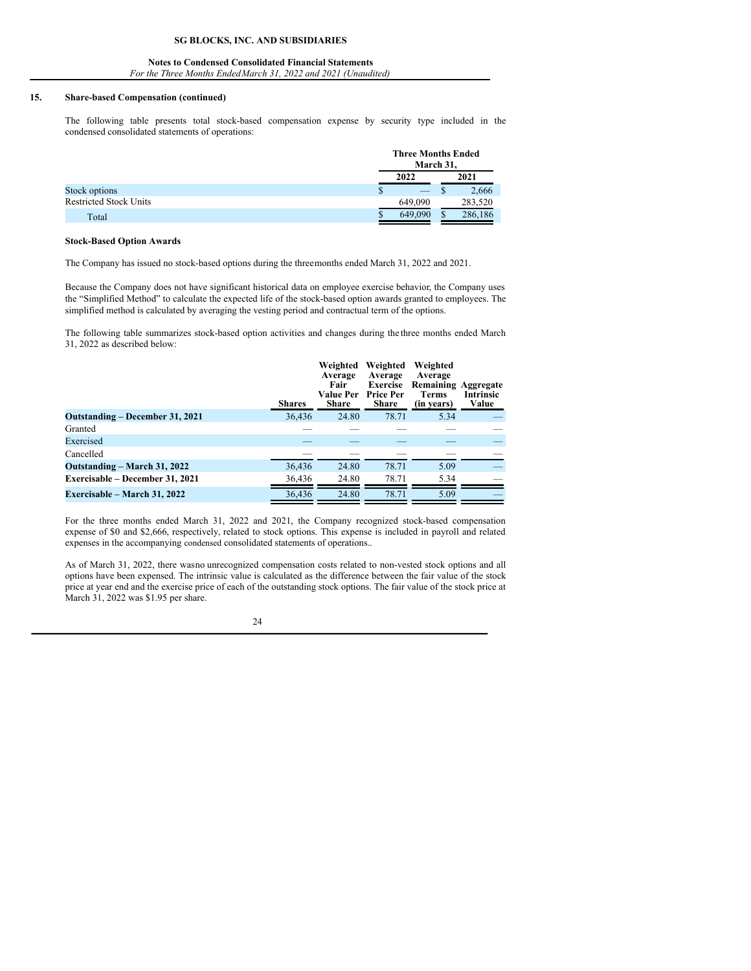#### **15. Share-based Compensation (continued)**

The following table presents total stock-based compensation expense by security type included in the condensed consolidated statements of operations:

|                               |    | <b>Three Months Ended</b><br>March 31, |  |         |  |
|-------------------------------|----|----------------------------------------|--|---------|--|
|                               |    | 2022                                   |  | 2021    |  |
| Stock options                 | S  | $\qquad \qquad - \qquad$               |  | 2,666   |  |
| <b>Restricted Stock Units</b> |    | 649,090                                |  | 283,520 |  |
| Total                         | ٨D | 649,090                                |  | 286,186 |  |

## **Stock-Based Option Awards**

The Company has issued no stock-based options during the threemonths ended March 31, 2022 and 2021.

Because the Company does not have significant historical data on employee exercise behavior, the Company uses the "Simplified Method" to calculate the expected life of the stock-based option awards granted to employees. The simplified method is calculated by averaging the vesting period and contractual term of the options.

The following table summarizes stock-based option activities and changes during the three months ended March 31, 2022 as described below:

|                                 | <b>Shares</b> | Weighted<br>Average<br>Fair<br>Value Per<br><b>Share</b> | Weighted<br>Average<br><b>Exercise</b><br><b>Price Per</b><br>Share | Weighted<br>Average<br><b>Remaining Aggregate</b><br><b>Terms</b><br>(in years) | <b>Intrinsic</b><br>Value |
|---------------------------------|---------------|----------------------------------------------------------|---------------------------------------------------------------------|---------------------------------------------------------------------------------|---------------------------|
| Outstanding – December 31, 2021 | 36,436        | 24.80                                                    | 78.71                                                               | 5.34                                                                            |                           |
| Granted                         |               |                                                          |                                                                     |                                                                                 |                           |
| Exercised                       |               |                                                          |                                                                     |                                                                                 |                           |
| Cancelled                       |               |                                                          |                                                                     |                                                                                 |                           |
| Outstanding – March 31, 2022    | 36,436        | 24.80                                                    | 78.71                                                               | 5.09                                                                            |                           |
| Exercisable – December 31, 2021 | 36,436        | 24.80                                                    | 78.71                                                               | 5.34                                                                            |                           |
| Exercisable – March 31, 2022    | 36,436        | 24.80                                                    | 78.71                                                               | 5.09                                                                            |                           |

For the three months ended March 31, 2022 and 2021, the Company recognized stock-based compensation expense of \$0 and \$2,666, respectively, related to stock options. This expense is included in payroll and related expenses in the accompanying condensed consolidated statements of operations..

As of March 31, 2022, there wasno unrecognized compensation costs related to non-vested stock options and all options have been expensed. The intrinsic value is calculated as the difference between the fair value of the stock price at year end and the exercise price of each of the outstanding stock options. The fair value of the stock price at March 31, 2022 was \$1.95 per share.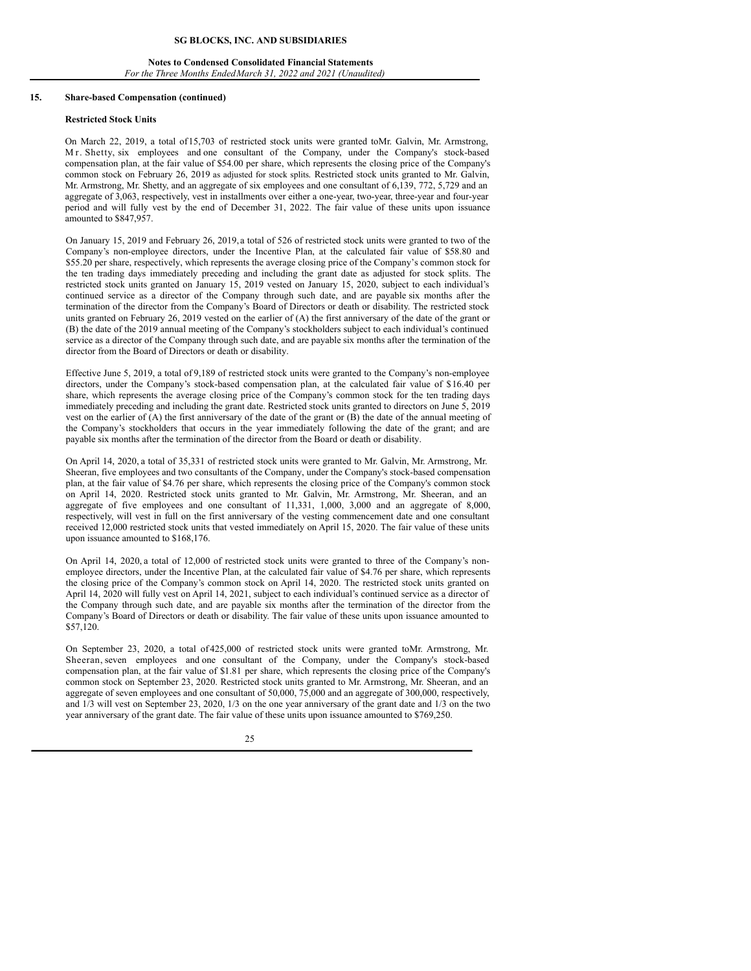## **15. Share-based Compensation (continued)**

# **Restricted Stock Units**

On March 22, 2019, a total of15,703 of restricted stock units were granted toMr. Galvin, Mr. Armstrong, M r. Shetty, six employees and one consultant of the Company, under the Company's stock-based compensation plan, at the fair value of \$54.00 per share, which represents the closing price of the Company's common stock on February 26, 2019 as adjusted for stock splits. Restricted stock units granted to Mr. Galvin, Mr. Armstrong, Mr. Shetty, and an aggregate of six employees and one consultant of 6,139, 772, 5,729 and an aggregate of 3,063, respectively, vest in installments over either a one-year, two-year, three-year and four-year period and will fully vest by the end of December 31, 2022. The fair value of these units upon issuance amounted to \$847,957.

On January 15, 2019 and February 26, 2019, a total of 526 of restricted stock units were granted to two of the Company's non-employee directors, under the Incentive Plan, at the calculated fair value of \$58.80 and \$55.20 per share, respectively, which represents the average closing price of the Company's common stock for the ten trading days immediately preceding and including the grant date as adjusted for stock splits. The restricted stock units granted on January 15, 2019 vested on January 15, 2020, subject to each individual's continued service as a director of the Company through such date, and are payable six months after the termination of the director from the Company's Board of Directors or death or disability. The restricted stock units granted on February 26, 2019 vested on the earlier of (A) the first anniversary of the date of the grant or (B) the date of the 2019 annual meeting of the Company's stockholders subject to each individual's continued service as a director of the Company through such date, and are payable six months after the termination of the director from the Board of Directors or death or disability.

Effective June 5, 2019, a total of 9,189 of restricted stock units were granted to the Company's non-employee directors, under the Company's stock-based compensation plan, at the calculated fair value of \$16.40 per share, which represents the average closing price of the Company's common stock for the ten trading days immediately preceding and including the grant date. Restricted stock units granted to directors on June 5, 2019 vest on the earlier of (A) the first anniversary of the date of the grant or (B) the date of the annual meeting of the Company's stockholders that occurs in the year immediately following the date of the grant; and are payable six months after the termination of the director from the Board or death or disability.

On April 14, 2020, a total of 35,331 of restricted stock units were granted to Mr. Galvin, Mr. Armstrong, Mr. Sheeran, five employees and two consultants of the Company, under the Company's stock-based compensation plan, at the fair value of \$4.76 per share, which represents the closing price of the Company's common stock on April 14, 2020. Restricted stock units granted to Mr. Galvin, Mr. Armstrong, Mr. Sheeran, and an aggregate of five employees and one consultant of 11,331, 1,000, 3,000 and an aggregate of 8,000, respectively, will vest in full on the first anniversary of the vesting commencement date and one consultant received 12,000 restricted stock units that vested immediately on April 15, 2020. The fair value of these units upon issuance amounted to \$168,176.

On April 14, 2020, a total of 12,000 of restricted stock units were granted to three of the Company's nonemployee directors, under the Incentive Plan, at the calculated fair value of \$4.76 per share, which represents the closing price of the Company's common stock on April 14, 2020. The restricted stock units granted on April 14, 2020 will fully vest on April 14, 2021, subject to each individual's continued service as a director of the Company through such date, and are payable six months after the termination of the director from the Company's Board of Directors or death or disability. The fair value of these units upon issuance amounted to \$57,120.

On September 23, 2020, a total of 425,000 of restricted stock units were granted toMr. Armstrong, Mr. Sheeran, seven employees and one consultant of the Company, under the Company's stock-based compensation plan, at the fair value of \$1.81 per share, which represents the closing price of the Company's common stock on September 23, 2020. Restricted stock units granted to Mr. Armstrong, Mr. Sheeran, and an aggregate of seven employees and one consultant of 50,000, 75,000 and an aggregate of 300,000, respectively, and 1/3 will vest on September 23, 2020, 1/3 on the one year anniversary of the grant date and 1/3 on the two year anniversary of the grant date. The fair value of these units upon issuance amounted to \$769,250.

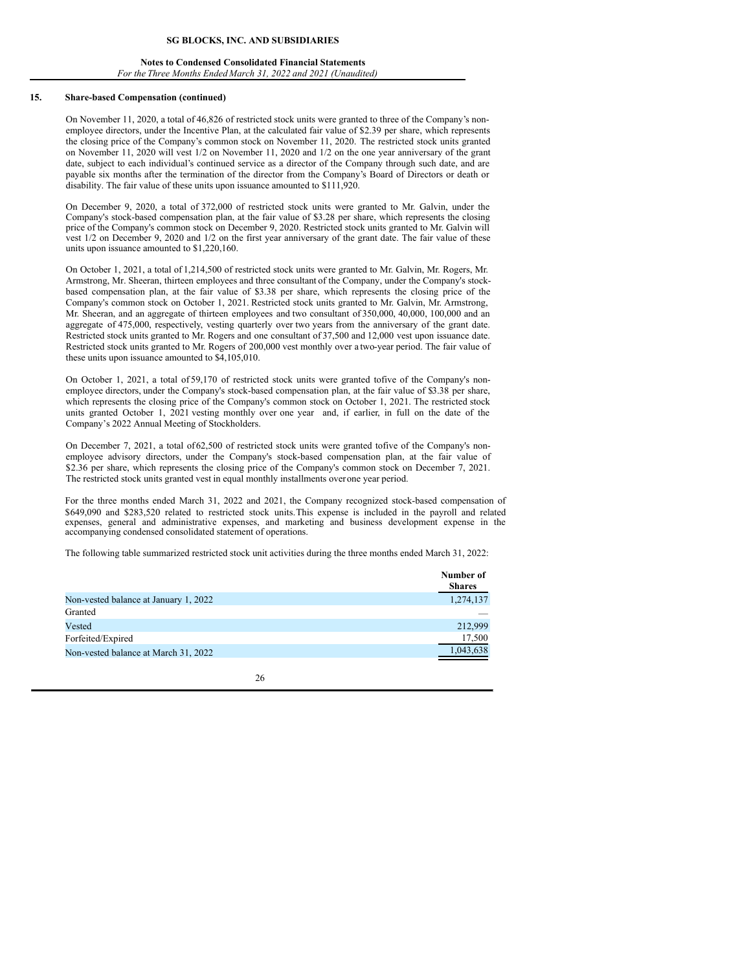#### **Notes to Condensed Consolidated Financial Statements** *For the Three Months Ended March 31, 2022 and 2021 (Unaudited)*

#### **15. Share-based Compensation (continued)**

On November 11, 2020, a total of 46,826 of restricted stock units were granted to three of the Company's nonemployee directors, under the Incentive Plan, at the calculated fair value of \$2.39 per share, which represents the closing price of the Company's common stock on November 11, 2020. The restricted stock units granted on November 11, 2020 will vest 1/2 on November 11, 2020 and 1/2 on the one year anniversary of the grant date, subject to each individual's continued service as a director of the Company through such date, and are payable six months after the termination of the director from the Company's Board of Directors or death or disability. The fair value of these units upon issuance amounted to \$111,920.

On December 9, 2020, a total of 372,000 of restricted stock units were granted to Mr. Galvin, under the Company's stock-based compensation plan, at the fair value of \$3.28 per share, which represents the closing price of the Company's common stock on December 9, 2020. Restricted stock units granted to Mr. Galvin will vest 1/2 on December 9, 2020 and 1/2 on the first year anniversary of the grant date. The fair value of these units upon issuance amounted to \$1,220,160.

On October 1, 2021, a total of 1,214,500 of restricted stock units were granted to Mr. Galvin, Mr. Rogers, Mr. Armstrong, Mr. Sheeran, thirteen employees and three consultant of the Company, under the Company's stockbased compensation plan, at the fair value of \$3.38 per share, which represents the closing price of the Company's common stock on October 1, 2021. Restricted stock units granted to Mr. Galvin, Mr. Armstrong, Mr. Sheeran, and an aggregate of thirteen employees and two consultant of 350,000, 40,000, 100,000 and an aggregate of 475,000, respectively, vesting quarterly over two years from the anniversary of the grant date. Restricted stock units granted to Mr. Rogers and one consultant of 37,500 and 12,000 vest upon issuance date. Restricted stock units granted to Mr. Rogers of 200,000 vest monthly over a two-year period. The fair value of these units upon issuance amounted to \$4,105,010.

On October 1, 2021, a total of 59,170 of restricted stock units were granted tofive of the Company's nonemployee directors, under the Company's stock-based compensation plan, at the fair value of \$3.38 per share, which represents the closing price of the Company's common stock on October 1, 2021. The restricted stock units granted October 1, 2021 vesting monthly over one year and, if earlier, in full on the date of the Company's 2022 Annual Meeting of Stockholders.

On December 7, 2021, a total of62,500 of restricted stock units were granted tofive of the Company's nonemployee advisory directors, under the Company's stock-based compensation plan, at the fair value of \$2.36 per share, which represents the closing price of the Company's common stock on December 7, 2021. The restricted stock units granted vest in equal monthly installments overone year period.

For the three months ended March 31, 2022 and 2021, the Company recognized stock-based compensation of \$649,090 and \$283,520 related to restricted stock units.This expense is included in the payroll and related expenses, general and administrative expenses, and marketing and business development expense in the accompanying condensed consolidated statement of operations.

The following table summarized restricted stock unit activities during the three months ended March 31, 2022:

|                                       | Number of<br><b>Shares</b> |
|---------------------------------------|----------------------------|
| Non-vested balance at January 1, 2022 | 1,274,137                  |
| Granted                               |                            |
| Vested                                | 212,999                    |
| Forfeited/Expired                     | 17,500                     |
| Non-vested balance at March 31, 2022  | 1,043,638                  |
|                                       |                            |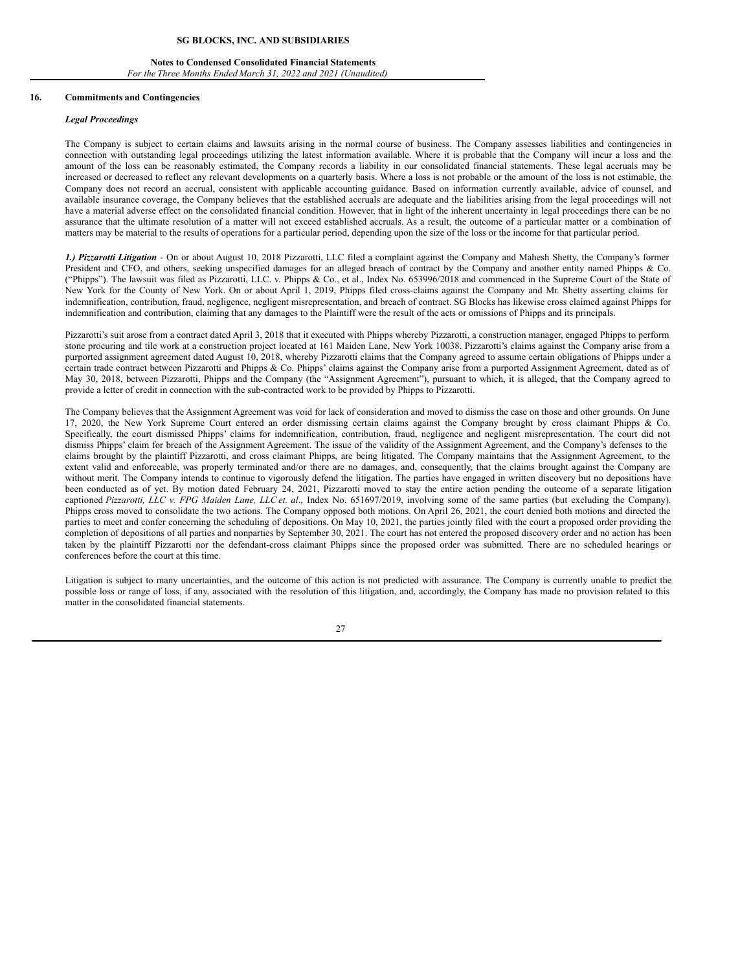#### **16. Commitments and Contingencies**

# *Legal Proceedings*

The Company is subject to certain claims and lawsuits arising in the normal course of business. The Company assesses liabilities and contingencies in connection with outstanding legal proceedings utilizing the latest information available. Where it is probable that the Company will incur a loss and the amount of the loss can be reasonably estimated, the Company records a liability in our consolidated financial statements. These legal accruals may be increased or decreased to reflect any relevant developments on a quarterly basis. Where a loss is not probable or the amount of the loss is not estimable, the Company does not record an accrual, consistent with applicable accounting guidance. Based on information currently available, advice of counsel, and available insurance coverage, the Company believes that the established accruals are adequate and the liabilities arising from the legal proceedings will not have a material adverse effect on the consolidated financial condition. However, that in light of the inherent uncertainty in legal proceedings there can be no assurance that the ultimate resolution of a matter will not exceed established accruals. As a result, the outcome of a particular matter or a combination of matters may be material to the results of operations for a particular period, depending upon the size of the loss or the income for that particular period.

*1.) Pizzarotti Litigation* - On or about August 10, 2018 Pizzarotti, LLC filed a complaint against the Company and Mahesh Shetty, the Company's former President and CFO, and others, seeking unspecified damages for an alleged breach of contract by the Company and another entity named Phipps & Co. ("Phipps"). The lawsuit was filed as Pizzarotti, LLC. v. Phipps & Co., et al., Index No. 653996/2018 and commenced in the Supreme Court of the State of New York for the County of New York. On or about April 1, 2019, Phipps filed cross-claims against the Company and Mr. Shetty asserting claims for indemnification, contribution, fraud, negligence, negligent misrepresentation, and breach of contract. SG Blocks has likewise cross claimed against Phipps for indemnification and contribution, claiming that any damages to the Plaintiff were the result of the acts or omissions of Phipps and its principals.

Pizzarotti's suit arose from a contract dated April 3, 2018 that it executed with Phipps whereby Pizzarotti, a construction manager, engaged Phipps to perform stone procuring and tile work at a construction project located at 161 Maiden Lane, New York 10038. Pizzarotti's claims against the Company arise from a purported assignment agreement dated August 10, 2018, whereby Pizzarotti claims that the Company agreed to assume certain obligations of Phipps under a certain trade contract between Pizzarotti and Phipps & Co. Phipps' claims against the Company arise from a purported Assignment Agreement, dated as of May 30, 2018, between Pizzarotti, Phipps and the Company (the "Assignment Agreement"), pursuant to which, it is alleged, that the Company agreed to provide a letter of credit in connection with the sub-contracted work to be provided by Phipps to Pizzarotti.

The Company believes that the Assignment Agreement was void for lack of consideration and moved to dismiss the case on those and other grounds. On June 17, 2020, the New York Supreme Court entered an order dismissing certain claims against the Company brought by cross claimant Phipps & Co. Specifically, the court dismissed Phipps' claims for indemnification, contribution, fraud, negligence and negligent misrepresentation. The court did not dismiss Phipps' claim for breach of the Assignment Agreement. The issue of the validity of the Assignment Agreement, and the Company's defenses to the claims brought by the plaintiff Pizzarotti, and cross claimant Phipps, are being litigated. The Company maintains that the Assignment Agreement, to the extent valid and enforceable, was properly terminated and/or there are no damages, and, consequently, that the claims brought against the Company are without merit. The Company intends to continue to vigorously defend the litigation. The parties have engaged in written discovery but no depositions have been conducted as of yet. By motion dated February 24, 2021, Pizzarotti moved to stay the entire action pending the outcome of a separate litigation captioned *Pizzarotti, LLC v. FPG Maiden Lane, LLC et. al*., Index No. 651697/2019, involving some of the same parties (but excluding the Company). Phipps cross moved to consolidate the two actions. The Company opposed both motions. On April 26, 2021, the court denied both motions and directed the parties to meet and confer concerning the scheduling of depositions. On May 10, 2021, the parties jointly filed with the court a proposed order providing the completion of depositions of all parties and nonparties by September 30, 2021. The court has not entered the proposed discovery order and no action has been taken by the plaintiff Pizzarotti nor the defendant-cross claimant Phipps since the proposed order was submitted. There are no scheduled hearings or conferences before the court at this time.

Litigation is subject to many uncertainties, and the outcome of this action is not predicted with assurance. The Company is currently unable to predict the possible loss or range of loss, if any, associated with the resolution of this litigation, and, accordingly, the Company has made no provision related to this matter in the consolidated financial statements.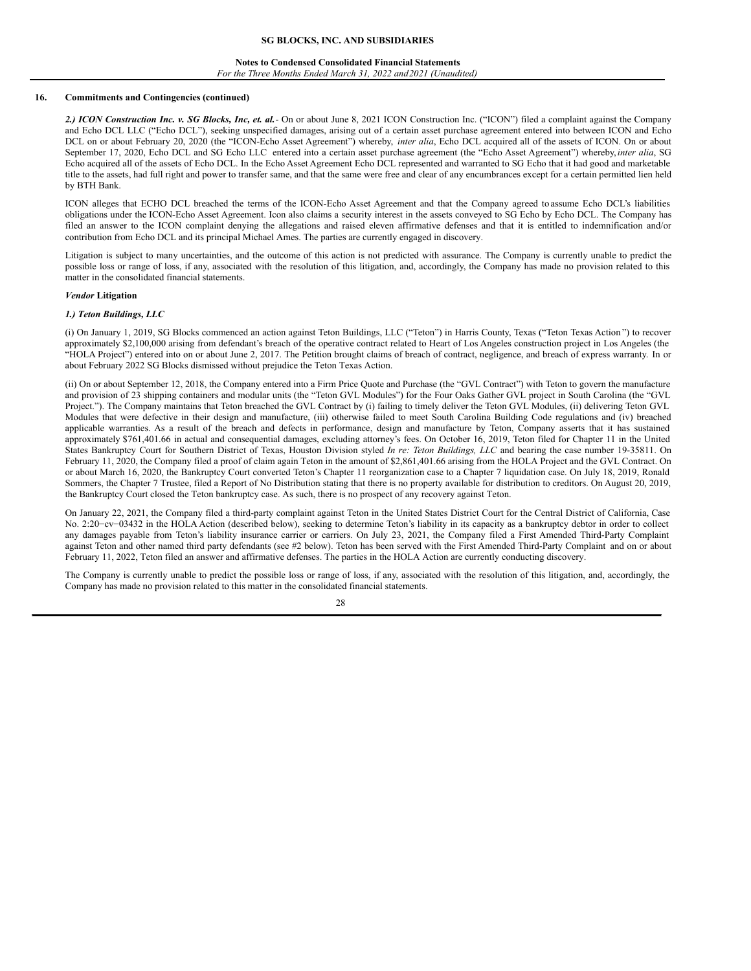#### **16. Commitments and Contingencies (continued)**

*2.) ICON Construction Inc. v. SG Blocks, Inc, et. al.*- On or about June 8, 2021 ICON Construction Inc. ("ICON") filed a complaint against the Company and Echo DCL LLC ("Echo DCL"), seeking unspecified damages, arising out of a certain asset purchase agreement entered into between ICON and Echo DCL on or about February 20, 2020 (the "ICON-Echo Asset Agreement") whereby, *inter alia*, Echo DCL acquired all of the assets of ICON. On or about September 17, 2020, Echo DCL and SG Echo LLC entered into a certain asset purchase agreement (the "Echo Asset Agreement") whereby, *inter alia*, SG Echo acquired all of the assets of Echo DCL. In the Echo Asset Agreement Echo DCL represented and warranted to SG Echo that it had good and marketable title to the assets, had full right and power to transfer same, and that the same were free and clear of any encumbrances except for a certain permitted lien held by BTH Bank.

ICON alleges that ECHO DCL breached the terms of the ICON-Echo Asset Agreement and that the Company agreed to assume Echo DCL's liabilities obligations under the ICON-Echo Asset Agreement. Icon also claims a security interest in the assets conveyed to SG Echo by Echo DCL. The Company has filed an answer to the ICON complaint denying the allegations and raised eleven affirmative defenses and that it is entitled to indemnification and/or contribution from Echo DCL and its principal Michael Ames. The parties are currently engaged in discovery.

Litigation is subject to many uncertainties, and the outcome of this action is not predicted with assurance. The Company is currently unable to predict the possible loss or range of loss, if any, associated with the resolution of this litigation, and, accordingly, the Company has made no provision related to this matter in the consolidated financial statements.

### *Vendor* **Litigation**

#### *1.) Teton Buildings, LLC*

(i) On January 1, 2019, SG Blocks commenced an action against Teton Buildings, LLC ("Teton") in Harris County, Texas ("Teton Texas Action ") to recover approximately \$2,100,000 arising from defendant's breach of the operative contract related to Heart of Los Angeles construction project in Los Angeles (the "HOLA Project") entered into on or about June 2, 2017. The Petition brought claims of breach of contract, negligence, and breach of express warranty. In or about February 2022 SG Blocks dismissed without prejudice the Teton Texas Action.

(ii) On or about September 12, 2018, the Company entered into a Firm Price Quote and Purchase (the "GVL Contract") with Teton to govern the manufacture and provision of 23 shipping containers and modular units (the "Teton GVL Modules") for the Four Oaks Gather GVL project in South Carolina (the "GVL Project."). The Company maintains that Teton breached the GVL Contract by (i) failing to timely deliver the Teton GVL Modules, (ii) delivering Teton GVL Modules that were defective in their design and manufacture, (iii) otherwise failed to meet South Carolina Building Code regulations and (iv) breached applicable warranties. As a result of the breach and defects in performance, design and manufacture by Teton, Company asserts that it has sustained approximately \$761,401.66 in actual and consequential damages, excluding attorney's fees. On October 16, 2019, Teton filed for Chapter 11 in the United States Bankruptcy Court for Southern District of Texas, Houston Division styled *In re: Teton Buildings, LLC* and bearing the case number 19-35811. On February 11, 2020, the Company filed a proof of claim again Teton in the amount of \$2,861,401.66 arising from the HOLA Project and the GVL Contract. On or about March 16, 2020, the Bankruptcy Court converted Teton's Chapter 11 reorganization case to a Chapter 7 liquidation case. On July 18, 2019, Ronald Sommers, the Chapter 7 Trustee, filed a Report of No Distribution stating that there is no property available for distribution to creditors. On August 20, 2019, the Bankruptcy Court closed the Teton bankruptcy case. As such, there is no prospect of any recovery against Teton.

On January 22, 2021, the Company filed a third-party complaint against Teton in the United States District Court for the Central District of California, Case No. 2:20-cv-03432 in the HOLA Action (described below), seeking to determine Teton's liability in its capacity as a bankruptcy debtor in order to collect any damages payable from Teton's liability insurance carrier or carriers. On July 23, 2021, the Company filed a First Amended Third-Party Complaint against Teton and other named third party defendants (see #2 below). Teton has been served with the First Amended Third-Party Complaint and on or about February 11, 2022, Teton filed an answer and affirmative defenses. The parties in the HOLA Action are currently conducting discovery.

The Company is currently unable to predict the possible loss or range of loss, if any, associated with the resolution of this litigation, and, accordingly, the Company has made no provision related to this matter in the consolidated financial statements.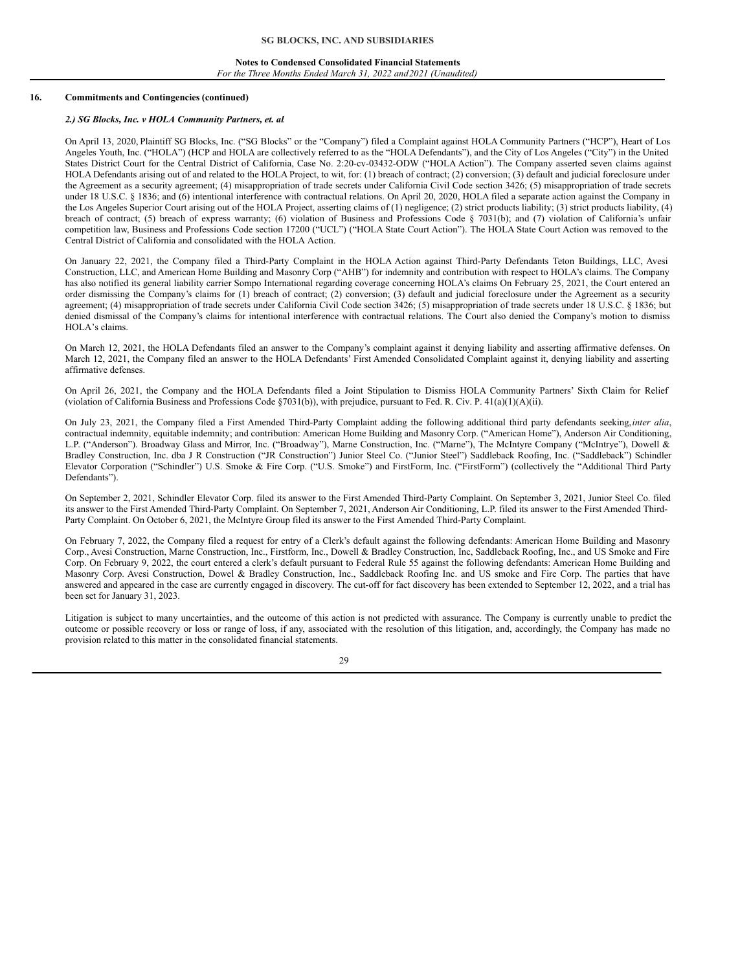## **16. Commitments and Contingencies (continued)**

# *2.) SG Blocks, Inc. v HOLA Community Partners, et. al.*

On April 13, 2020, Plaintiff SG Blocks, Inc. ("SG Blocks" or the "Company") filed a Complaint against HOLA Community Partners ("HCP"), Heart of Los Angeles Youth, Inc. ("HOLA") (HCP and HOLA are collectively referred to as the "HOLA Defendants"), and the City of Los Angeles ("City") in the United States District Court for the Central District of California, Case No. 2:20-cv-03432-ODW ("HOLA Action"). The Company asserted seven claims against HOLA Defendants arising out of and related to the HOLA Project, to wit, for: (1) breach of contract; (2) conversion; (3) default and judicial foreclosure under the Agreement as a security agreement; (4) misappropriation of trade secrets under California Civil Code section 3426; (5) misappropriation of trade secrets under 18 U.S.C. § 1836; and (6) intentional interference with contractual relations. On April 20, 2020, HOLA filed a separate action against the Company in the Los Angeles Superior Court arising out of the HOLA Project, asserting claims of (1) negligence; (2) strict products liability; (3) strict products liability, (4) breach of contract; (5) breach of express warranty; (6) violation of Business and Professions Code § 7031(b); and (7) violation of California's unfair competition law, Business and Professions Code section 17200 ("UCL") ("HOLA State Court Action"). The HOLA State Court Action was removed to the Central District of California and consolidated with the HOLA Action.

On January 22, 2021, the Company filed a Third-Party Complaint in the HOLA Action against Third-Party Defendants Teton Buildings, LLC, Avesi Construction, LLC, and American Home Building and Masonry Corp ("AHB") for indemnity and contribution with respect to HOLA's claims. The Company has also notified its general liability carrier Sompo International regarding coverage concerning HOLA's claims On February 25, 2021, the Court entered an order dismissing the Company's claims for (1) breach of contract; (2) conversion; (3) default and judicial foreclosure under the Agreement as a security agreement; (4) misappropriation of trade secrets under California Civil Code section 3426; (5) misappropriation of trade secrets under 18 U.S.C. § 1836; but denied dismissal of the Company's claims for intentional interference with contractual relations. The Court also denied the Company's motion to dismiss HOLA's claims.

On March 12, 2021, the HOLA Defendants filed an answer to the Company's complaint against it denying liability and asserting affirmative defenses. On March 12, 2021, the Company filed an answer to the HOLA Defendants' First Amended Consolidated Complaint against it, denying liability and asserting affirmative defenses.

On April 26, 2021, the Company and the HOLA Defendants filed a Joint Stipulation to Dismiss HOLA Community Partners' Sixth Claim for Relief (violation of California Business and Professions Code §7031(b)), with prejudice, pursuant to Fed. R. Civ. P. 41(a)(1)(A)(ii).

On July 23, 2021, the Company filed a First Amended Third-Party Complaint adding the following additional third party defendants seeking,*inter alia*, contractual indemnity, equitable indemnity; and contribution: American Home Building and Masonry Corp. ("American Home"), Anderson Air Conditioning, L.P. ("Anderson"). Broadway Glass and Mirror, Inc. ("Broadway"), Marne Construction, Inc. ("Marne"), The McIntyre Company ("McIntrye"), Dowell & Bradley Construction, Inc. dba J R Construction ("JR Construction") Junior Steel Co. ("Junior Steel") Saddleback Roofing, Inc. ("Saddleback") Schindler Elevator Corporation ("Schindler") U.S. Smoke & Fire Corp. ("U.S. Smoke") and FirstForm, Inc. ("FirstForm") (collectively the "Additional Third Party Defendants").

On September 2, 2021, Schindler Elevator Corp. filed its answer to the First Amended Third-Party Complaint. On September 3, 2021, Junior Steel Co. filed its answer to the First Amended Third-Party Complaint. On September 7, 2021, Anderson Air Conditioning, L.P. filed its answer to the First Amended Third-Party Complaint. On October 6, 2021, the McIntyre Group filed its answer to the First Amended Third-Party Complaint.

On February 7, 2022, the Company filed a request for entry of a Clerk's default against the following defendants: American Home Building and Masonry Corp., Avesi Construction, Marne Construction, Inc., Firstform, Inc., Dowell & Bradley Construction, Inc, Saddleback Roofing, Inc., and US Smoke and Fire Corp. On February 9, 2022, the court entered a clerk's default pursuant to Federal Rule 55 against the following defendants: American Home Building and Masonry Corp. Avesi Construction, Dowel & Bradley Construction, Inc., Saddleback Roofing Inc. and US smoke and Fire Corp. The parties that have answered and appeared in the case are currently engaged in discovery. The cut-off for fact discovery has been extended to September 12, 2022, and a trial has been set for January 31, 2023.

Litigation is subject to many uncertainties, and the outcome of this action is not predicted with assurance. The Company is currently unable to predict the outcome or possible recovery or loss or range of loss, if any, associated with the resolution of this litigation, and, accordingly, the Company has made no provision related to this matter in the consolidated financial statements.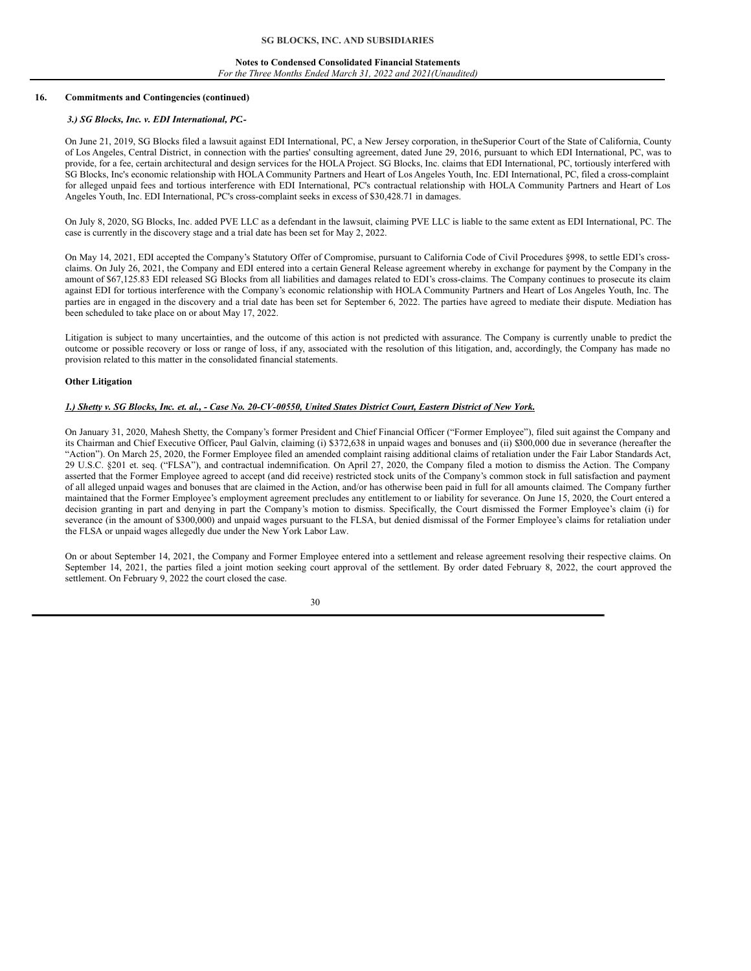#### **16. Commitments and Contingencies (continued)**

# *3.) SG Blocks, Inc. v. EDI International, PC.-*

On June 21, 2019, SG Blocks filed a lawsuit against EDI International, PC, a New Jersey corporation, in theSuperior Court of the State of California, County of Los Angeles, Central District, in connection with the parties' consulting agreement, dated June 29, 2016, pursuant to which EDI International, PC, was to provide, for a fee, certain architectural and design services for the HOLA Project. SG Blocks, Inc. claims that EDI International, PC, tortiously interfered with SG Blocks, Inc's economic relationship with HOLA Community Partners and Heart of Los Angeles Youth, Inc. EDI International, PC, filed a cross-complaint for alleged unpaid fees and tortious interference with EDI International, PC's contractual relationship with HOLA Community Partners and Heart of Los Angeles Youth, Inc. EDI International, PC's cross-complaint seeks in excess of \$30,428.71 in damages.

On July 8, 2020, SG Blocks, Inc. added PVE LLC as a defendant in the lawsuit, claiming PVE LLC is liable to the same extent as EDI International, PC. The case is currently in the discovery stage and a trial date has been set for May 2, 2022.

On May 14, 2021, EDI accepted the Company's Statutory Offer of Compromise, pursuant to California Code of Civil Procedures §998, to settle EDI's crossclaims. On July 26, 2021, the Company and EDI entered into a certain General Release agreement whereby in exchange for payment by the Company in the amount of \$67,125.83 EDI released SG Blocks from all liabilities and damages related to EDI's cross-claims. The Company continues to prosecute its claim against EDI for tortious interference with the Company's economic relationship with HOLA Community Partners and Heart of Los Angeles Youth, Inc. The parties are in engaged in the discovery and a trial date has been set for September 6, 2022. The parties have agreed to mediate their dispute. Mediation has been scheduled to take place on or about May 17, 2022.

Litigation is subject to many uncertainties, and the outcome of this action is not predicted with assurance. The Company is currently unable to predict the outcome or possible recovery or loss or range of loss, if any, associated with the resolution of this litigation, and, accordingly, the Company has made no provision related to this matter in the consolidated financial statements.

# **Other Litigation**

#### 1.) Shetty v. SG Blocks, Inc. et. al., - Case No. 20-CV-00550, United States District Court, Eastern District of New York.

On January 31, 2020, Mahesh Shetty, the Company's former President and Chief Financial Officer ("Former Employee"), filed suit against the Company and its Chairman and Chief Executive Officer, Paul Galvin, claiming (i) \$372,638 in unpaid wages and bonuses and (ii) \$300,000 due in severance (hereafter the "Action"). On March 25, 2020, the Former Employee filed an amended complaint raising additional claims of retaliation under the Fair Labor Standards Act, 29 U.S.C. §201 et. seq. ("FLSA"), and contractual indemnification. On April 27, 2020, the Company filed a motion to dismiss the Action. The Company asserted that the Former Employee agreed to accept (and did receive) restricted stock units of the Company's common stock in full satisfaction and payment of all alleged unpaid wages and bonuses that are claimed in the Action, and/or has otherwise been paid in full for all amounts claimed. The Company further maintained that the Former Employee's employment agreement precludes any entitlement to or liability for severance. On June 15, 2020, the Court entered a decision granting in part and denying in part the Company's motion to dismiss. Specifically, the Court dismissed the Former Employee's claim (i) for severance (in the amount of \$300,000) and unpaid wages pursuant to the FLSA, but denied dismissal of the Former Employee's claims for retaliation under the FLSA or unpaid wages allegedly due under the New York Labor Law.

On or about September 14, 2021, the Company and Former Employee entered into a settlement and release agreement resolving their respective claims. On September 14, 2021, the parties filed a joint motion seeking court approval of the settlement. By order dated February 8, 2022, the court approved the settlement. On February 9, 2022 the court closed the case.

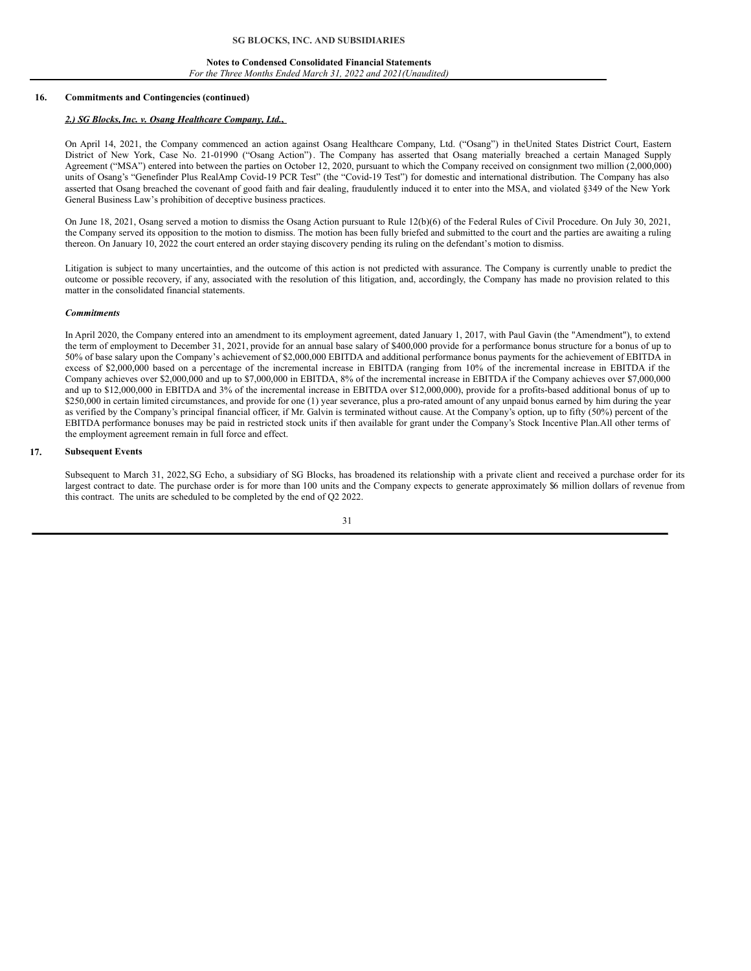#### **16. Commitments and Contingencies (continued)**

# *2.) SG Blocks,Inc. v. Osang Healthcare Company, Ltd.***,**

On April 14, 2021, the Company commenced an action against Osang Healthcare Company, Ltd. ("Osang") in theUnited States District Court, Eastern District of New York, Case No. 21-01990 ("Osang Action"). The Company has asserted that Osang materially breached a certain Managed Supply Agreement ("MSA") entered into between the parties on October 12, 2020, pursuant to which the Company received on consignment two million (2,000,000) units of Osang's "Genefinder Plus RealAmp Covid-19 PCR Test" (the "Covid-19 Test") for domestic and international distribution. The Company has also asserted that Osang breached the covenant of good faith and fair dealing, fraudulently induced it to enter into the MSA, and violated §349 of the New York General Business Law's prohibition of deceptive business practices.

On June 18, 2021, Osang served a motion to dismiss the Osang Action pursuant to Rule 12(b)(6) of the Federal Rules of Civil Procedure. On July 30, 2021, the Company served its opposition to the motion to dismiss. The motion has been fully briefed and submitted to the court and the parties are awaiting a ruling thereon. On January 10, 2022 the court entered an order staying discovery pending its ruling on the defendant's motion to dismiss.

Litigation is subject to many uncertainties, and the outcome of this action is not predicted with assurance. The Company is currently unable to predict the outcome or possible recovery, if any, associated with the resolution of this litigation, and, accordingly, the Company has made no provision related to this matter in the consolidated financial statements.

#### *Commitments*

In April 2020, the Company entered into an amendment to its employment agreement, dated January 1, 2017, with Paul Gavin (the "Amendment"), to extend the term of employment to December 31, 2021, provide for an annual base salary of \$400,000 provide for a performance bonus structure for a bonus of up to 50% of base salary upon the Company's achievement of \$2,000,000 EBITDA and additional performance bonus payments for the achievement of EBITDA in excess of \$2,000,000 based on a percentage of the incremental increase in EBITDA (ranging from 10% of the incremental increase in EBITDA if the Company achieves over \$2,000,000 and up to \$7,000,000 in EBITDA, 8% of the incremental increase in EBITDA if the Company achieves over \$7,000,000 and up to \$12,000,000 in EBITDA and 3% of the incremental increase in EBITDA over \$12,000,000), provide for a profits-based additional bonus of up to \$250,000 in certain limited circumstances, and provide for one (1) year severance, plus a pro-rated amount of any unpaid bonus earned by him during the year as verified by the Company's principal financial officer, if Mr. Galvin is terminated without cause. At the Company's option, up to fifty (50%) percent of the EBITDA performance bonuses may be paid in restricted stock units if then available for grant under the Company's Stock Incentive Plan.All other terms of the employment agreement remain in full force and effect.

#### **17. Subsequent Events**

Subsequent to March 31, 2022, SG Echo, a subsidiary of SG Blocks, has broadened its relationship with a private client and received a purchase order for its largest contract to date. The purchase order is for more than 100 units and the Company expects to generate approximately \$6 million dollars of revenue from this contract. The units are scheduled to be completed by the end of Q2 2022.

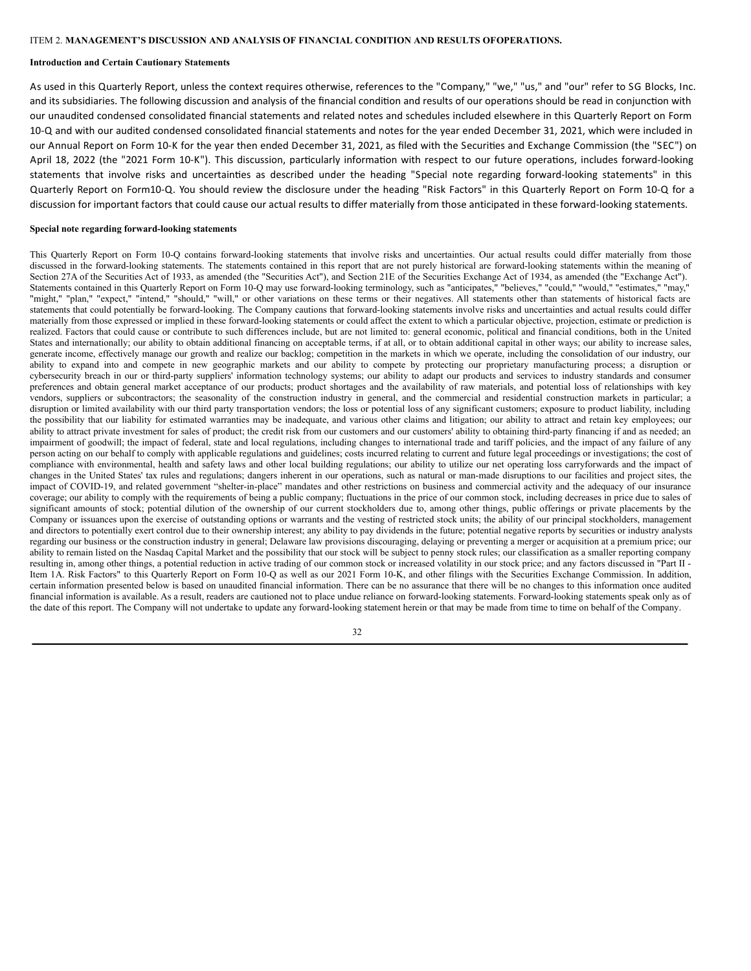# <span id="page-38-0"></span>ITEM 2. **MANAGEMENT'S DISCUSSION AND ANALYSIS OF FINANCIAL CONDITION AND RESULTS OFOPERATIONS.**

## **Introduction and Certain Cautionary Statements**

As used in this Quarterly Report, unless the context requires otherwise, references to the "Company," "we," "us," and "our" refer to SG Blocks, Inc. and its subsidiaries. The following discussion and analysis of the financial condition and results of our operations should be read in conjunction with our unaudited condensed consolidated financial statements and related notes and schedules included elsewhere in this Quarterly Report on Form 10-Q and with our audited condensed consolidated financial statements and notes for the year ended December 31, 2021, which were included in our Annual Report on Form 10-K for the year then ended December 31, 2021, as filed with the Securities and Exchange Commission (the "SEC") on April 18, 2022 (the "2021 Form 10-K"). This discussion, particularly information with respect to our future operations, includes forward-looking statements that involve risks and uncertainties as described under the heading "Special note regarding forward-looking statements" in this Quarterly Report on Form10-Q. You should review the disclosure under the heading "Risk Factors" in this Quarterly Report on Form 10-Q for a discussion for important factors that could cause our actual results to differ materially from those anticipated in these forward-looking statements.

#### **Special note regarding forward-looking statements**

This Quarterly Report on Form 10-Q contains forward-looking statements that involve risks and uncertainties. Our actual results could differ materially from those discussed in the forward-looking statements. The statements contained in this report that are not purely historical are forward-looking statements within the meaning of Section 27A of the Securities Act of 1933, as amended (the "Securities Act"), and Section 21E of the Securities Exchange Act of 1934, as amended (the "Exchange Act"). Statements contained in this Quarterly Report on Form 10-Q may use forward-looking terminology, such as "anticipates," "believes," "could," "would," "estimates," "may," "might," "plan," "expect," "intend," "should," "will," or other variations on these terms or their negatives. All statements other than statements of historical facts are statements that could potentially be forward-looking. The Company cautions that forward-looking statements involve risks and uncertainties and actual results could differ materially from those expressed or implied in these forward-looking statements or could affect the extent to which a particular objective, projection, estimate or prediction is realized. Factors that could cause or contribute to such differences include, but are not limited to: general economic, political and financial conditions, both in the United States and internationally; our ability to obtain additional financing on acceptable terms, if at all, or to obtain additional capital in other ways; our ability to increase sales, generate income, effectively manage our growth and realize our backlog; competition in the markets in which we operate, including the consolidation of our industry, our ability to expand into and compete in new geographic markets and our ability to compete by protecting our proprietary manufacturing process; a disruption or cybersecurity breach in our or third-party suppliers' information technology systems; our ability to adapt our products and services to industry standards and consumer preferences and obtain general market acceptance of our products; product shortages and the availability of raw materials, and potential loss of relationships with key vendors, suppliers or subcontractors; the seasonality of the construction industry in general, and the commercial and residential construction markets in particular; a disruption or limited availability with our third party transportation vendors; the loss or potential loss of any significant customers; exposure to product liability, including the possibility that our liability for estimated warranties may be inadequate, and various other claims and litigation; our ability to attract and retain key employees; our ability to attract private investment for sales of product; the credit risk from our customers and our customers' ability to obtaining third-party financing if and as needed; an impairment of goodwill; the impact of federal, state and local regulations, including changes to international trade and tariff policies, and the impact of any failure of any person acting on our behalf to comply with applicable regulations and guidelines; costs incurred relating to current and future legal proceedings or investigations; the cost of compliance with environmental, health and safety laws and other local building regulations; our ability to utilize our net operating loss carryforwards and the impact of changes in the United States' tax rules and regulations; dangers inherent in our operations, such as natural or man-made disruptions to our facilities and project sites, the impact of COVID-19, and related government "shelter-in-place" mandates and other restrictions on business and commercial activity and the adequacy of our insurance coverage; our ability to comply with the requirements of being a public company; fluctuations in the price of our common stock, including decreases in price due to sales of significant amounts of stock; potential dilution of the ownership of our current stockholders due to, among other things, public offerings or private placements by the Company or issuances upon the exercise of outstanding options or warrants and the vesting of restricted stock units; the ability of our principal stockholders, management and directors to potentially exert control due to their ownership interest; any ability to pay dividends in the future; potential negative reports by securities or industry analysts regarding our business or the construction industry in general; Delaware law provisions discouraging, delaying or preventing a merger or acquisition at a premium price; our ability to remain listed on the Nasdaq Capital Market and the possibility that our stock will be subject to penny stock rules; our classification as a smaller reporting company resulting in, among other things, a potential reduction in active trading of our common stock or increased volatility in our stock price; and any factors discussed in "Part II - Item 1A. Risk Factors" to this Quarterly Report on Form 10-Q as well as our 2021 Form 10-K, and other filings with the Securities Exchange Commission. In addition, certain information presented below is based on unaudited financial information. There can be no assurance that there will be no changes to this information once audited financial information is available. As a result, readers are cautioned not to place undue reliance on forward-looking statements. Forward-looking statements speak only as of the date of this report. The Company will not undertake to update any forward-looking statement herein or that may be made from time to time on behalf of the Company.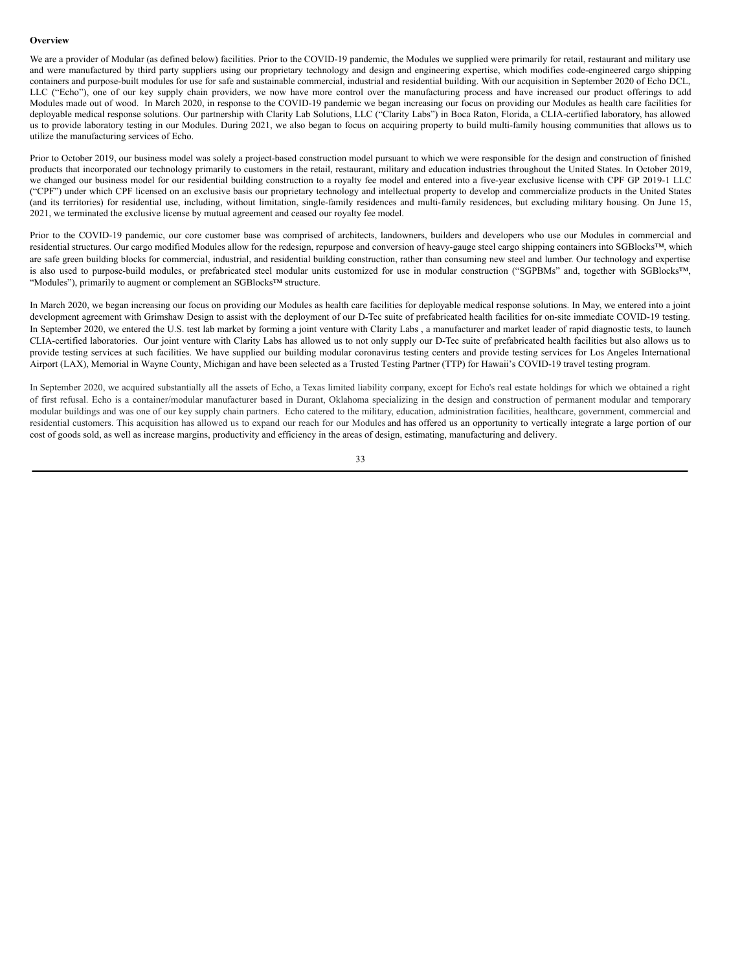#### **Overview**

We are a provider of Modular (as defined below) facilities. Prior to the COVID-19 pandemic, the Modules we supplied were primarily for retail, restaurant and military use and were manufactured by third party suppliers using our proprietary technology and design and engineering expertise, which modifies code-engineered cargo shipping containers and purpose-built modules for use for safe and sustainable commercial, industrial and residential building. With our acquisition in September 2020 of Echo DCL, LLC ("Echo"), one of our key supply chain providers, we now have more control over the manufacturing process and have increased our product offerings to add Modules made out of wood. In March 2020, in response to the COVID-19 pandemic we began increasing our focus on providing our Modules as health care facilities for deployable medical response solutions. Our partnership with Clarity Lab Solutions, LLC ("Clarity Labs") in Boca Raton, Florida, a CLIA-certified laboratory, has allowed us to provide laboratory testing in our Modules. During 2021, we also began to focus on acquiring property to build multi-family housing communities that allows us to utilize the manufacturing services of Echo.

Prior to October 2019, our business model was solely a project-based construction model pursuant to which we were responsible for the design and construction of finished products that incorporated our technology primarily to customers in the retail, restaurant, military and education industries throughout the United States. In October 2019, we changed our business model for our residential building construction to a royalty fee model and entered into a five-year exclusive license with CPF GP 2019-1 LLC ("CPF") under which CPF licensed on an exclusive basis our proprietary technology and intellectual property to develop and commercialize products in the United States (and its territories) for residential use, including, without limitation, single-family residences and multi-family residences, but excluding military housing. On June 15, 2021, we terminated the exclusive license by mutual agreement and ceased our royalty fee model.

Prior to the COVID-19 pandemic, our core customer base was comprised of architects, landowners, builders and developers who use our Modules in commercial and residential structures. Our cargo modified Modules allow for the redesign, repurpose and conversion of heavy-gauge steel cargo shipping containers into SGBlocks™, which are safe green building blocks for commercial, industrial, and residential building construction, rather than consuming new steel and lumber. Our technology and expertise is also used to purpose-build modules, or prefabricated steel modular units customized for use in modular construction ("SGPBMs" and, together with SGBlocks™, "Modules"), primarily to augment or complement an SGBlocks™ structure.

In March 2020, we began increasing our focus on providing our Modules as health care facilities for deployable medical response solutions. In May, we entered into a joint development agreement with Grimshaw Design to assist with the deployment of our D-Tec suite of prefabricated health facilities for on-site immediate COVID-19 testing. In September 2020, we entered the U.S. test lab market by forming a joint venture with Clarity Labs , a manufacturer and market leader of rapid diagnostic tests, to launch CLIA-certified laboratories. Our joint venture with Clarity Labs has allowed us to not only supply our D-Tec suite of prefabricated health facilities but also allows us to provide testing services at such facilities. We have supplied our building modular coronavirus testing centers and provide testing services for Los Angeles International Airport (LAX), Memorial in Wayne County, Michigan and have been selected as a Trusted Testing Partner (TTP) for Hawaii's COVID-19 travel testing program.

In September 2020, we acquired substantially all the assets of Echo, a Texas limited liability company, except for Echo's real estate holdings for which we obtained a right of first refusal. Echo is a container/modular manufacturer based in Durant, Oklahoma specializing in the design and construction of permanent modular and temporary modular buildings and was one of our key supply chain partners. Echo catered to the military, education, administration facilities, healthcare, government, commercial and residential customers. This acquisition has allowed us to expand our reach for our Modules and has offered us an opportunity to vertically integrate a large portion of our cost of goods sold, as well as increase margins, productivity and efficiency in the areas of design, estimating, manufacturing and delivery.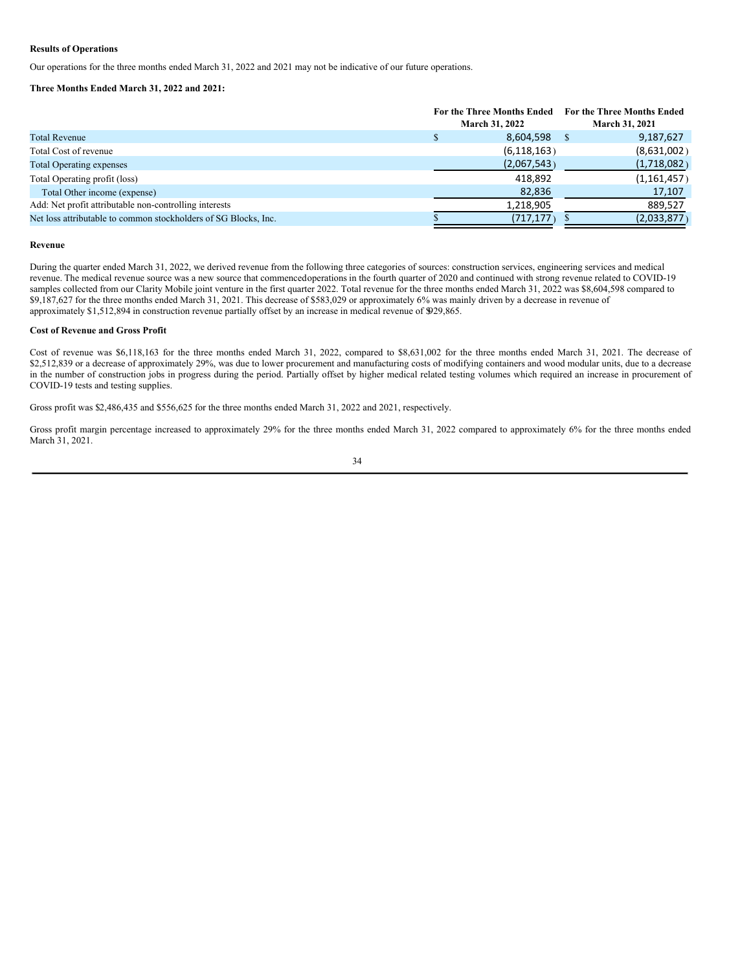# **Results of Operations**

Our operations for the three months ended March 31, 2022 and 2021 may not be indicative of our future operations.

# **Three Months Ended March 31, 2022 and 2021:**

|                                                                 | For the Three Months Ended<br>March 31, 2022 |               | <b>For the Three Months Ended</b><br>March 31, 2021 |  |
|-----------------------------------------------------------------|----------------------------------------------|---------------|-----------------------------------------------------|--|
| <b>Total Revenue</b>                                            |                                              | 8,604,598     | 9,187,627                                           |  |
| Total Cost of revenue                                           |                                              | (6, 118, 163) | (8,631,002)                                         |  |
| <b>Total Operating expenses</b>                                 |                                              | (2,067,543)   | (1,718,082)                                         |  |
| Total Operating profit (loss)                                   |                                              | 418.892       | (1, 161, 457)                                       |  |
| Total Other income (expense)                                    |                                              | 82,836        | 17,107                                              |  |
| Add: Net profit attributable non-controlling interests          |                                              | 1,218,905     | 889,527                                             |  |
| Net loss attributable to common stockholders of SG Blocks, Inc. |                                              | (717, 177)    | (2,033,877)                                         |  |

#### **Revenue**

During the quarter ended March 31, 2022, we derived revenue from the following three categories of sources: construction services, engineering services and medical revenue. The medical revenue source was a new source that commencedoperations in the fourth quarter of 2020 and continued with strong revenue related to COVID-19 samples collected from our Clarity Mobile joint venture in the first quarter 2022. Total revenue for the three months ended March 31, 2022 was \$8,604,598 compared to \$9,187,627 for the three months ended March 31, 2021. This decrease of \$583,029 or approximately 6% was mainly driven by a decrease in revenue of approximately \$1,512,894 in construction revenue partially offset by an increase in medical revenue of \$929,865.

#### **Cost of Revenue and Gross Profit**

Cost of revenue was \$6,118,163 for the three months ended March 31, 2022, compared to \$8,631,002 for the three months ended March 31, 2021. The decrease of \$2,512,839 or a decrease of approximately 29%, was due to lower procurement and manufacturing costs of modifying containers and wood modular units, due to a decrease in the number of construction jobs in progress during the period. Partially offset by higher medical related testing volumes which required an increase in procurement of COVID-19 tests and testing supplies.

Gross profit was \$2,486,435 and \$556,625 for the three months ended March 31, 2022 and 2021, respectively.

Gross profit margin percentage increased to approximately 29% for the three months ended March 31, 2022 compared to approximately 6% for the three months ended March 31, 2021.

34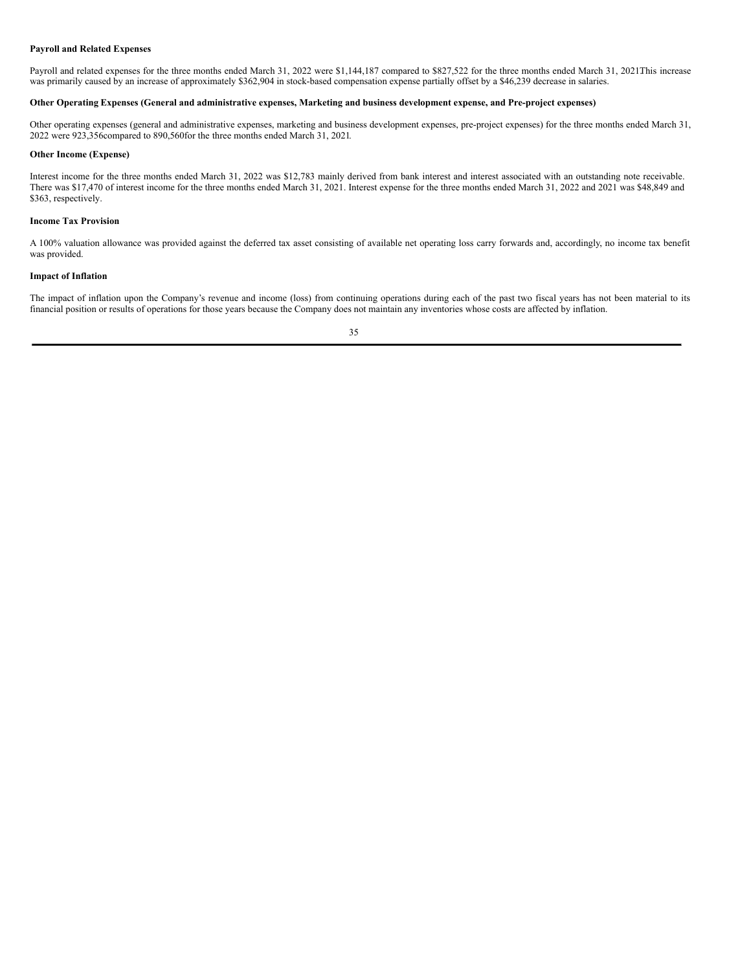# **Payroll and Related Expenses**

Payroll and related expenses for the three months ended March 31, 2022 were \$1,144,187 compared to \$827,522 for the three months ended March 31, 2021This increase was primarily caused by an increase of approximately \$362,904 in stock-based compensation expense partially offset by a \$46,239 decrease in salaries.

# Other Operating Expenses (General and administrative expenses, Marketing and business development expense, and Pre-project expenses)

Other operating expenses (general and administrative expenses, marketing and business development expenses, pre-project expenses) for the three months ended March 31, 2022 were 923,356compared to 890,560for the three months ended March 31, 2021.

# **Other Income (Expense)**

Interest income for the three months ended March 31, 2022 was \$12,783 mainly derived from bank interest and interest associated with an outstanding note receivable. There was \$17,470 of interest income for the three months ended March 31, 2021. Interest expense for the three months ended March 31, 2022 and 2021 was \$48,849 and \$363, respectively.

# **Income Tax Provision**

A 100% valuation allowance was provided against the deferred tax asset consisting of available net operating loss carry forwards and, accordingly, no income tax benefit was provided.

# **Impact of Inflation**

The impact of inflation upon the Company's revenue and income (loss) from continuing operations during each of the past two fiscal years has not been material to its financial position or results of operations for those years because the Company does not maintain any inventories whose costs are affected by inflation.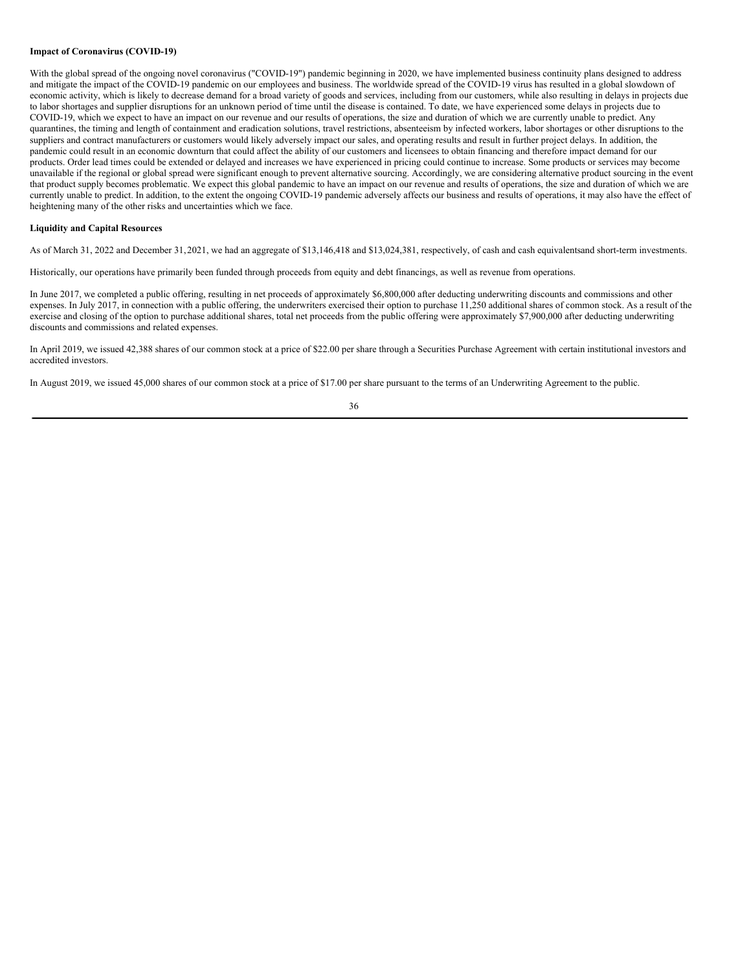# **Impact of Coronavirus (COVID-19)**

With the global spread of the ongoing novel coronavirus ("COVID-19") pandemic beginning in 2020, we have implemented business continuity plans designed to address and mitigate the impact of the COVID-19 pandemic on our employees and business. The worldwide spread of the COVID-19 virus has resulted in a global slowdown of economic activity, which is likely to decrease demand for a broad variety of goods and services, including from our customers, while also resulting in delays in projects due to labor shortages and supplier disruptions for an unknown period of time until the disease is contained. To date, we have experienced some delays in projects due to COVID-19, which we expect to have an impact on our revenue and our results of operations, the size and duration of which we are currently unable to predict. Any quarantines, the timing and length of containment and eradication solutions, travel restrictions, absenteeism by infected workers, labor shortages or other disruptions to the suppliers and contract manufacturers or customers would likely adversely impact our sales, and operating results and result in further project delays. In addition, the pandemic could result in an economic downturn that could affect the ability of our customers and licensees to obtain financing and therefore impact demand for our products. Order lead times could be extended or delayed and increases we have experienced in pricing could continue to increase. Some products or services may become unavailable if the regional or global spread were significant enough to prevent alternative sourcing. Accordingly, we are considering alternative product sourcing in the event that product supply becomes problematic. We expect this global pandemic to have an impact on our revenue and results of operations, the size and duration of which we are currently unable to predict. In addition, to the extent the ongoing COVID-19 pandemic adversely affects our business and results of operations, it may also have the effect of heightening many of the other risks and uncertainties which we face.

# **Liquidity and Capital Resources**

As of March 31, 2022 and December 31,2021, we had an aggregate of \$13,146,418 and \$13,024,381, respectively, of cash and cash equivalentsand short-term investments.

Historically, our operations have primarily been funded through proceeds from equity and debt financings, as well as revenue from operations.

In June 2017, we completed a public offering, resulting in net proceeds of approximately \$6,800,000 after deducting underwriting discounts and commissions and other expenses. In July 2017, in connection with a public offering, the underwriters exercised their option to purchase 11,250 additional shares of common stock. As a result of the exercise and closing of the option to purchase additional shares, total net proceeds from the public offering were approximately \$7,900,000 after deducting underwriting discounts and commissions and related expenses.

In April 2019, we issued 42,388 shares of our common stock at a price of \$22.00 per share through a Securities Purchase Agreement with certain institutional investors and accredited investors.

In August 2019, we issued 45,000 shares of our common stock at a price of \$17.00 per share pursuant to the terms of an Underwriting Agreement to the public.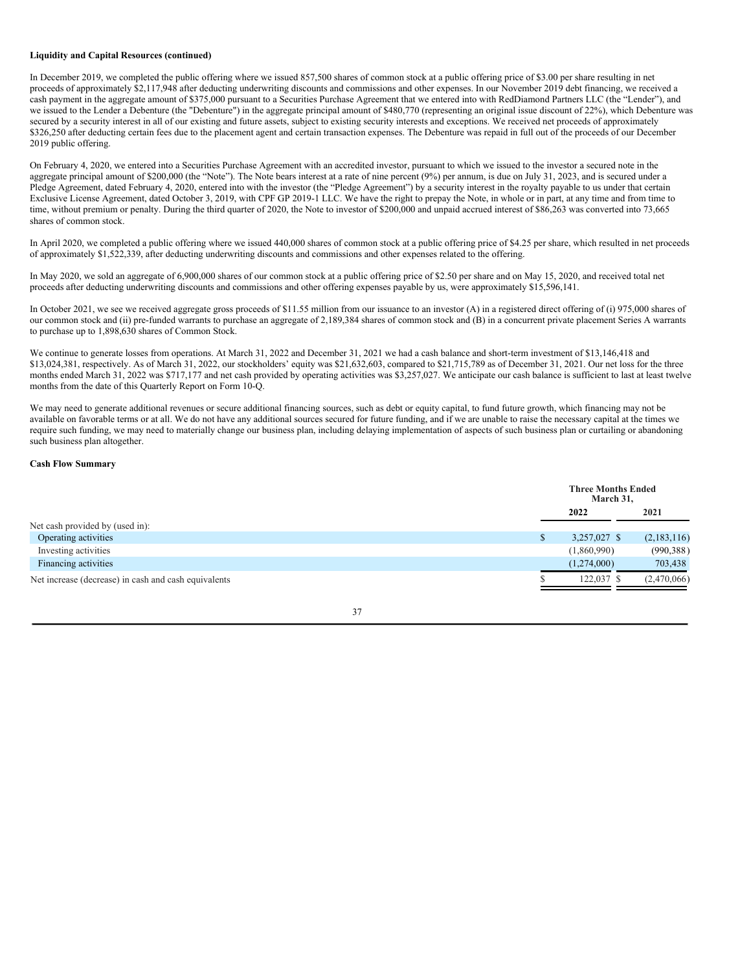## **Liquidity and Capital Resources (continued)**

In December 2019, we completed the public offering where we issued 857,500 shares of common stock at a public offering price of \$3.00 per share resulting in net proceeds of approximately \$2,117,948 after deducting underwriting discounts and commissions and other expenses. In our November 2019 debt financing, we received a cash payment in the aggregate amount of \$375,000 pursuant to a Securities Purchase Agreement that we entered into with RedDiamond Partners LLC (the "Lender"), and we issued to the Lender a Debenture (the "Debenture") in the aggregate principal amount of \$480,770 (representing an original issue discount of 22%), which Debenture was secured by a security interest in all of our existing and future assets, subject to existing security interests and exceptions. We received net proceeds of approximately \$326,250 after deducting certain fees due to the placement agent and certain transaction expenses. The Debenture was repaid in full out of the proceeds of our December 2019 public offering.

On February 4, 2020, we entered into a Securities Purchase Agreement with an accredited investor, pursuant to which we issued to the investor a secured note in the aggregate principal amount of \$200,000 (the "Note"). The Note bears interest at a rate of nine percent (9%) per annum, is due on July 31, 2023, and is secured under a Pledge Agreement, dated February 4, 2020, entered into with the investor (the "Pledge Agreement") by a security interest in the royalty payable to us under that certain Exclusive License Agreement, dated October 3, 2019, with CPF GP 2019-1 LLC. We have the right to prepay the Note, in whole or in part, at any time and from time to time, without premium or penalty. During the third quarter of 2020, the Note to investor of \$200,000 and unpaid accrued interest of \$86,263 was converted into 73,665 shares of common stock.

In April 2020, we completed a public offering where we issued 440,000 shares of common stock at a public offering price of \$4.25 per share, which resulted in net proceeds of approximately \$1,522,339, after deducting underwriting discounts and commissions and other expenses related to the offering.

In May 2020, we sold an aggregate of 6,900,000 shares of our common stock at a public offering price of \$2.50 per share and on May 15, 2020, and received total net proceeds after deducting underwriting discounts and commissions and other offering expenses payable by us, were approximately \$15,596,141.

In October 2021, we see we received aggregate gross proceeds of \$11.55 million from our issuance to an investor (A) in a registered direct offering of (i) 975,000 shares of our common stock and (ii) pre-funded warrants to purchase an aggregate of 2,189,384 shares of common stock and (B) in a concurrent private placement Series A warrants to purchase up to 1,898,630 shares of Common Stock.

We continue to generate losses from operations. At March 31, 2022 and December 31, 2021 we had a cash balance and short-term investment of \$13,146,418 and \$13,024,381, respectively. As of March 31, 2022, our stockholders' equity was \$21,632,603, compared to \$21,715,789 as of December 31, 2021. Our net loss for the three months ended March 31, 2022 was \$717,177 and net cash provided by operating activities was \$3,257,027. We anticipate our cash balance is sufficient to last at least twelve months from the date of this Quarterly Report on Form 10-Q.

We may need to generate additional revenues or secure additional financing sources, such as debt or equity capital, to fund future growth, which financing may not be available on favorable terms or at all. We do not have any additional sources secured for future funding, and if we are unable to raise the necessary capital at the times we require such funding, we may need to materially change our business plan, including delaying implementation of aspects of such business plan or curtailing or abandoning such business plan altogether.

# **Cash Flow Summary**

|                                                      | <b>Three Months Ended</b><br>March 31, |             |  |
|------------------------------------------------------|----------------------------------------|-------------|--|
|                                                      | 2022                                   | 2021        |  |
| Net cash provided by (used in):                      |                                        |             |  |
| Operating activities                                 | 3,257,027 \$                           | (2,183,116) |  |
| Investing activities                                 | (1,860,990)                            | (990, 388)  |  |
| Financing activities                                 | (1,274,000)                            | 703,438     |  |
| Net increase (decrease) in cash and cash equivalents | 122,037 \$                             | (2,470,066) |  |

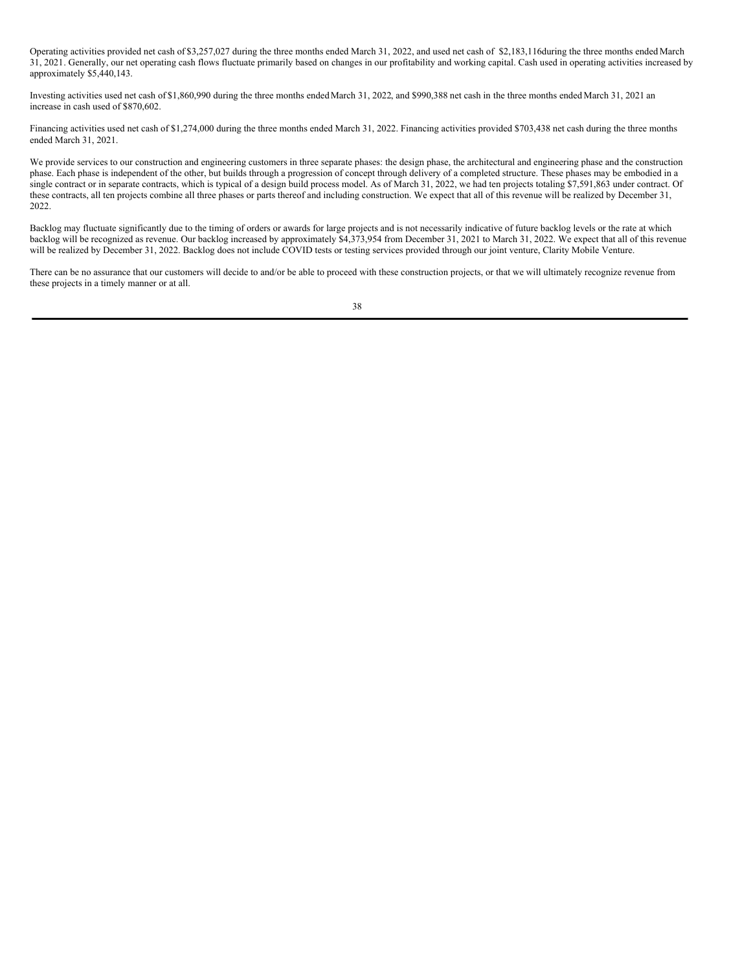Operating activities provided net cash of \$3,257,027 during the three months ended March 31, 2022, and used net cash of \$2,183,116during the three months ended March 31, 2021. Generally, our net operating cash flows fluctuate primarily based on changes in our profitability and working capital. Cash used in operating activities increased by approximately \$5,440,143.

Investing activities used net cash of \$1,860,990 during the three months endedMarch 31, 2022, and \$990,388 net cash in the three months ended March 31, 2021 an increase in cash used of \$870,602.

Financing activities used net cash of \$1,274,000 during the three months ended March 31, 2022. Financing activities provided \$703,438 net cash during the three months ended March 31, 2021.

We provide services to our construction and engineering customers in three separate phases: the design phase, the architectural and engineering phase and the construction phase. Each phase is independent of the other, but builds through a progression of concept through delivery of a completed structure. These phases may be embodied in a single contract or in separate contracts, which is typical of a design build process model. As of March 31, 2022, we had ten projects totaling \$7,591,863 under contract. Of these contracts, all ten projects combine all three phases or parts thereof and including construction. We expect that all of this revenue will be realized by December 31, 2022.

Backlog may fluctuate significantly due to the timing of orders or awards for large projects and is not necessarily indicative of future backlog levels or the rate at which backlog will be recognized as revenue. Our backlog increased by approximately \$4,373,954 from December 31, 2021 to March 31, 2022. We expect that all of this revenue will be realized by December 31, 2022. Backlog does not include COVID tests or testing services provided through our joint venture, Clarity Mobile Venture.

There can be no assurance that our customers will decide to and/or be able to proceed with these construction projects, or that we will ultimately recognize revenue from these projects in a timely manner or at all.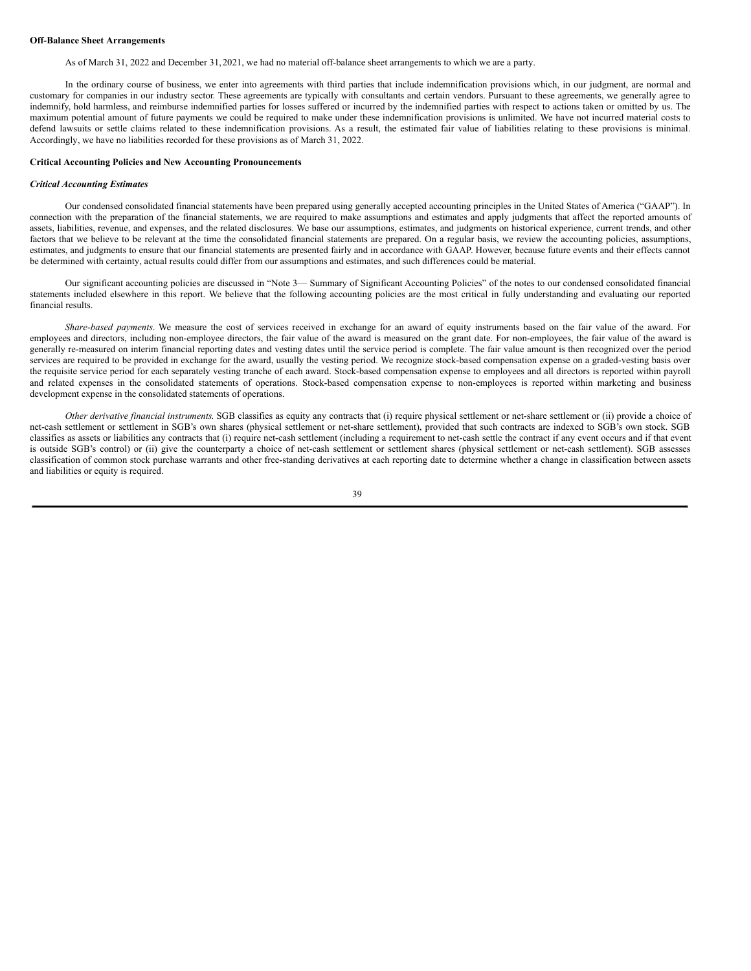#### **Off-Balance Sheet Arrangements**

As of March 31, 2022 and December 31,2021, we had no material off-balance sheet arrangements to which we are a party.

In the ordinary course of business, we enter into agreements with third parties that include indemnification provisions which, in our judgment, are normal and customary for companies in our industry sector. These agreements are typically with consultants and certain vendors. Pursuant to these agreements, we generally agree to indemnify, hold harmless, and reimburse indemnified parties for losses suffered or incurred by the indemnified parties with respect to actions taken or omitted by us. The maximum potential amount of future payments we could be required to make under these indemnification provisions is unlimited. We have not incurred material costs to defend lawsuits or settle claims related to these indemnification provisions. As a result, the estimated fair value of liabilities relating to these provisions is minimal. Accordingly, we have no liabilities recorded for these provisions as of March 31, 2022.

# **Critical Accounting Policies and New Accounting Pronouncements**

#### *Critical Accounting Estimates*

Our condensed consolidated financial statements have been prepared using generally accepted accounting principles in the United States of America ("GAAP"). In connection with the preparation of the financial statements, we are required to make assumptions and estimates and apply judgments that affect the reported amounts of assets, liabilities, revenue, and expenses, and the related disclosures. We base our assumptions, estimates, and judgments on historical experience, current trends, and other factors that we believe to be relevant at the time the consolidated financial statements are prepared. On a regular basis, we review the accounting policies, assumptions, estimates, and judgments to ensure that our financial statements are presented fairly and in accordance with GAAP. However, because future events and their effects cannot be determined with certainty, actual results could differ from our assumptions and estimates, and such differences could be material.

Our significant accounting policies are discussed in "Note 3— Summary of Significant Accounting Policies" of the notes to our condensed consolidated financial statements included elsewhere in this report. We believe that the following accounting policies are the most critical in fully understanding and evaluating our reported financial results.

*Share-based payments*. We measure the cost of services received in exchange for an award of equity instruments based on the fair value of the award. For employees and directors, including non-employee directors, the fair value of the award is measured on the grant date. For non-employees, the fair value of the award is generally re-measured on interim financial reporting dates and vesting dates until the service period is complete. The fair value amount is then recognized over the period services are required to be provided in exchange for the award, usually the vesting period. We recognize stock-based compensation expense on a graded-vesting basis over the requisite service period for each separately vesting tranche of each award. Stock-based compensation expense to employees and all directors is reported within payroll and related expenses in the consolidated statements of operations. Stock-based compensation expense to non-employees is reported within marketing and business development expense in the consolidated statements of operations.

*Other derivative financial instruments*. SGB classifies as equity any contracts that (i) require physical settlement or net-share settlement or (ii) provide a choice of net-cash settlement or settlement in SGB's own shares (physical settlement or net-share settlement), provided that such contracts are indexed to SGB's own stock. SGB classifies as assets or liabilities any contracts that (i) require net-cash settlement (including a requirement to net-cash settle the contract if any event occurs and if that event is outside SGB's control) or (ii) give the counterparty a choice of net-cash settlement or settlement shares (physical settlement or net-cash settlement). SGB assesses classification of common stock purchase warrants and other free-standing derivatives at each reporting date to determine whether a change in classification between assets and liabilities or equity is required.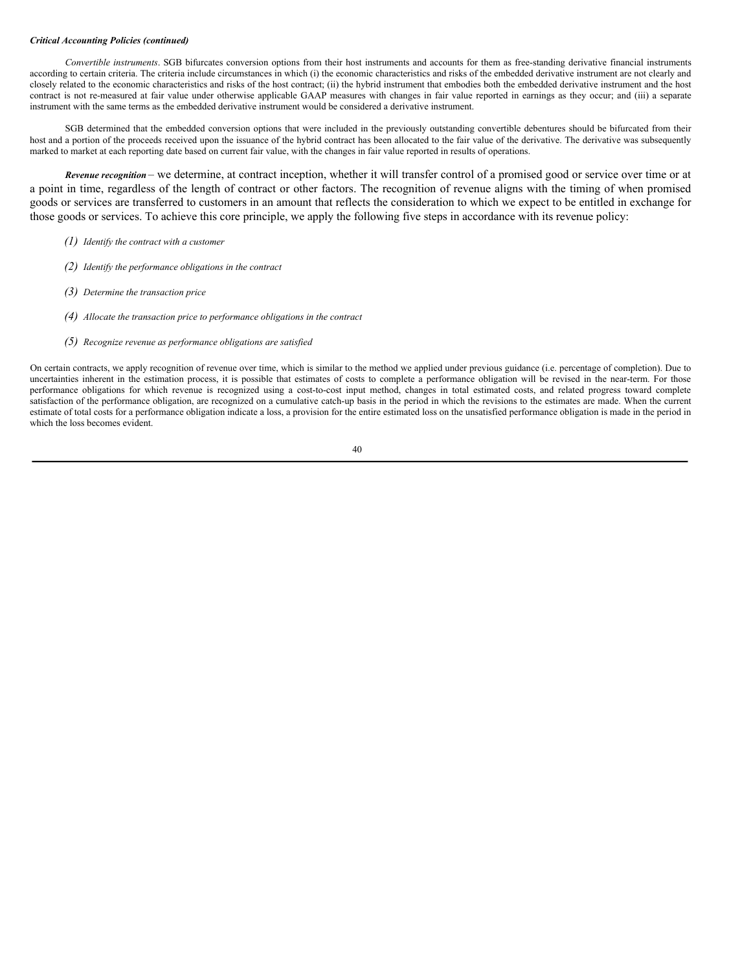#### *Critical Accounting Policies (continued)*

*Convertible instruments*. SGB bifurcates conversion options from their host instruments and accounts for them as free-standing derivative financial instruments according to certain criteria. The criteria include circumstances in which (i) the economic characteristics and risks of the embedded derivative instrument are not clearly and closely related to the economic characteristics and risks of the host contract; (ii) the hybrid instrument that embodies both the embedded derivative instrument and the host contract is not re-measured at fair value under otherwise applicable GAAP measures with changes in fair value reported in earnings as they occur; and (iii) a separate instrument with the same terms as the embedded derivative instrument would be considered a derivative instrument.

SGB determined that the embedded conversion options that were included in the previously outstanding convertible debentures should be bifurcated from their host and a portion of the proceeds received upon the issuance of the hybrid contract has been allocated to the fair value of the derivative. The derivative was subsequently marked to market at each reporting date based on current fair value, with the changes in fair value reported in results of operations.

*Revenue recognition* – we determine, at contract inception, whether it will transfer control of a promised good or service over time or at a point in time, regardless of the length of contract or other factors. The recognition of revenue aligns with the timing of when promised goods or services are transferred to customers in an amount that reflects the consideration to which we expect to be entitled in exchange for those goods or services. To achieve this core principle, we apply the following five steps in accordance with its revenue policy:

- *(1) Identify the contract with a customer*
- *(2) Identify the performance obligations in the contract*
- *(3) Determine the transaction price*
- *(4) Allocate the transaction price to performance obligations in the contract*
- *(5) Recognize revenue as performance obligations are satisfied*

On certain contracts, we apply recognition of revenue over time, which is similar to the method we applied under previous guidance (i.e. percentage of completion). Due to uncertainties inherent in the estimation process, it is possible that estimates of costs to complete a performance obligation will be revised in the near-term. For those performance obligations for which revenue is recognized using a cost-to-cost input method, changes in total estimated costs, and related progress toward complete satisfaction of the performance obligation, are recognized on a cumulative catch-up basis in the period in which the revisions to the estimates are made. When the current estimate of total costs for a performance obligation indicate a loss, a provision for the entire estimated loss on the unsatisfied performance obligation is made in the period in which the loss becomes evident.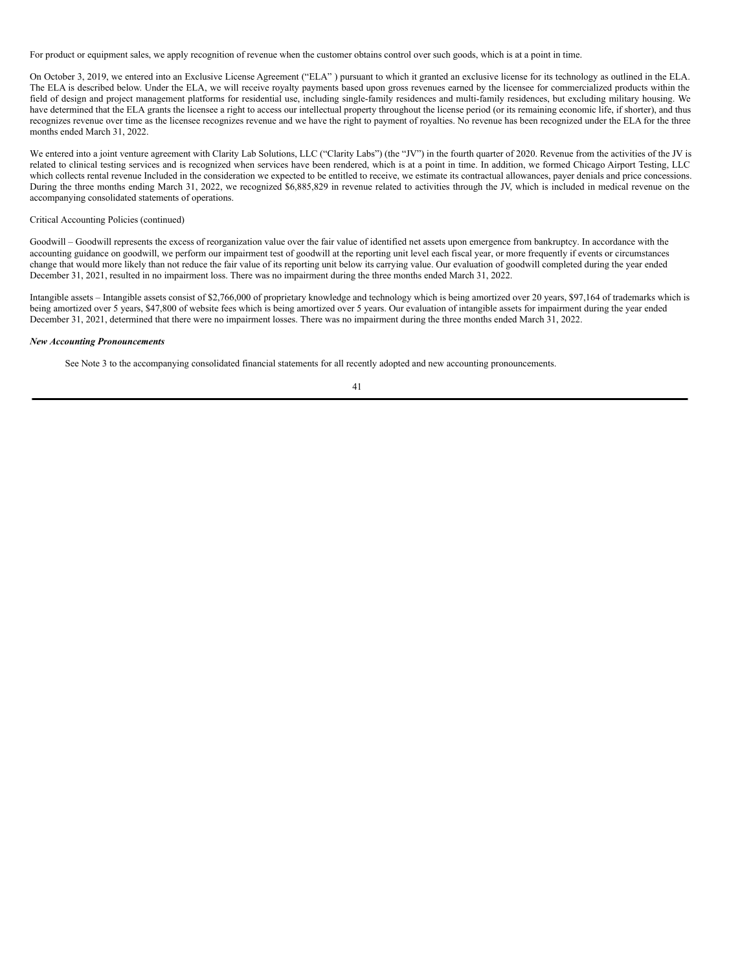For product or equipment sales, we apply recognition of revenue when the customer obtains control over such goods, which is at a point in time.

On October 3, 2019, we entered into an Exclusive License Agreement ("ELA" ) pursuant to which it granted an exclusive license for its technology as outlined in the ELA. The ELA is described below. Under the ELA, we will receive royalty payments based upon gross revenues earned by the licensee for commercialized products within the field of design and project management platforms for residential use, including single-family residences and multi-family residences, but excluding military housing. We have determined that the ELA grants the licensee a right to access our intellectual property throughout the license period (or its remaining economic life, if shorter), and thus recognizes revenue over time as the licensee recognizes revenue and we have the right to payment of royalties. No revenue has been recognized under the ELA for the three months ended March 31, 2022.

We entered into a joint venture agreement with Clarity Lab Solutions, LLC ("Clarity Labs") (the "JV") in the fourth quarter of 2020. Revenue from the activities of the JV is related to clinical testing services and is recognized when services have been rendered, which is at a point in time. In addition, we formed Chicago Airport Testing, LLC which collects rental revenue Included in the consideration we expected to be entitled to receive, we estimate its contractual allowances, payer denials and price concessions. During the three months ending March 31, 2022, we recognized \$6,885,829 in revenue related to activities through the JV, which is included in medical revenue on the accompanying consolidated statements of operations.

# Critical Accounting Policies (continued)

Goodwill – Goodwill represents the excess of reorganization value over the fair value of identified net assets upon emergence from bankruptcy. In accordance with the accounting guidance on goodwill, we perform our impairment test of goodwill at the reporting unit level each fiscal year, or more frequently if events or circumstances change that would more likely than not reduce the fair value of its reporting unit below its carrying value. Our evaluation of goodwill completed during the year ended December 31, 2021, resulted in no impairment loss. There was no impairment during the three months ended March 31, 2022.

Intangible assets – Intangible assets consist of \$2,766,000 of proprietary knowledge and technology which is being amortized over 20 years, \$97,164 of trademarks which is being amortized over 5 years, \$47,800 of website fees which is being amortized over 5 years. Our evaluation of intangible assets for impairment during the year ended December 31, 2021, determined that there were no impairment losses. There was no impairment during the three months ended March 31, 2022.

# *New Accounting Pronouncements*

See Note 3 to the accompanying consolidated financial statements for all recently adopted and new accounting pronouncements.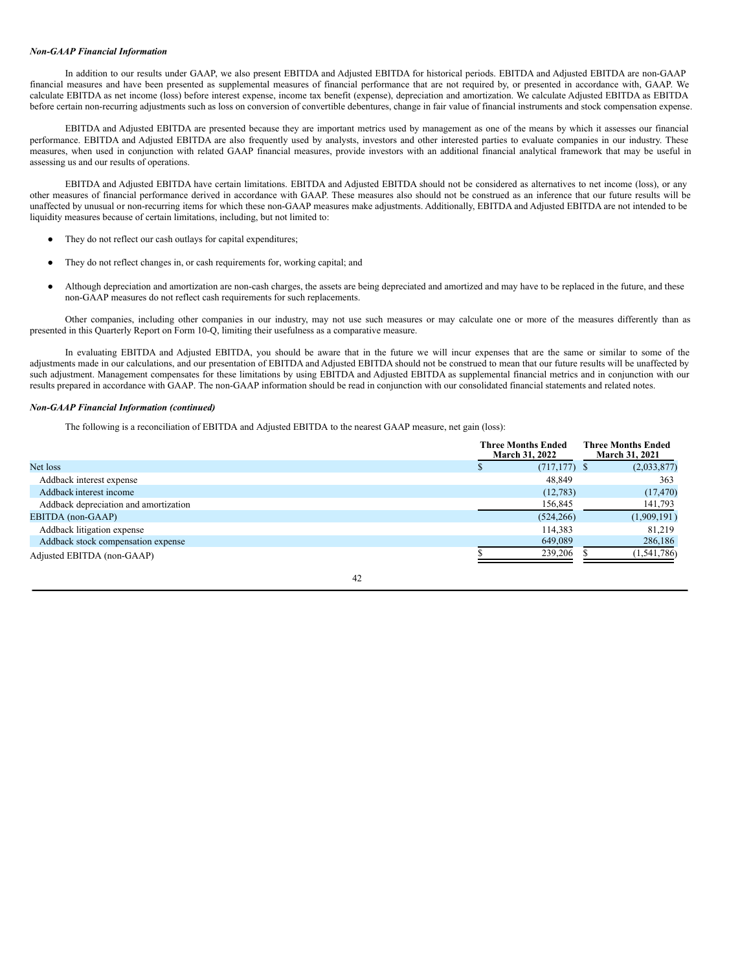## *Non-GAAP Financial Information*

In addition to our results under GAAP, we also present EBITDA and Adjusted EBITDA for historical periods. EBITDA and Adjusted EBITDA are non-GAAP financial measures and have been presented as supplemental measures of financial performance that are not required by, or presented in accordance with, GAAP. We calculate EBITDA as net income (loss) before interest expense, income tax benefit (expense), depreciation and amortization. We calculate Adjusted EBITDA as EBITDA before certain non-recurring adjustments such as loss on conversion of convertible debentures, change in fair value of financial instruments and stock compensation expense.

EBITDA and Adjusted EBITDA are presented because they are important metrics used by management as one of the means by which it assesses our financial performance. EBITDA and Adjusted EBITDA are also frequently used by analysts, investors and other interested parties to evaluate companies in our industry. These measures, when used in conjunction with related GAAP financial measures, provide investors with an additional financial analytical framework that may be useful in assessing us and our results of operations.

EBITDA and Adjusted EBITDA have certain limitations. EBITDA and Adjusted EBITDA should not be considered as alternatives to net income (loss), or any other measures of financial performance derived in accordance with GAAP. These measures also should not be construed as an inference that our future results will be unaffected by unusual or non-recurring items for which these non-GAAP measures make adjustments. Additionally, EBITDA and Adjusted EBITDA are not intended to be liquidity measures because of certain limitations, including, but not limited to:

- They do not reflect our cash outlays for capital expenditures;
- They do not reflect changes in, or cash requirements for, working capital; and
- Although depreciation and amortization are non-cash charges, the assets are being depreciated and amortized and may have to be replaced in the future, and these non-GAAP measures do not reflect cash requirements for such replacements.

Other companies, including other companies in our industry, may not use such measures or may calculate one or more of the measures differently than as presented in this Quarterly Report on Form 10-Q, limiting their usefulness as a comparative measure.

In evaluating EBITDA and Adjusted EBITDA, you should be aware that in the future we will incur expenses that are the same or similar to some of the adjustments made in our calculations, and our presentation of EBITDA and Adjusted EBITDA should not be construed to mean that our future results will be unaffected by such adjustment. Management compensates for these limitations by using EBITDA and Adjusted EBITDA as supplemental financial metrics and in conjunction with our results prepared in accordance with GAAP. The non-GAAP information should be read in conjunction with our consolidated financial statements and related notes.

# *Non-GAAP Financial Information (continued)*

The following is a reconciliation of EBITDA and Adjusted EBITDA to the nearest GAAP measure, net gain (loss):

|                                       | <b>Three Months Ended</b><br><b>March 31, 2022</b> | <b>Three Months Ended</b><br><b>March 31, 2021</b> |
|---------------------------------------|----------------------------------------------------|----------------------------------------------------|
| Net loss                              | $(717, 177)$ \$                                    | (2,033,877)                                        |
| Addback interest expense              | 48,849                                             | 363                                                |
| Addback interest income               | (12, 783)                                          | (17, 470)                                          |
| Addback depreciation and amortization | 156,845                                            | 141,793                                            |
| EBITDA (non-GAAP)                     | (524, 266)                                         | (1,909,191)                                        |
| Addback litigation expense            | 114.383                                            | 81.219                                             |
| Addback stock compensation expense    | 649,089                                            | 286,186                                            |
| Adjusted EBITDA (non-GAAP)            | 239,206                                            | (1, 541, 786)                                      |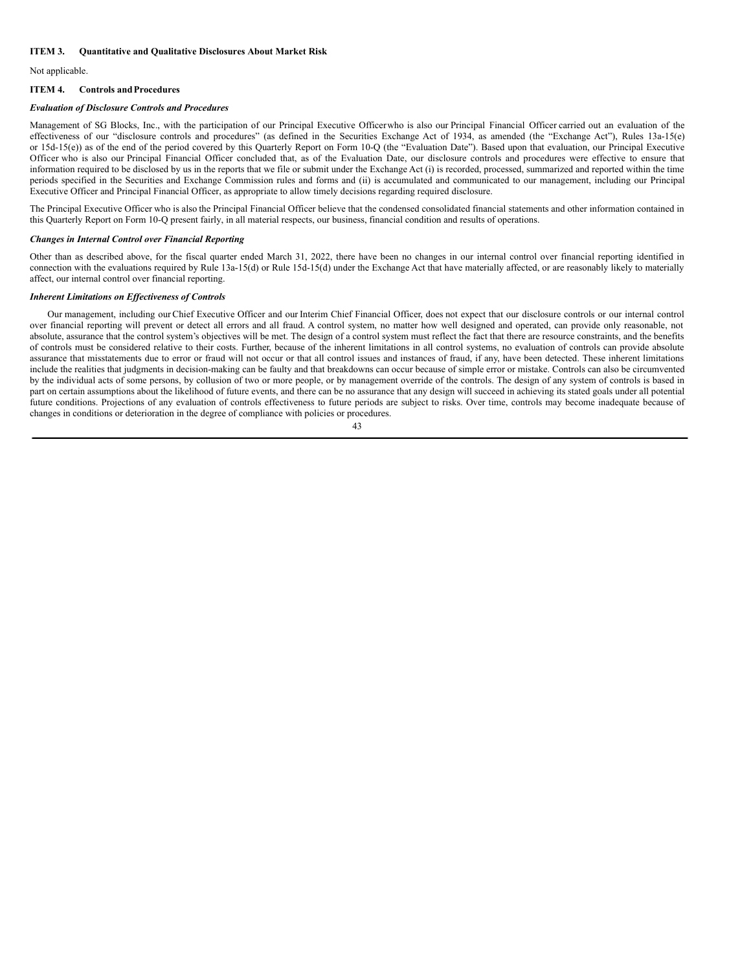## <span id="page-49-0"></span>**ITEM 3. Quantitative and Qualitative Disclosures About Market Risk**

Not applicable.

#### <span id="page-49-1"></span>**ITEM 4. Controls andProcedures**

# *Evaluation of Disclosure Controls and Procedures*

Management of SG Blocks, Inc., with the participation of our Principal Executive Officerwho is also our Principal Financial Officer carried out an evaluation of the effectiveness of our "disclosure controls and procedures" (as defined in the Securities Exchange Act of 1934, as amended (the "Exchange Act"), Rules 13a-15(e) or 15d-15(e)) as of the end of the period covered by this Quarterly Report on Form 10-Q (the "Evaluation Date"). Based upon that evaluation, our Principal Executive Officer who is also our Principal Financial Officer concluded that, as of the Evaluation Date, our disclosure controls and procedures were effective to ensure that information required to be disclosed by us in the reports that we file or submit under the Exchange Act (i) is recorded, processed, summarized and reported within the time periods specified in the Securities and Exchange Commission rules and forms and (ii) is accumulated and communicated to our management, including our Principal Executive Officer and Principal Financial Officer, as appropriate to allow timely decisions regarding required disclosure.

The Principal Executive Officer who is also the Principal Financial Officer believe that the condensed consolidated financial statements and other information contained in this Quarterly Report on Form 10-Q present fairly, in all material respects, our business, financial condition and results of operations.

#### *Changes in Internal Control over Financial Reporting*

Other than as described above, for the fiscal quarter ended March 31, 2022, there have been no changes in our internal control over financial reporting identified in connection with the evaluations required by Rule 13a-15(d) or Rule 15d-15(d) under the Exchange Act that have materially affected, or are reasonably likely to materially affect, our internal control over financial reporting.

#### *Inherent Limitations on Ef ectiveness of Controls*

Our management, including ourChief Executive Officer and our Interim Chief Financial Officer, does not expect that our disclosure controls or our internal control over financial reporting will prevent or detect all errors and all fraud. A control system, no matter how well designed and operated, can provide only reasonable, not absolute, assurance that the control system's objectives will be met. The design of a control system must reflect the fact that there are resource constraints, and the benefits of controls must be considered relative to their costs. Further, because of the inherent limitations in all control systems, no evaluation of controls can provide absolute assurance that misstatements due to error or fraud will not occur or that all control issues and instances of fraud, if any, have been detected. These inherent limitations include the realities that judgments in decision-making can be faulty and that breakdowns can occur because of simple error or mistake. Controls can also be circumvented by the individual acts of some persons, by collusion of two or more people, or by management override of the controls. The design of any system of controls is based in part on certain assumptions about the likelihood of future events, and there can be no assurance that any design will succeed in achieving its stated goals under all potential future conditions. Projections of any evaluation of controls effectiveness to future periods are subject to risks. Over time, controls may become inadequate because of changes in conditions or deterioration in the degree of compliance with policies or procedures.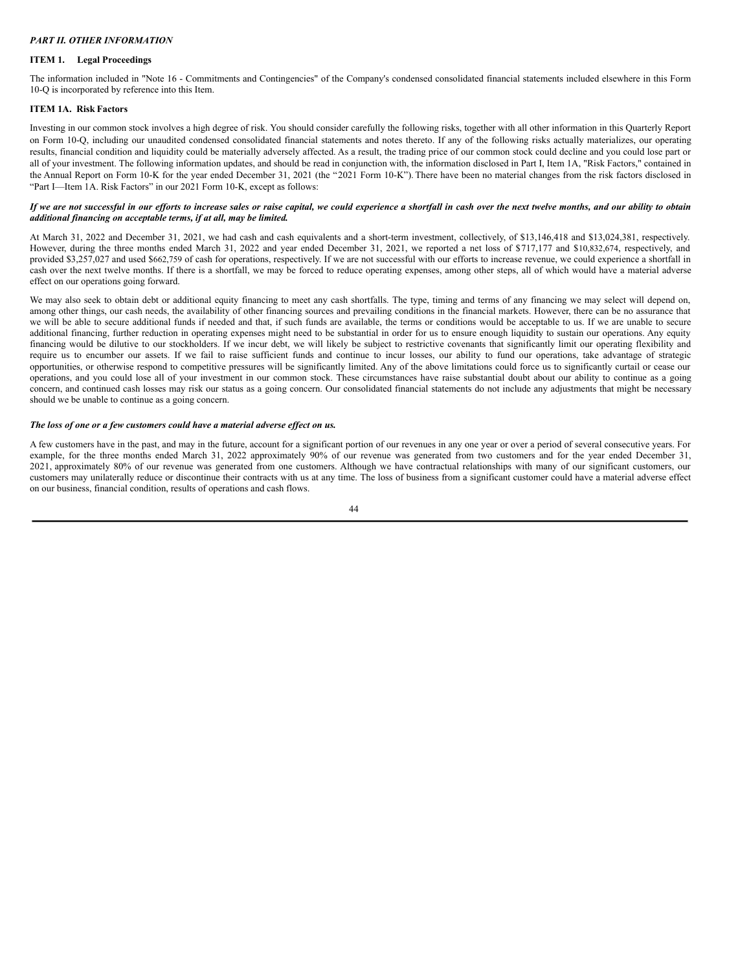## *PART II. OTHER INFORMATION*

# <span id="page-50-0"></span>**ITEM 1. Legal Proceedings**

The information included in "Note 16 - Commitments and Contingencies" of the Company's condensed consolidated financial statements included elsewhere in this Form 10-Q is incorporated by reference into this Item.

## <span id="page-50-1"></span>**ITEM 1A. Risk Factors**

Investing in our common stock involves a high degree of risk. You should consider carefully the following risks, together with all other information in this Quarterly Report on Form 10-Q, including our unaudited condensed consolidated financial statements and notes thereto. If any of the following risks actually materializes, our operating results, financial condition and liquidity could be materially adversely affected. As a result, the trading price of our common stock could decline and you could lose part or all of your investment. The following information updates, and should be read in conjunction with, the information disclosed in Part I, Item 1A, "Risk Factors," contained in the Annual Report on Form 10-K for the year ended December 31, 2021 (the "2021 Form 10-K"). There have been no material changes from the risk factors disclosed in "Part I—Item 1A. Risk Factors" in our 2021 Form 10-K, except as follows:

### If we are not successful in our efforts to increase sales or raise capital, we could experience a shortfall in cash over the next twelve months, and our ability to obtain *additional financing on acceptable terms, if at all, may be limited.*

At March 31, 2022 and December 31, 2021, we had cash and cash equivalents and a short-term investment, collectively, of \$13,146,418 and \$13,024,381, respectively. However, during the three months ended March 31, 2022 and year ended December 31, 2021, we reported a net loss of \$717,177 and \$10,832,674, respectively, and provided \$3,257,027 and used \$662,759 of cash for operations, respectively. If we are not successful with our efforts to increase revenue, we could experience a shortfall in cash over the next twelve months. If there is a shortfall, we may be forced to reduce operating expenses, among other steps, all of which would have a material adverse effect on our operations going forward.

We may also seek to obtain debt or additional equity financing to meet any cash shortfalls. The type, timing and terms of any financing we may select will depend on, among other things, our cash needs, the availability of other financing sources and prevailing conditions in the financial markets. However, there can be no assurance that we will be able to secure additional funds if needed and that, if such funds are available, the terms or conditions would be acceptable to us. If we are unable to secure additional financing, further reduction in operating expenses might need to be substantial in order for us to ensure enough liquidity to sustain our operations. Any equity financing would be dilutive to our stockholders. If we incur debt, we will likely be subject to restrictive covenants that significantly limit our operating flexibility and require us to encumber our assets. If we fail to raise sufficient funds and continue to incur losses, our ability to fund our operations, take advantage of strategic opportunities, or otherwise respond to competitive pressures will be significantly limited. Any of the above limitations could force us to significantly curtail or cease our operations, and you could lose all of your investment in our common stock. These circumstances have raise substantial doubt about our ability to continue as a going concern, and continued cash losses may risk our status as a going concern. Our consolidated financial statements do not include any adjustments that might be necessary should we be unable to continue as a going concern.

# *The loss of one or a few customers could have a material adverse ef ect on us.*

A few customers have in the past, and may in the future, account for a significant portion of our revenues in any one year or over a period of several consecutive years. For example, for the three months ended March 31, 2022 approximately 90% of our revenue was generated from two customers and for the year ended December 31, 2021, approximately 80% of our revenue was generated from one customers. Although we have contractual relationships with many of our significant customers, our customers may unilaterally reduce or discontinue their contracts with us at any time. The loss of business from a significant customer could have a material adverse effect on our business, financial condition, results of operations and cash flows.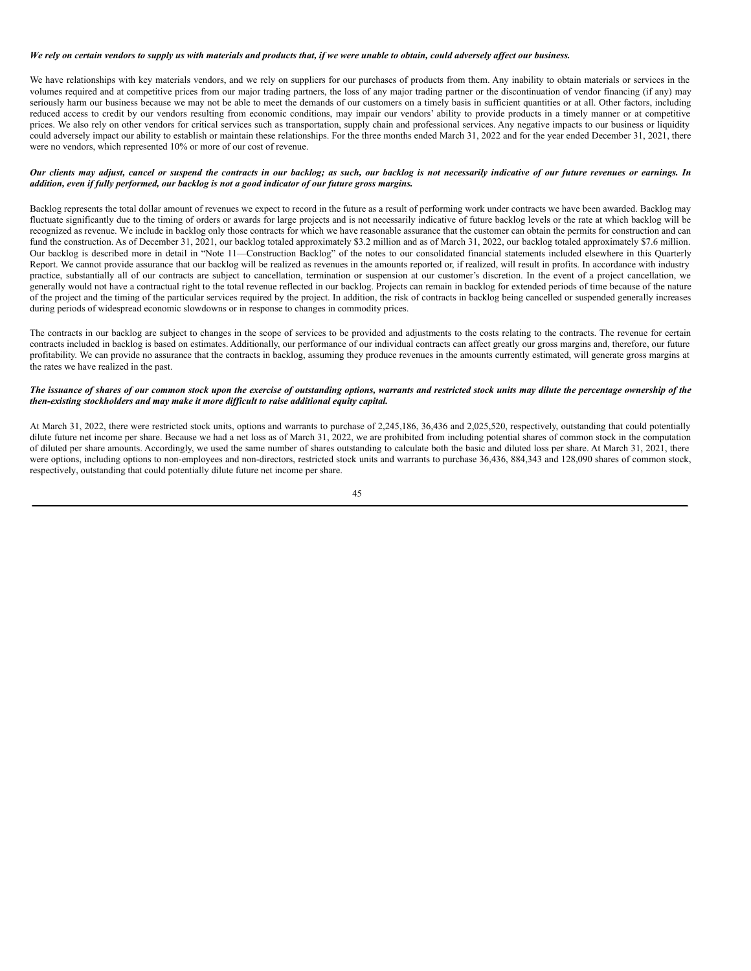## We rely on certain vendors to supply us with materials and products that, if we were unable to obtain, could adversely affect our business.

We have relationships with key materials vendors, and we rely on suppliers for our purchases of products from them. Any inability to obtain materials or services in the volumes required and at competitive prices from our major trading partners, the loss of any major trading partner or the discontinuation of vendor financing (if any) may seriously harm our business because we may not be able to meet the demands of our customers on a timely basis in sufficient quantities or at all. Other factors, including reduced access to credit by our vendors resulting from economic conditions, may impair our vendors' ability to provide products in a timely manner or at competitive prices. We also rely on other vendors for critical services such as transportation, supply chain and professional services. Any negative impacts to our business or liquidity could adversely impact our ability to establish or maintain these relationships. For the three months ended March 31, 2022 and for the year ended December 31, 2021, there were no vendors, which represented 10% or more of our cost of revenue.

### Our clients may adjust, cancel or suspend the contracts in our backlog; as such, our backlog is not necessarily indicative of our future revenues or earnings. In *addition, even if fully performed, our backlog is not a good indicator of our future gross margins.*

Backlog represents the total dollar amount of revenues we expect to record in the future as a result of performing work under contracts we have been awarded. Backlog may fluctuate significantly due to the timing of orders or awards for large projects and is not necessarily indicative of future backlog levels or the rate at which backlog will be recognized as revenue. We include in backlog only those contracts for which we have reasonable assurance that the customer can obtain the permits for construction and can fund the construction. As of December 31, 2021, our backlog totaled approximately \$3.2 million and as of March 31, 2022, our backlog totaled approximately \$7.6 million. Our backlog is described more in detail in "Note 11—Construction Backlog" of the notes to our consolidated financial statements included elsewhere in this Quarterly Report. We cannot provide assurance that our backlog will be realized as revenues in the amounts reported or, if realized, will result in profits. In accordance with industry practice, substantially all of our contracts are subject to cancellation, termination or suspension at our customer's discretion. In the event of a project cancellation, we generally would not have a contractual right to the total revenue reflected in our backlog. Projects can remain in backlog for extended periods of time because of the nature of the project and the timing of the particular services required by the project. In addition, the risk of contracts in backlog being cancelled or suspended generally increases during periods of widespread economic slowdowns or in response to changes in commodity prices.

The contracts in our backlog are subject to changes in the scope of services to be provided and adjustments to the costs relating to the contracts. The revenue for certain contracts included in backlog is based on estimates. Additionally, our performance of our individual contracts can affect greatly our gross margins and, therefore, our future profitability. We can provide no assurance that the contracts in backlog, assuming they produce revenues in the amounts currently estimated, will generate gross margins at the rates we have realized in the past.

# The issuance of shares of our common stock upon the exercise of outstanding options, warrants and restricted stock units may dilute the percentage ownership of the *then-existing stockholders and may make it more dif icult to raise additional equity capital.*

At March 31, 2022, there were restricted stock units, options and warrants to purchase of 2,245,186, 36,436 and 2,025,520, respectively, outstanding that could potentially dilute future net income per share. Because we had a net loss as of March 31, 2022, we are prohibited from including potential shares of common stock in the computation of diluted per share amounts. Accordingly, we used the same number of shares outstanding to calculate both the basic and diluted loss per share. At March 31, 2021, there were options, including options to non-employees and non-directors, restricted stock units and warrants to purchase 36,436, 884,343 and 128,090 shares of common stock, respectively, outstanding that could potentially dilute future net income per share.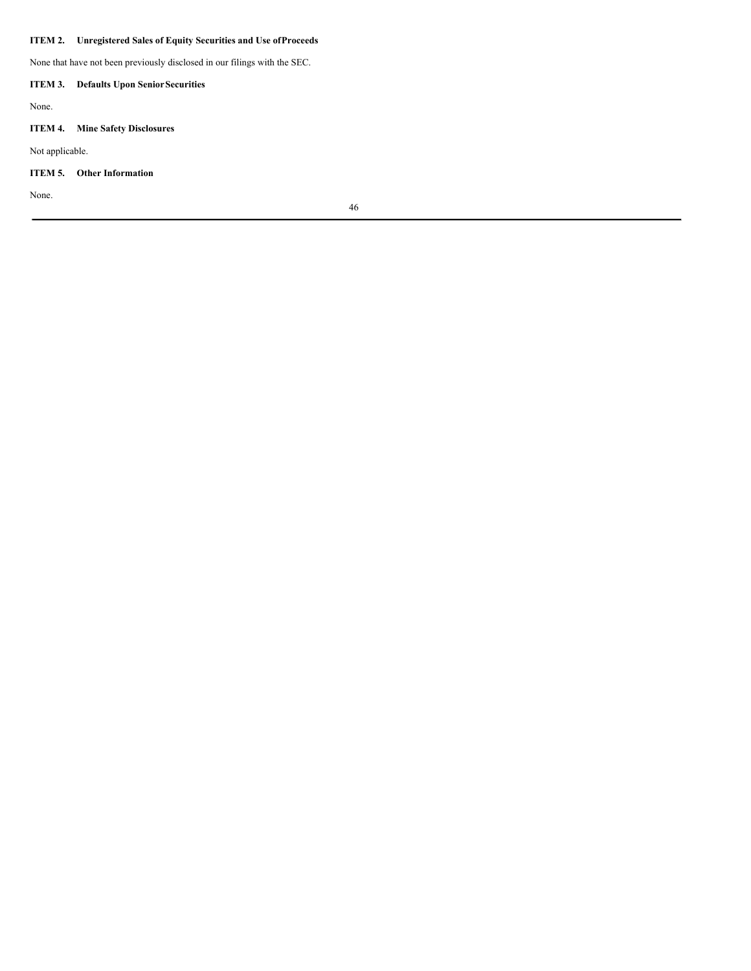# <span id="page-52-0"></span>**ITEM 2. Unregistered Sales of Equity Securities and Use ofProceeds**

None that have not been previously disclosed in our filings with the SEC.

# <span id="page-52-1"></span>**ITEM 3. Defaults Upon SeniorSecurities**

None.

# <span id="page-52-2"></span>**ITEM 4. Mine Safety Disclosures**

Not applicable.

# <span id="page-52-3"></span>**ITEM 5. Other Information**

None.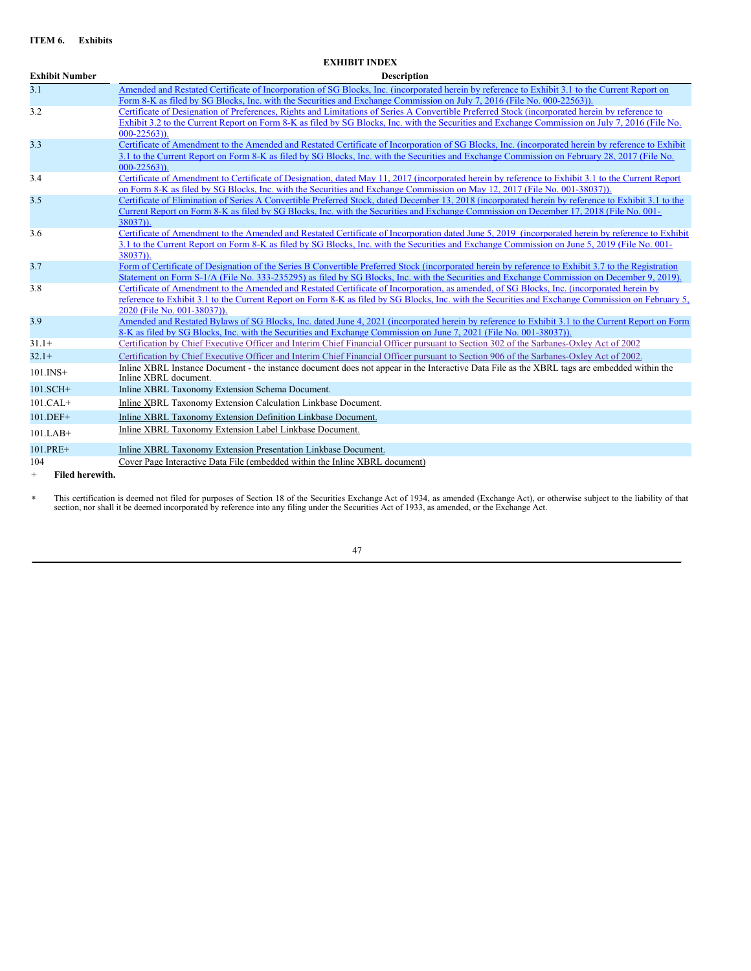# **EXHIBIT INDEX**

<span id="page-53-0"></span>

| <b>Exhibit Number</b> | <b>Description</b>                                                                                                                                                                                                                                                                                 |
|-----------------------|----------------------------------------------------------------------------------------------------------------------------------------------------------------------------------------------------------------------------------------------------------------------------------------------------|
| 3.1                   | Amended and Restated Certificate of Incorporation of SG Blocks, Inc. (incorporated herein by reference to Exhibit 3.1 to the Current Report on                                                                                                                                                     |
|                       | Form 8-K as filed by SG Blocks. Inc. with the Securities and Exchange Commission on July 7, 2016 (File No. 000-22563)).                                                                                                                                                                            |
| 3.2                   | Certificate of Designation of Preferences, Rights and Limitations of Series A Convertible Preferred Stock (incorporated herein by reference to                                                                                                                                                     |
|                       | Exhibit 3.2 to the Current Report on Form 8-K as filed by SG Blocks, Inc. with the Securities and Exchange Commission on July 7, 2016 (File No.                                                                                                                                                    |
|                       | $000 - 22563$ )).                                                                                                                                                                                                                                                                                  |
| 3.3                   | Certificate of Amendment to the Amended and Restated Certificate of Incorporation of SG Blocks, Inc. (incorporated herein by reference to Exhibit                                                                                                                                                  |
|                       | 3.1 to the Current Report on Form 8-K as filed by SG Blocks, Inc. with the Securities and Exchange Commission on February 28, 2017 (File No.<br>$000 - 22563$ ).                                                                                                                                   |
| 3.4                   | Certificate of Amendment to Certificate of Designation, dated May 11, 2017 (incorporated herein by reference to Exhibit 3.1 to the Current Report                                                                                                                                                  |
|                       | on Form 8-K as filed by SG Blocks, Inc. with the Securities and Exchange Commission on May 12, 2017 (File No. 001-38037)).                                                                                                                                                                         |
| 3.5                   | Certificate of Elimination of Series A Convertible Preferred Stock, dated December 13, 2018 (incorporated herein by reference to Exhibit 3.1 to the                                                                                                                                                |
|                       | Current Report on Form 8-K as filed by SG Blocks, Inc. with the Securities and Exchange Commission on December 17, 2018 (File No. 001-                                                                                                                                                             |
|                       | 38037)).                                                                                                                                                                                                                                                                                           |
| 3.6                   | Certificate of Amendment to the Amended and Restated Certificate of Incorporation dated June 5, 2019 (incorporated herein by reference to Exhibit                                                                                                                                                  |
|                       | 3.1 to the Current Report on Form 8-K as filed by SG Blocks, Inc. with the Securities and Exchange Commission on June 5, 2019 (File No. 001-                                                                                                                                                       |
|                       | 38037)).                                                                                                                                                                                                                                                                                           |
| 3.7                   | Form of Certificate of Designation of the Series B Convertible Preferred Stock (incorporated herein by reference to Exhibit 3.7 to the Registration<br>Statement on Form S-1/A (File No. 333-235295) as filed by SG Blocks, Inc. with the Securities and Exchange Commission on December 9, 2019). |
| 3.8                   | Certificate of Amendment to the Amended and Restated Certificate of Incorporation, as amended, of SG Blocks, Inc. (incorporated herein by                                                                                                                                                          |
|                       | reference to Exhibit 3.1 to the Current Report on Form 8-K as filed by SG Blocks, Inc. with the Securities and Exchange Commission on February 5,                                                                                                                                                  |
|                       | 2020 (File No. 001-38037)).                                                                                                                                                                                                                                                                        |
| 3.9                   | Amended and Restated Bylaws of SG Blocks, Inc. dated June 4, 2021 (incorporated herein by reference to Exhibit 3.1 to the Current Report on Form                                                                                                                                                   |
|                       | 8-K as filed by SG Blocks, Inc. with the Securities and Exchange Commission on June 7, 2021 (File No. 001-38037)).                                                                                                                                                                                 |
| $31.1+$               | Certification by Chief Executive Officer and Interim Chief Financial Officer pursuant to Section 302 of the Sarbanes-Oxley Act of 2002                                                                                                                                                             |
| $32.1+$               | Certification by Chief Executive Officer and Interim Chief Financial Officer pursuant to Section 906 of the Sarbanes-Oxley Act of 2002.                                                                                                                                                            |
| $101$ . INS+          | Inline XBRL Instance Document - the instance document does not appear in the Interactive Data File as the XBRL tags are embedded within the<br>Inline XBRL document.                                                                                                                               |
| 101.SCH+              | Inline XBRL Taxonomy Extension Schema Document.                                                                                                                                                                                                                                                    |
| $101.CAL+$            | Inline XBRL Taxonomy Extension Calculation Linkbase Document.                                                                                                                                                                                                                                      |
| $101.DEF+$            | Inline XBRL Taxonomy Extension Definition Linkbase Document.                                                                                                                                                                                                                                       |
| $101.LAB+$            | Inline XBRL Taxonomy Extension Label Linkbase Document.                                                                                                                                                                                                                                            |
| 101.PRE+              | Inline XBRL Taxonomy Extension Presentation Linkbase Document.                                                                                                                                                                                                                                     |
| 104                   | Cover Page Interactive Data File (embedded within the Inline XBRL document)                                                                                                                                                                                                                        |
|                       |                                                                                                                                                                                                                                                                                                    |

+ **Filed herewith.**

<sup>\*</sup> This certification is deemed not filed for purposes of Section 18 of the Securities Exchange Act of 1934, as amended (Exchange Act), or otherwise subject to the liability of that section, nor shall it be deemed incorpo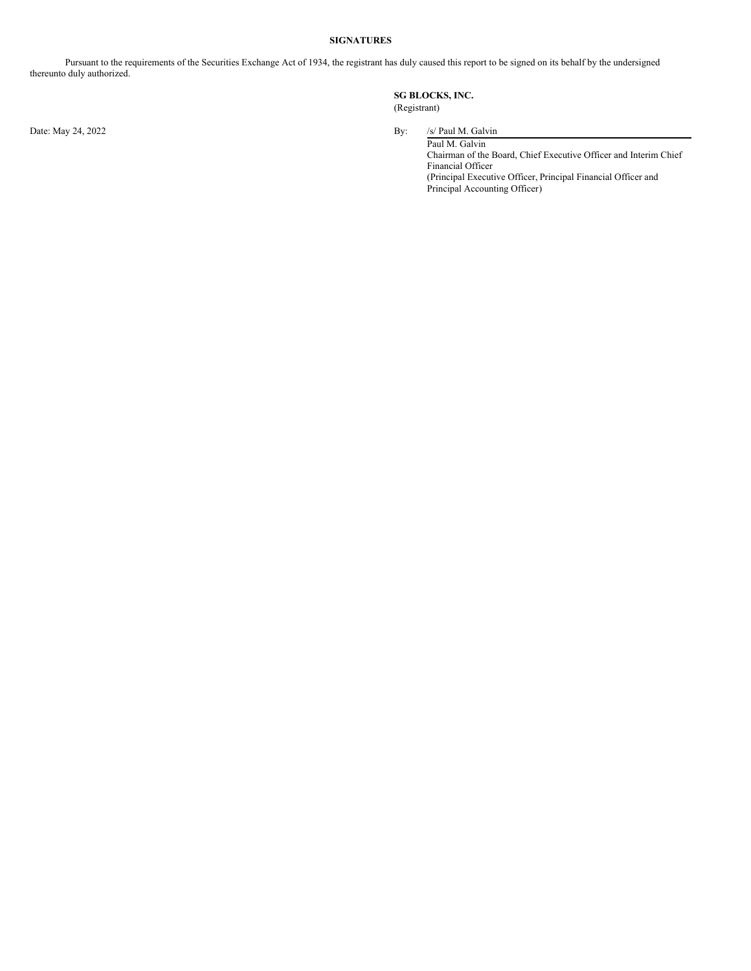# <span id="page-54-0"></span>**SIGNATURES**

Pursuant to the requirements of the Securities Exchange Act of 1934, the registrant has duly caused this report to be signed on its behalf by the undersigned thereunto duly authorized.

# **SG BLOCKS, INC.** (Registrant)

Date: May 24, 2022 By: /s/ Paul M. Galvin

Paul M. Galvin Chairman of the Board, Chief Executive Officer and Interim Chief Financial Officer (Principal Executive Officer, Principal Financial Officer and Principal Accounting Officer)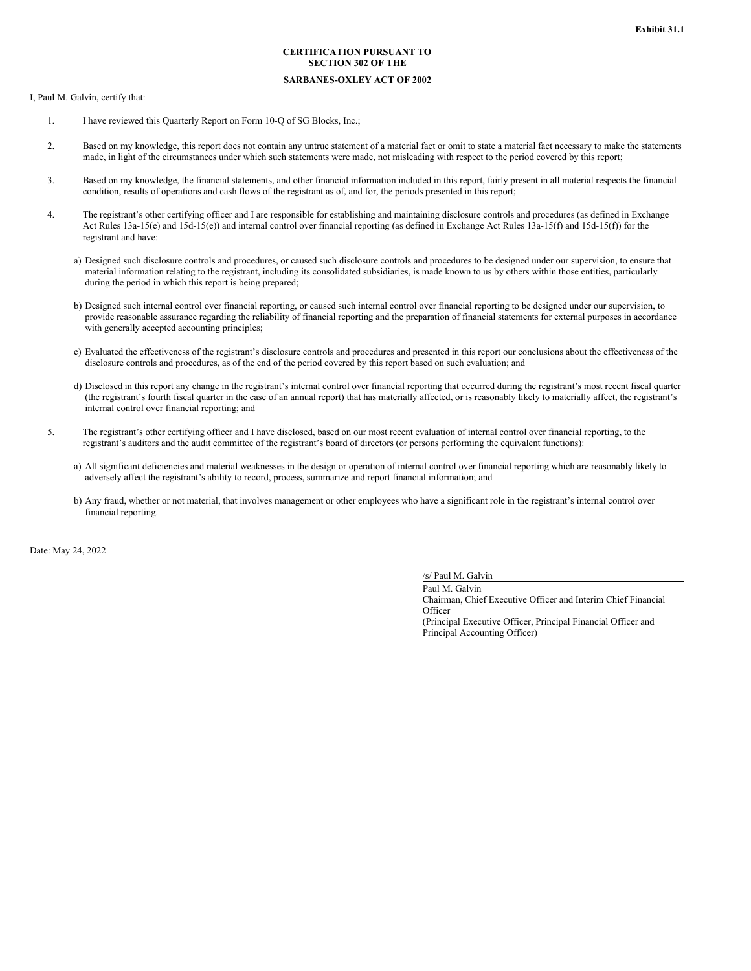# **CERTIFICATION PURSUANT TO SECTION 302 OF THE**

# **SARBANES-OXLEY ACT OF 2002**

<span id="page-55-0"></span>I, Paul M. Galvin, certify that:

- 1. I have reviewed this Quarterly Report on Form 10-Q of SG Blocks, Inc.;
- 2. Based on my knowledge, this report does not contain any untrue statement of a material fact or omit to state a material fact necessary to make the statements made, in light of the circumstances under which such statements were made, not misleading with respect to the period covered by this report;
- 3. Based on my knowledge, the financial statements, and other financial information included in this report, fairly present in all material respects the financial condition, results of operations and cash flows of the registrant as of, and for, the periods presented in this report;
- 4. The registrant's other certifying officer and I are responsible for establishing and maintaining disclosure controls and procedures (as defined in Exchange Act Rules 13a-15(e) and 15d-15(e)) and internal control over financial reporting (as defined in Exchange Act Rules 13a-15(f) and 15d-15(f)) for the registrant and have:
	- a) Designed such disclosure controls and procedures, or caused such disclosure controls and procedures to be designed under our supervision, to ensure that material information relating to the registrant, including its consolidated subsidiaries, is made known to us by others within those entities, particularly during the period in which this report is being prepared;
	- b) Designed such internal control over financial reporting, or caused such internal control over financial reporting to be designed under our supervision, to provide reasonable assurance regarding the reliability of financial reporting and the preparation of financial statements for external purposes in accordance with generally accepted accounting principles;
	- c) Evaluated the effectiveness of the registrant's disclosure controls and procedures and presented in this report our conclusions about the effectiveness of the disclosure controls and procedures, as of the end of the period covered by this report based on such evaluation; and
	- d) Disclosed in this report any change in the registrant's internal control over financial reporting that occurred during the registrant's most recent fiscal quarter (the registrant's fourth fiscal quarter in the case of an annual report) that has materially affected, or is reasonably likely to materially affect, the registrant's internal control over financial reporting; and
- 5. The registrant's other certifying officer and I have disclosed, based on our most recent evaluation of internal control over financial reporting, to the registrant's auditors and the audit committee of the registrant's board of directors (or persons performing the equivalent functions):
	- a) All significant deficiencies and material weaknesses in the design or operation of internal control over financial reporting which are reasonably likely to adversely affect the registrant's ability to record, process, summarize and report financial information; and
	- b) Any fraud, whether or not material, that involves management or other employees who have a significant role in the registrant's internal control over financial reporting.

Date: May 24, 2022

/s/ Paul M. Galvin

Paul M. Galvin Chairman, Chief Executive Officer and Interim Chief Financial **Officer** (Principal Executive Officer, Principal Financial Officer and Principal Accounting Officer)